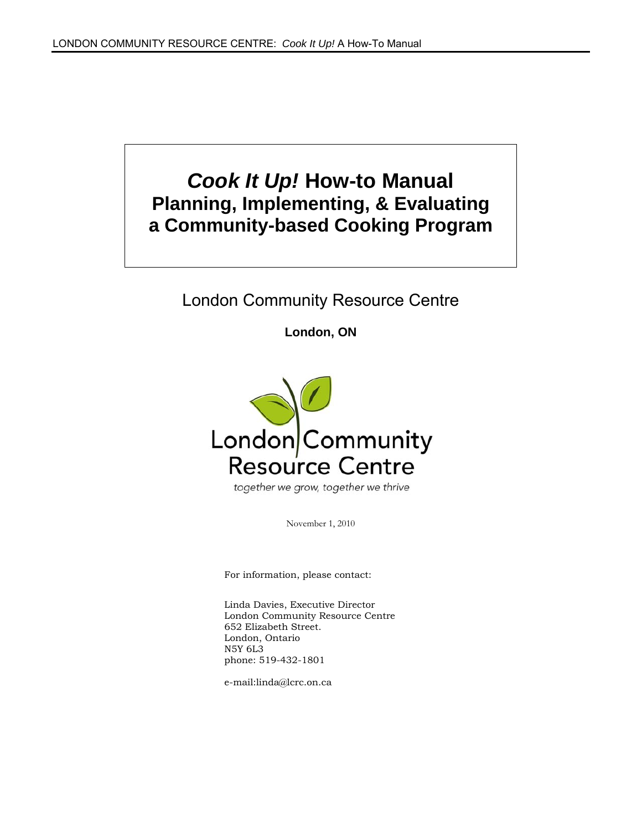# *Cook It Up!* **How-to Manual Planning, Implementing, & Evaluating a Community-based Cooking Program**

London Community Resource Centre

**London, ON** 



together we grow, together we thrive

November 1, 2010

For information, please contact:

Linda Davies, Executive Director London Community Resource Centre 652 Elizabeth Street. London, Ontario N5Y 6L3 phone: 519-432-1801

e-mail:linda@lcrc.on.ca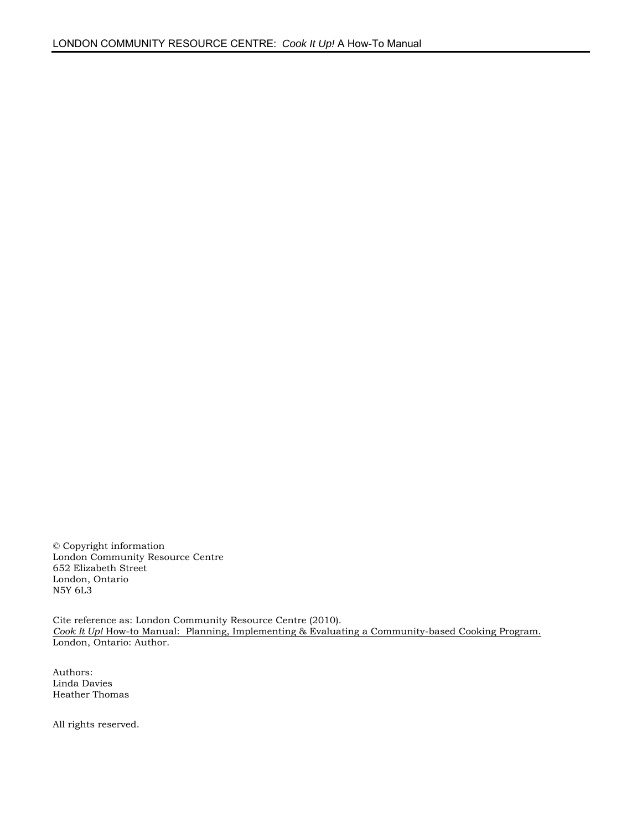© Copyright information London Community Resource Centre 652 Elizabeth Street London, Ontario N5Y 6L3

Cite reference as: London Community Resource Centre (2010). *Cook It Up!* How-to Manual: Planning, Implementing & Evaluating a Community-based Cooking Program. London, Ontario: Author.

Authors: Linda Davies Heather Thomas

All rights reserved.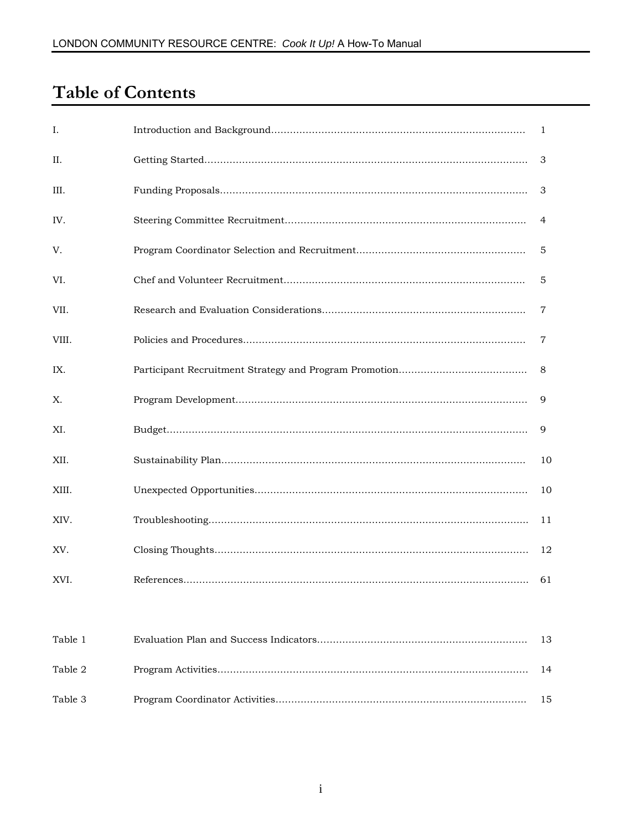# **Table of Contents**

| Ι.      | 1  |
|---------|----|
| П.      | 3  |
| III.    | 3  |
| IV.     | 4  |
| V.      | 5  |
| VI.     | 5  |
| VII.    | 7  |
| VIII.   | 7  |
| IX.     | 8  |
| Х.      | 9  |
| XI.     | 9  |
| XII.    | 10 |
| XIII.   | 10 |
| XIV.    | 11 |
| XV.     | 12 |
| XVI.    |    |
|         |    |
| Table 1 | 13 |
| Table 2 | 14 |
| Table 3 | 15 |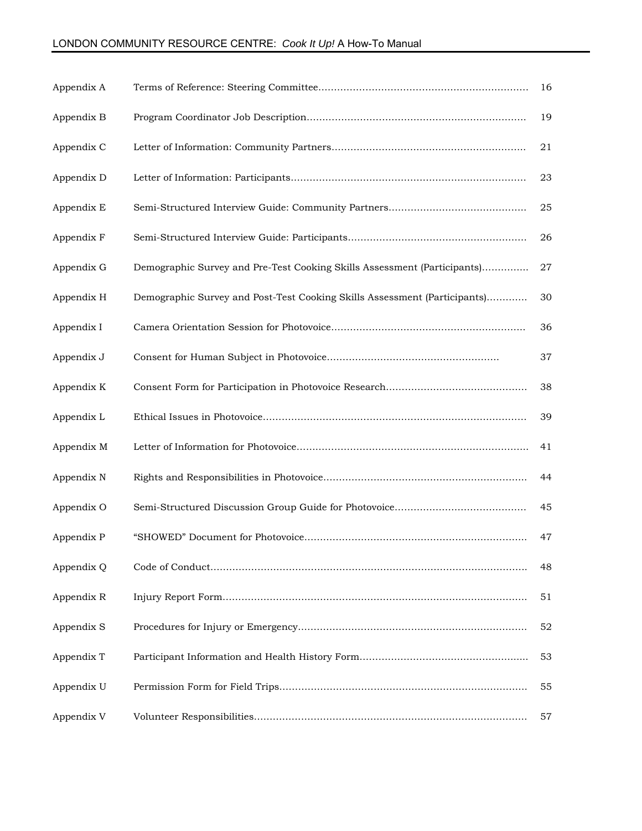### LONDON COMMUNITY RESOURCE CENTRE: *Cook It Up!* A How-To Manual

| Appendix A |                                                                           | 16 |
|------------|---------------------------------------------------------------------------|----|
| Appendix B |                                                                           | 19 |
| Appendix C |                                                                           | 21 |
| Appendix D |                                                                           | 23 |
| Appendix E |                                                                           | 25 |
| Appendix F |                                                                           | 26 |
| Appendix G | Demographic Survey and Pre-Test Cooking Skills Assessment (Participants)  | 27 |
| Appendix H | Demographic Survey and Post-Test Cooking Skills Assessment (Participants) | 30 |
| Appendix I |                                                                           | 36 |
| Appendix J |                                                                           | 37 |
| Appendix K |                                                                           | 38 |
| Appendix L |                                                                           | 39 |
| Appendix M |                                                                           | 41 |
| Appendix N |                                                                           | 44 |
| Appendix O |                                                                           | 45 |
| Appendix P |                                                                           | 47 |
| Appendix Q |                                                                           | 48 |
| Appendix R |                                                                           | 51 |
| Appendix S |                                                                           | 52 |
| Appendix T |                                                                           | 53 |
| Appendix U |                                                                           | 55 |
| Appendix V |                                                                           | 57 |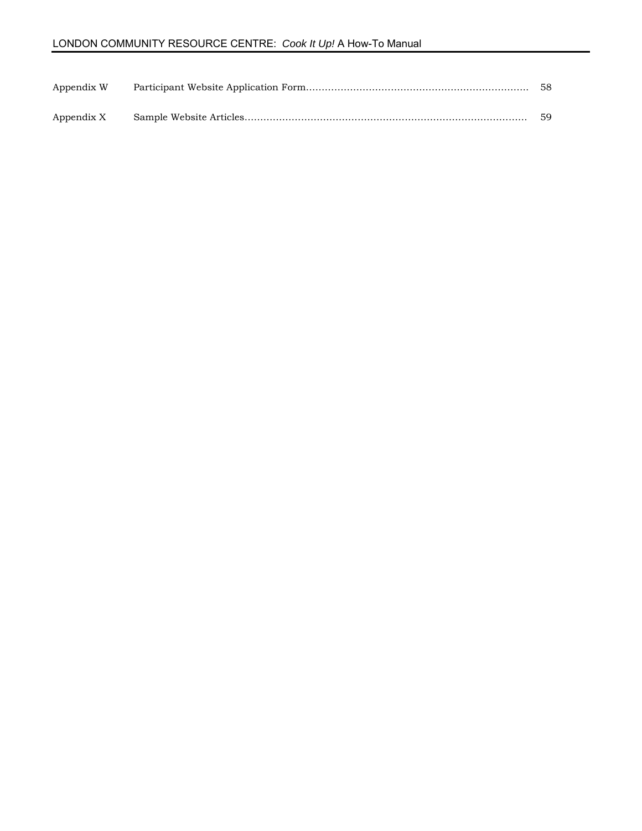| Appendix W | - 58 |
|------------|------|
| Appendix X | 59   |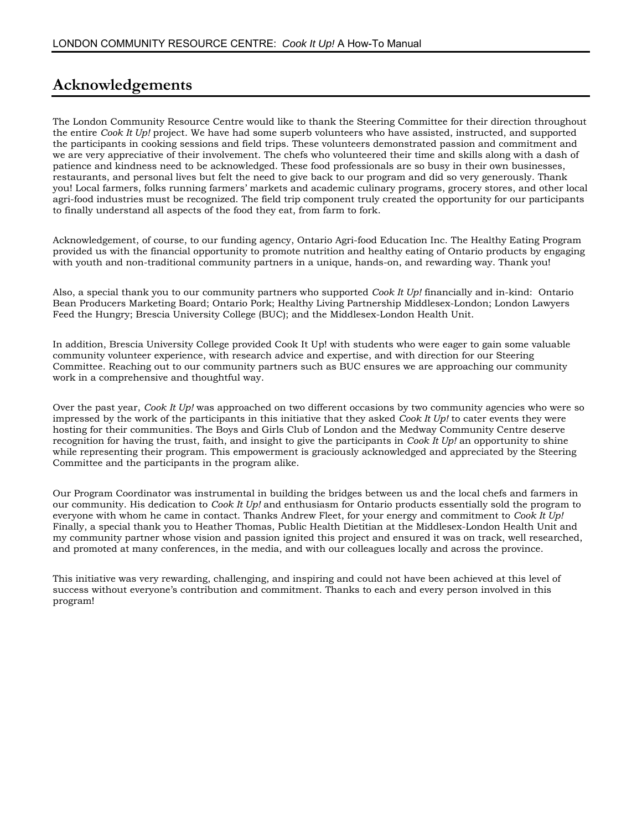### **Acknowledgements**

The London Community Resource Centre would like to thank the Steering Committee for their direction throughout the entire *Cook It Up!* project. We have had some superb volunteers who have assisted, instructed, and supported the participants in cooking sessions and field trips. These volunteers demonstrated passion and commitment and we are very appreciative of their involvement. The chefs who volunteered their time and skills along with a dash of patience and kindness need to be acknowledged. These food professionals are so busy in their own businesses, restaurants, and personal lives but felt the need to give back to our program and did so very generously. Thank you! Local farmers, folks running farmers' markets and academic culinary programs, grocery stores, and other local agri-food industries must be recognized. The field trip component truly created the opportunity for our participants to finally understand all aspects of the food they eat, from farm to fork.

Acknowledgement, of course, to our funding agency, Ontario Agri-food Education Inc. The Healthy Eating Program provided us with the financial opportunity to promote nutrition and healthy eating of Ontario products by engaging with youth and non-traditional community partners in a unique, hands-on, and rewarding way. Thank you!

Also, a special thank you to our community partners who supported *Cook It Up!* financially and in-kind: Ontario Bean Producers Marketing Board; Ontario Pork; Healthy Living Partnership Middlesex-London; London Lawyers Feed the Hungry; Brescia University College (BUC); and the Middlesex-London Health Unit.

In addition, Brescia University College provided Cook It Up! with students who were eager to gain some valuable community volunteer experience, with research advice and expertise, and with direction for our Steering Committee. Reaching out to our community partners such as BUC ensures we are approaching our community work in a comprehensive and thoughtful way.

Over the past year, *Cook It Up!* was approached on two different occasions by two community agencies who were so impressed by the work of the participants in this initiative that they asked *Cook It Up!* to cater events they were hosting for their communities. The Boys and Girls Club of London and the Medway Community Centre deserve recognition for having the trust, faith, and insight to give the participants in *Cook It Up!* an opportunity to shine while representing their program. This empowerment is graciously acknowledged and appreciated by the Steering Committee and the participants in the program alike.

Our Program Coordinator was instrumental in building the bridges between us and the local chefs and farmers in our community. His dedication to *Cook It Up!* and enthusiasm for Ontario products essentially sold the program to everyone with whom he came in contact. Thanks Andrew Fleet, for your energy and commitment to *Cook It Up!* Finally, a special thank you to Heather Thomas, Public Health Dietitian at the Middlesex-London Health Unit and my community partner whose vision and passion ignited this project and ensured it was on track, well researched, and promoted at many conferences, in the media, and with our colleagues locally and across the province.

This initiative was very rewarding, challenging, and inspiring and could not have been achieved at this level of success without everyone's contribution and commitment. Thanks to each and every person involved in this program!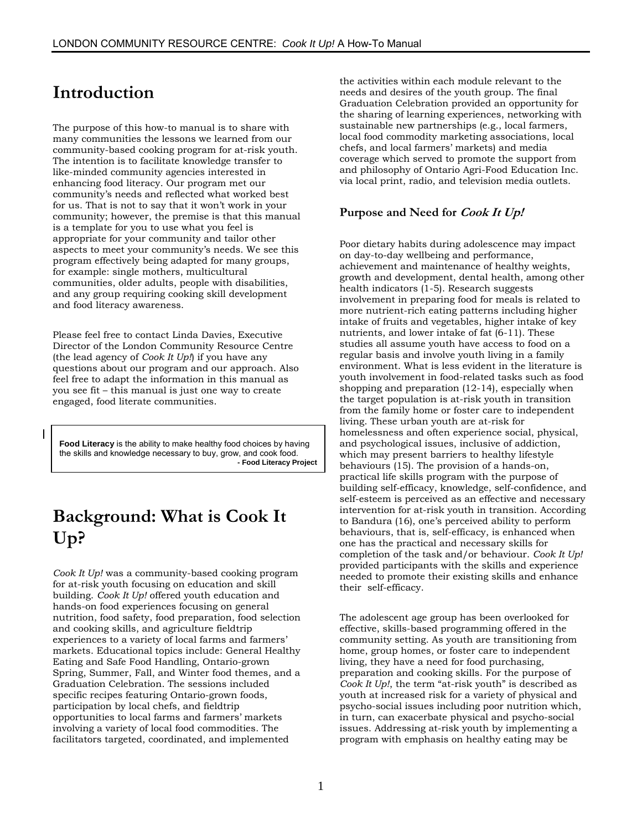## **Introduction**

The purpose of this how-to manual is to share with many communities the lessons we learned from our community-based cooking program for at-risk youth. The intention is to facilitate knowledge transfer to like-minded community agencies interested in enhancing food literacy. Our program met our community's needs and reflected what worked best for us. That is not to say that it won't work in your community; however, the premise is that this manual is a template for you to use what you feel is appropriate for your community and tailor other aspects to meet your community's needs. We see this program effectively being adapted for many groups, for example: single mothers, multicultural communities, older adults, people with disabilities, and any group requiring cooking skill development and food literacy awareness.

Please feel free to contact Linda Davies, Executive Director of the London Community Resource Centre (the lead agency of *Cook It Up!*) if you have any questions about our program and our approach. Also feel free to adapt the information in this manual as you see fit – this manual is just one way to create engaged, food literate communities.

**Food Literacy** is the ability to make healthy food choices by having the skills and knowledge necessary to buy, grow, and cook food. **- Food Literacy Project** 

# **Background: What is Cook It Up?**

*Cook It Up!* was a community-based cooking program for at-risk youth focusing on education and skill building. *Cook It Up!* offered youth education and hands-on food experiences focusing on general nutrition, food safety, food preparation, food selection and cooking skills, and agriculture fieldtrip experiences to a variety of local farms and farmers' markets. Educational topics include: General Healthy Eating and Safe Food Handling, Ontario-grown Spring, Summer, Fall, and Winter food themes, and a Graduation Celebration. The sessions included specific recipes featuring Ontario-grown foods, participation by local chefs, and fieldtrip opportunities to local farms and farmers' markets involving a variety of local food commodities. The facilitators targeted, coordinated, and implemented

the activities within each module relevant to the needs and desires of the youth group. The final Graduation Celebration provided an opportunity for the sharing of learning experiences, networking with sustainable new partnerships (e.g., local farmers, local food commodity marketing associations, local chefs, and local farmers' markets) and media coverage which served to promote the support from and philosophy of Ontario Agri-Food Education Inc. via local print, radio, and television media outlets.

#### **Purpose and Need for Cook It Up!**

Poor dietary habits during adolescence may impact on day-to-day wellbeing and performance, achievement and maintenance of healthy weights, growth and development, dental health, among other health indicators (1-5). Research suggests involvement in preparing food for meals is related to more nutrient-rich eating patterns including higher intake of fruits and vegetables, higher intake of key nutrients, and lower intake of fat (6-11). These studies all assume youth have access to food on a regular basis and involve youth living in a family environment. What is less evident in the literature is youth involvement in food-related tasks such as food shopping and preparation (12-14), especially when the target population is at-risk youth in transition from the family home or foster care to independent living. These urban youth are at-risk for homelessness and often experience social, physical, and psychological issues, inclusive of addiction, which may present barriers to healthy lifestyle behaviours (15). The provision of a hands-on, practical life skills program with the purpose of building self-efficacy, knowledge, self-confidence, and self-esteem is perceived as an effective and necessary intervention for at-risk youth in transition. According to Bandura (16), one's perceived ability to perform behaviours, that is, self-efficacy, is enhanced when one has the practical and necessary skills for completion of the task and/or behaviour. *Cook It Up!* provided participants with the skills and experience needed to promote their existing skills and enhance their self-efficacy.

The adolescent age group has been overlooked for effective, skills-based programming offered in the community setting. As youth are transitioning from home, group homes, or foster care to independent living, they have a need for food purchasing, preparation and cooking skills. For the purpose of *Cook It Up!*, the term "at-risk youth" is described as youth at increased risk for a variety of physical and psycho-social issues including poor nutrition which, in turn, can exacerbate physical and psycho-social issues. Addressing at-risk youth by implementing a program with emphasis on healthy eating may be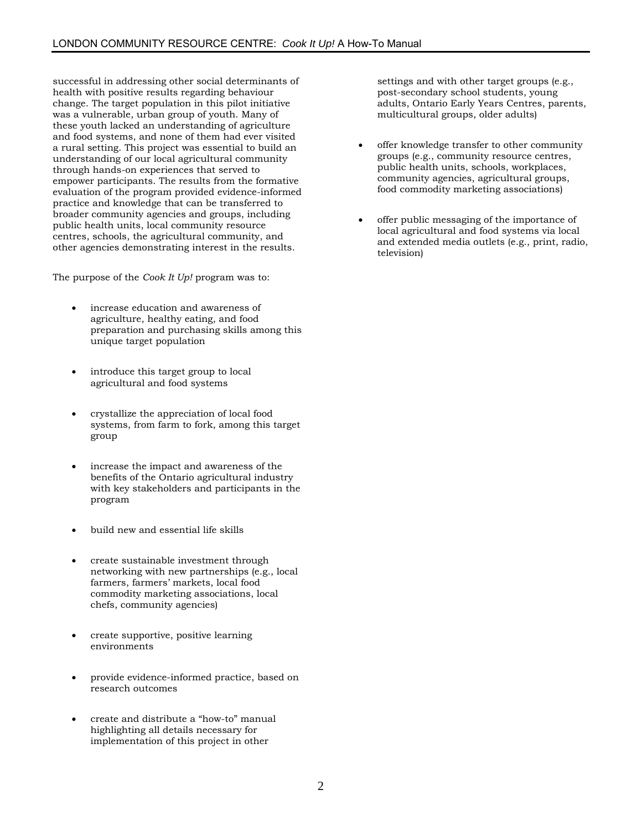successful in addressing other social determinants of health with positive results regarding behaviour change. The target population in this pilot initiative was a vulnerable, urban group of youth. Many of these youth lacked an understanding of agriculture and food systems, and none of them had ever visited a rural setting. This project was essential to build an understanding of our local agricultural community through hands-on experiences that served to empower participants. The results from the formative evaluation of the program provided evidence-informed practice and knowledge that can be transferred to broader community agencies and groups, including public health units, local community resource centres, schools, the agricultural community, and other agencies demonstrating interest in the results.

The purpose of the *Cook It Up!* program was to:

- increase education and awareness of agriculture, healthy eating, and food preparation and purchasing skills among this unique target population
- introduce this target group to local agricultural and food systems
- crystallize the appreciation of local food systems, from farm to fork, among this target group
- increase the impact and awareness of the benefits of the Ontario agricultural industry with key stakeholders and participants in the program
- build new and essential life skills
- create sustainable investment through networking with new partnerships (e.g., local farmers, farmers' markets, local food commodity marketing associations, local chefs, community agencies)
- create supportive, positive learning environments
- provide evidence-informed practice, based on research outcomes
- create and distribute a "how-to" manual highlighting all details necessary for implementation of this project in other

settings and with other target groups (e.g., post-secondary school students, young adults, Ontario Early Years Centres, parents, multicultural groups, older adults)

- offer knowledge transfer to other community groups (e.g., community resource centres, public health units, schools, workplaces, community agencies, agricultural groups, food commodity marketing associations)
- offer public messaging of the importance of local agricultural and food systems via local and extended media outlets (e.g., print, radio, television)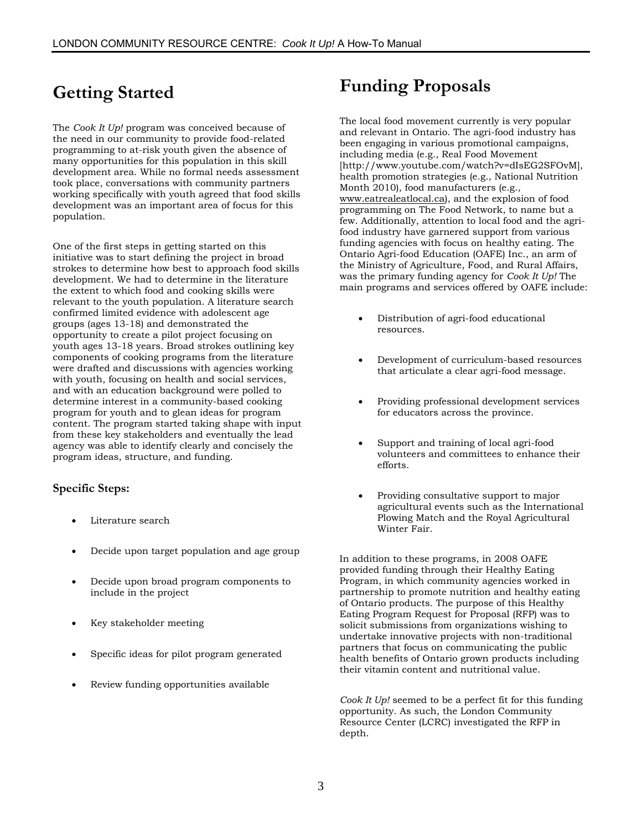# **Getting Started**

The *Cook It Up!* program was conceived because of the need in our community to provide food-related programming to at-risk youth given the absence of many opportunities for this population in this skill development area. While no formal needs assessment took place, conversations with community partners working specifically with youth agreed that food skills development was an important area of focus for this population.

One of the first steps in getting started on this initiative was to start defining the project in broad strokes to determine how best to approach food skills development. We had to determine in the literature the extent to which food and cooking skills were relevant to the youth population. A literature search confirmed limited evidence with adolescent age groups (ages 13-18) and demonstrated the opportunity to create a pilot project focusing on youth ages 13-18 years. Broad strokes outlining key components of cooking programs from the literature were drafted and discussions with agencies working with youth, focusing on health and social services, and with an education background were polled to determine interest in a community-based cooking program for youth and to glean ideas for program content. The program started taking shape with input from these key stakeholders and eventually the lead agency was able to identify clearly and concisely the program ideas, structure, and funding.

#### **Specific Steps:**

- Literature search
- Decide upon target population and age group
- Decide upon broad program components to include in the project
- Key stakeholder meeting
- Specific ideas for pilot program generated
- Review funding opportunities available

## **Funding Proposals**

The local food movement currently is very popular and relevant in Ontario. The agri-food industry has been engaging in various promotional campaigns, including media (e.g., Real Food Movement [http://www.youtube.com/watch?v=dIsEG2SFOvM], health promotion strategies (e.g., National Nutrition Month 2010), food manufacturers (e.g., [www.eatrealeatlocal.ca](http://www.eatrealeatlocal.ca/)), and the explosion of food programming on The Food Network, to name but a few. Additionally, attention to local food and the agrifood industry have garnered support from various funding agencies with focus on healthy eating. The Ontario Agri-food Education (OAFE) Inc., an arm of the Ministry of Agriculture, Food, and Rural Affairs, was the primary funding agency for *Cook It Up!* The main programs and services offered by OAFE include:

- Distribution of agri-food educational resources.
- Development of curriculum-based resources that articulate a clear agri-food message.
- Providing professional development services for educators across the province.
- Support and training of local agri-food volunteers and committees to enhance their efforts.
- Providing consultative support to major agricultural events such as the International Plowing Match and the Royal Agricultural Winter Fair.

In addition to these programs, in 2008 OAFE provided funding through their Healthy Eating Program, in which community agencies worked in partnership to promote nutrition and healthy eating of Ontario products. The purpose of this Healthy Eating Program Request for Proposal (RFP) was to solicit submissions from organizations wishing to undertake innovative projects with non-traditional partners that focus on communicating the public health benefits of Ontario grown products including their vitamin content and nutritional value.

*Cook It Up!* seemed to be a perfect fit for this funding opportunity. As such, the London Community Resource Center (LCRC) investigated the RFP in depth.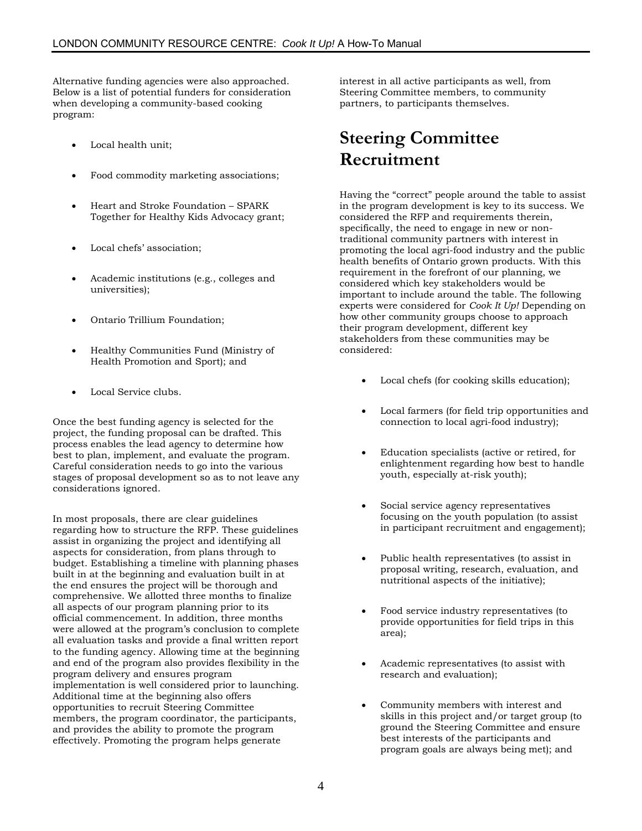Alternative funding agencies were also approached. Below is a list of potential funders for consideration when developing a community-based cooking program:

- Local health unit;
- Food commodity marketing associations;
- Heart and Stroke Foundation SPARK Together for Healthy Kids Advocacy grant;
- Local chefs' association;
- Academic institutions (e.g., colleges and universities);
- Ontario Trillium Foundation;
- Healthy Communities Fund (Ministry of Health Promotion and Sport); and
- Local Service clubs.

Once the best funding agency is selected for the project, the funding proposal can be drafted. This process enables the lead agency to determine how best to plan, implement, and evaluate the program. Careful consideration needs to go into the various stages of proposal development so as to not leave any considerations ignored.

In most proposals, there are clear guidelines regarding how to structure the RFP. These guidelines assist in organizing the project and identifying all aspects for consideration, from plans through to budget. Establishing a timeline with planning phases built in at the beginning and evaluation built in at the end ensures the project will be thorough and comprehensive. We allotted three months to finalize all aspects of our program planning prior to its official commencement. In addition, three months were allowed at the program's conclusion to complete all evaluation tasks and provide a final written report to the funding agency. Allowing time at the beginning and end of the program also provides flexibility in the program delivery and ensures program implementation is well considered prior to launching. Additional time at the beginning also offers opportunities to recruit Steering Committee members, the program coordinator, the participants, and provides the ability to promote the program effectively. Promoting the program helps generate

interest in all active participants as well, from Steering Committee members, to community partners, to participants themselves.

# **Steering Committee Recruitment**

Having the "correct" people around the table to assist in the program development is key to its success. We considered the RFP and requirements therein, specifically, the need to engage in new or nontraditional community partners with interest in promoting the local agri-food industry and the public health benefits of Ontario grown products. With this requirement in the forefront of our planning, we considered which key stakeholders would be important to include around the table. The following experts were considered for *Cook It Up!* Depending on how other community groups choose to approach their program development, different key stakeholders from these communities may be considered:

- Local chefs (for cooking skills education);
- Local farmers (for field trip opportunities and connection to local agri-food industry);
- Education specialists (active or retired, for enlightenment regarding how best to handle youth, especially at-risk youth);
- Social service agency representatives focusing on the youth population (to assist in participant recruitment and engagement);
- Public health representatives (to assist in proposal writing, research, evaluation, and nutritional aspects of the initiative);
- Food service industry representatives (to provide opportunities for field trips in this area);
- Academic representatives (to assist with research and evaluation);
- Community members with interest and skills in this project and/or target group (to ground the Steering Committee and ensure best interests of the participants and program goals are always being met); and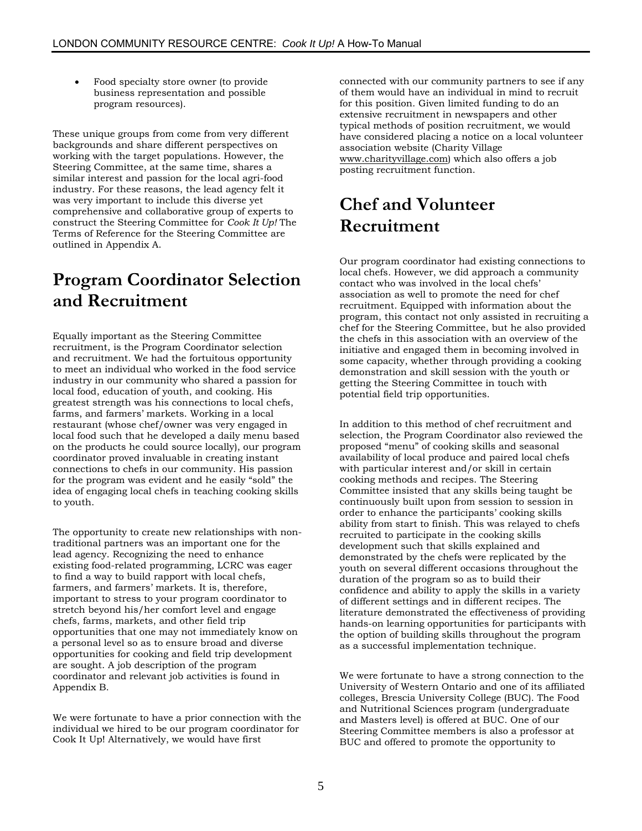• Food specialty store owner (to provide business representation and possible program resources).

These unique groups from come from very different backgrounds and share different perspectives on working with the target populations. However, the Steering Committee, at the same time, shares a similar interest and passion for the local agri-food industry. For these reasons, the lead agency felt it was very important to include this diverse yet comprehensive and collaborative group of experts to construct the Steering Committee for *Cook It Up!* The Terms of Reference for the Steering Committee are outlined in Appendix A.

# **Program Coordinator Selection and Recruitment**

Equally important as the Steering Committee recruitment, is the Program Coordinator selection and recruitment. We had the fortuitous opportunity to meet an individual who worked in the food service industry in our community who shared a passion for local food, education of youth, and cooking. His greatest strength was his connections to local chefs, farms, and farmers' markets. Working in a local restaurant (whose chef/owner was very engaged in local food such that he developed a daily menu based on the products he could source locally), our program coordinator proved invaluable in creating instant connections to chefs in our community. His passion for the program was evident and he easily "sold" the idea of engaging local chefs in teaching cooking skills to youth.

The opportunity to create new relationships with nontraditional partners was an important one for the lead agency. Recognizing the need to enhance existing food-related programming, LCRC was eager to find a way to build rapport with local chefs, farmers, and farmers' markets. It is, therefore, important to stress to your program coordinator to stretch beyond his/her comfort level and engage chefs, farms, markets, and other field trip opportunities that one may not immediately know on a personal level so as to ensure broad and diverse opportunities for cooking and field trip development are sought. A job description of the program coordinator and relevant job activities is found in Appendix B.

We were fortunate to have a prior connection with the individual we hired to be our program coordinator for Cook It Up! Alternatively, we would have first

connected with our community partners to see if any of them would have an individual in mind to recruit for this position. Given limited funding to do an extensive recruitment in newspapers and other typical methods of position recruitment, we would have considered placing a notice on a local volunteer association website (Charity Village [www.charityvillage.com](http://www.charityvillage.com/)) which also offers a job posting recruitment function.

# **Chef and Volunteer Recruitment**

Our program coordinator had existing connections to local chefs. However, we did approach a community contact who was involved in the local chefs' association as well to promote the need for chef recruitment. Equipped with information about the program, this contact not only assisted in recruiting a chef for the Steering Committee, but he also provided the chefs in this association with an overview of the initiative and engaged them in becoming involved in some capacity, whether through providing a cooking demonstration and skill session with the youth or getting the Steering Committee in touch with potential field trip opportunities.

In addition to this method of chef recruitment and selection, the Program Coordinator also reviewed the proposed "menu" of cooking skills and seasonal availability of local produce and paired local chefs with particular interest and/or skill in certain cooking methods and recipes. The Steering Committee insisted that any skills being taught be continuously built upon from session to session in order to enhance the participants' cooking skills ability from start to finish. This was relayed to chefs recruited to participate in the cooking skills development such that skills explained and demonstrated by the chefs were replicated by the youth on several different occasions throughout the duration of the program so as to build their confidence and ability to apply the skills in a variety of different settings and in different recipes. The literature demonstrated the effectiveness of providing hands-on learning opportunities for participants with the option of building skills throughout the program as a successful implementation technique.

We were fortunate to have a strong connection to the University of Western Ontario and one of its affiliated colleges, Brescia University College (BUC). The Food and Nutritional Sciences program (undergraduate and Masters level) is offered at BUC. One of our Steering Committee members is also a professor at BUC and offered to promote the opportunity to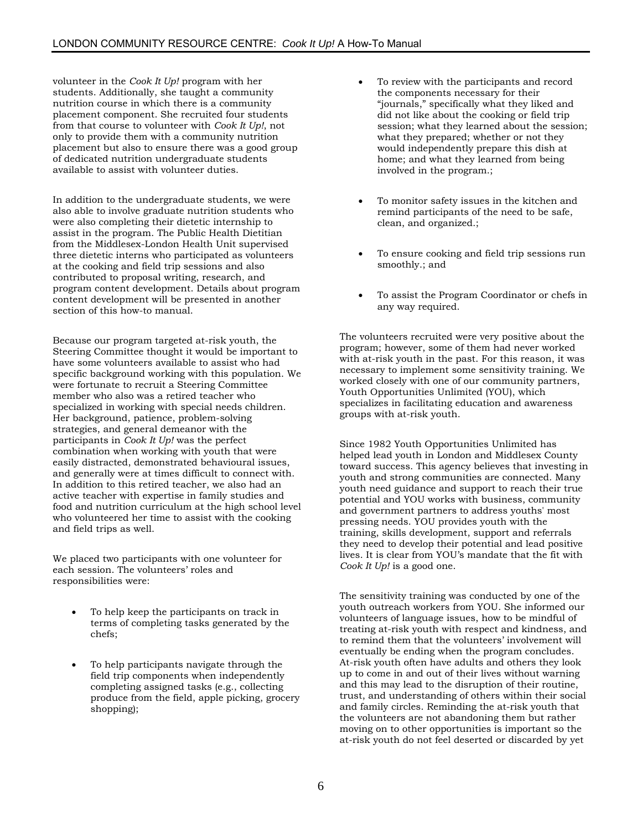volunteer in the *Cook It Up!* program with her students. Additionally, she taught a community nutrition course in which there is a community placement component. She recruited four students from that course to volunteer with *Cook It Up!*, not only to provide them with a community nutrition placement but also to ensure there was a good group of dedicated nutrition undergraduate students available to assist with volunteer duties.

In addition to the undergraduate students, we were also able to involve graduate nutrition students who were also completing their dietetic internship to assist in the program. The Public Health Dietitian from the Middlesex-London Health Unit supervised three dietetic interns who participated as volunteers at the cooking and field trip sessions and also contributed to proposal writing, research, and program content development. Details about program content development will be presented in another section of this how-to manual.

Because our program targeted at-risk youth, the Steering Committee thought it would be important to have some volunteers available to assist who had specific background working with this population. We were fortunate to recruit a Steering Committee member who also was a retired teacher who specialized in working with special needs children. Her background, patience, problem-solving strategies, and general demeanor with the participants in *Cook It Up!* was the perfect combination when working with youth that were easily distracted, demonstrated behavioural issues, and generally were at times difficult to connect with. In addition to this retired teacher, we also had an active teacher with expertise in family studies and food and nutrition curriculum at the high school level who volunteered her time to assist with the cooking and field trips as well.

We placed two participants with one volunteer for each session. The volunteers' roles and responsibilities were:

- To help keep the participants on track in terms of completing tasks generated by the chefs;
- To help participants navigate through the field trip components when independently completing assigned tasks (e.g., collecting produce from the field, apple picking, grocery shopping);
- To review with the participants and record the components necessary for their "journals," specifically what they liked and did not like about the cooking or field trip session; what they learned about the session; what they prepared; whether or not they would independently prepare this dish at home; and what they learned from being involved in the program.;
- To monitor safety issues in the kitchen and remind participants of the need to be safe, clean, and organized.;
- To ensure cooking and field trip sessions run smoothly.; and
- To assist the Program Coordinator or chefs in any way required.

The volunteers recruited were very positive about the program; however, some of them had never worked with at-risk youth in the past. For this reason, it was necessary to implement some sensitivity training. We worked closely with one of our community partners, Youth Opportunities Unlimited (YOU), which specializes in facilitating education and awareness groups with at-risk youth.

Since 1982 Youth Opportunities Unlimited has helped lead youth in London and Middlesex County toward success. This agency believes that investing in youth and strong communities are connected. Many youth need guidance and support to reach their true potential and YOU works with business, community and government partners to address youths' most pressing needs. YOU provides youth with the training, skills development, support and referrals they need to develop their potential and lead positive lives. It is clear from YOU's mandate that the fit with *Cook It Up!* is a good one.

The sensitivity training was conducted by one of the youth outreach workers from YOU. She informed our volunteers of language issues, how to be mindful of treating at-risk youth with respect and kindness, and to remind them that the volunteers' involvement will eventually be ending when the program concludes. At-risk youth often have adults and others they look up to come in and out of their lives without warning and this may lead to the disruption of their routine, trust, and understanding of others within their social and family circles. Reminding the at-risk youth that the volunteers are not abandoning them but rather moving on to other opportunities is important so the at-risk youth do not feel deserted or discarded by yet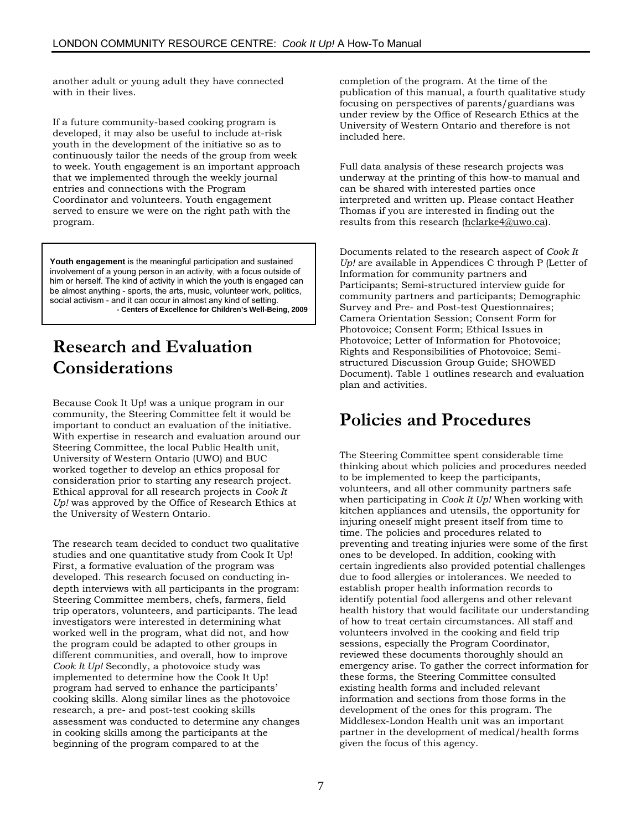another adult or young adult they have connected with in their lives.

If a future community-based cooking program is developed, it may also be useful to include at-risk youth in the development of the initiative so as to continuously tailor the needs of the group from week to week. Youth engagement is an important approach that we implemented through the weekly journal entries and connections with the Program Coordinator and volunteers. Youth engagement served to ensure we were on the right path with the program.

**Youth engagement** is the meaningful participation and sustained involvement of a young person in an activity, with a focus outside of him or herself. The kind of activity in which the youth is engaged can be almost anything - sports, the arts, music, volunteer work, politics, social activism - and it can occur in almost any kind of setting. **- Centers of Excellence for Children's Well-Being, 2009** 

# **Research and Evaluation Considerations**

Because Cook It Up! was a unique program in our community, the Steering Committee felt it would be important to conduct an evaluation of the initiative. With expertise in research and evaluation around our Steering Committee, the local Public Health unit, University of Western Ontario (UWO) and BUC worked together to develop an ethics proposal for consideration prior to starting any research project. Ethical approval for all research projects in *Cook It Up!* was approved by the Office of Research Ethics at the University of Western Ontario.

The research team decided to conduct two qualitative studies and one quantitative study from Cook It Up! First, a formative evaluation of the program was developed. This research focused on conducting indepth interviews with all participants in the program: Steering Committee members, chefs, farmers, field trip operators, volunteers, and participants. The lead investigators were interested in determining what worked well in the program, what did not, and how the program could be adapted to other groups in different communities, and overall, how to improve *Cook It Up!* Secondly, a photovoice study was implemented to determine how the Cook It Up! program had served to enhance the participants' cooking skills. Along similar lines as the photovoice research, a pre- and post-test cooking skills assessment was conducted to determine any changes in cooking skills among the participants at the beginning of the program compared to at the

completion of the program. At the time of the publication of this manual, a fourth qualitative study focusing on perspectives of parents/guardians was under review by the Office of Research Ethics at the University of Western Ontario and therefore is not included here.

Full data analysis of these research projects was underway at the printing of this how-to manual and can be shared with interested parties once interpreted and written up. Please contact Heather Thomas if you are interested in finding out the results from this research [\(hclarke4@uwo.ca](mailto:hclarke4@uwo.ca)).

Documents related to the research aspect of *Cook It Up!* are available in Appendices C through P (Letter of Information for community partners and Participants; Semi-structured interview guide for community partners and participants; Demographic Survey and Pre- and Post-test Questionnaires; Camera Orientation Session; Consent Form for Photovoice; Consent Form; Ethical Issues in Photovoice; Letter of Information for Photovoice; Rights and Responsibilities of Photovoice; Semistructured Discussion Group Guide; SHOWED Document). Table 1 outlines research and evaluation plan and activities.

## **Policies and Procedures**

The Steering Committee spent considerable time thinking about which policies and procedures needed to be implemented to keep the participants, volunteers, and all other community partners safe when participating in *Cook It Up!* When working with kitchen appliances and utensils, the opportunity for injuring oneself might present itself from time to time. The policies and procedures related to preventing and treating injuries were some of the first ones to be developed. In addition, cooking with certain ingredients also provided potential challenges due to food allergies or intolerances. We needed to establish proper health information records to identify potential food allergens and other relevant health history that would facilitate our understanding of how to treat certain circumstances. All staff and volunteers involved in the cooking and field trip sessions, especially the Program Coordinator, reviewed these documents thoroughly should an emergency arise. To gather the correct information for these forms, the Steering Committee consulted existing health forms and included relevant information and sections from those forms in the development of the ones for this program. The Middlesex-London Health unit was an important partner in the development of medical/health forms given the focus of this agency.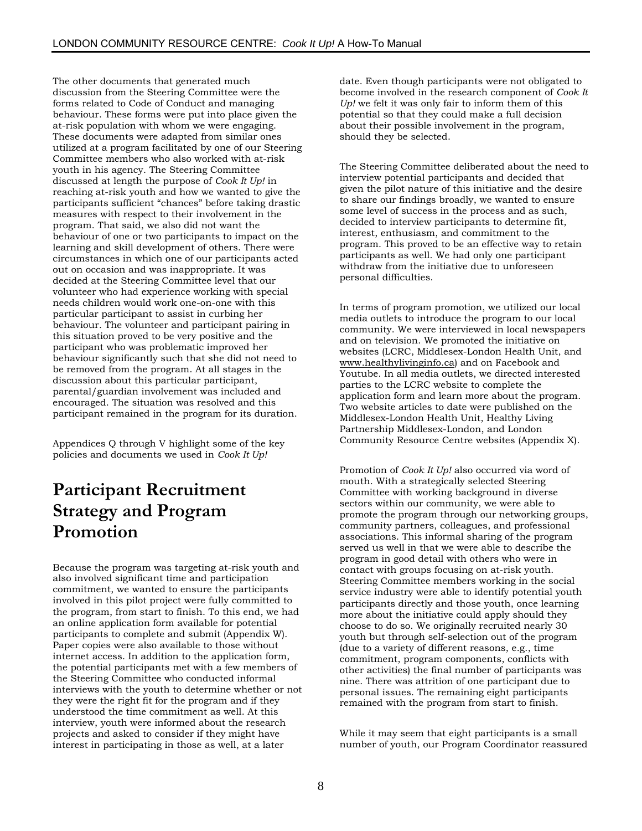The other documents that generated much discussion from the Steering Committee were the forms related to Code of Conduct and managing behaviour. These forms were put into place given the at-risk population with whom we were engaging. These documents were adapted from similar ones utilized at a program facilitated by one of our Steering Committee members who also worked with at-risk youth in his agency. The Steering Committee discussed at length the purpose of *Cook It Up!* in reaching at-risk youth and how we wanted to give the participants sufficient "chances" before taking drastic measures with respect to their involvement in the program. That said, we also did not want the behaviour of one or two participants to impact on the learning and skill development of others. There were circumstances in which one of our participants acted out on occasion and was inappropriate. It was decided at the Steering Committee level that our volunteer who had experience working with special needs children would work one-on-one with this particular participant to assist in curbing her behaviour. The volunteer and participant pairing in this situation proved to be very positive and the participant who was problematic improved her behaviour significantly such that she did not need to be removed from the program. At all stages in the discussion about this particular participant, parental/guardian involvement was included and encouraged. The situation was resolved and this participant remained in the program for its duration.

Appendices Q through V highlight some of the key policies and documents we used in *Cook It Up!*

# **Participant Recruitment Strategy and Program Promotion**

Because the program was targeting at-risk youth and also involved significant time and participation commitment, we wanted to ensure the participants involved in this pilot project were fully committed to the program, from start to finish. To this end, we had an online application form available for potential participants to complete and submit (Appendix W). Paper copies were also available to those without internet access. In addition to the application form, the potential participants met with a few members of the Steering Committee who conducted informal interviews with the youth to determine whether or not they were the right fit for the program and if they understood the time commitment as well. At this interview, youth were informed about the research projects and asked to consider if they might have interest in participating in those as well, at a later

date. Even though participants were not obligated to become involved in the research component of *Cook It Up!* we felt it was only fair to inform them of this potential so that they could make a full decision about their possible involvement in the program, should they be selected.

The Steering Committee deliberated about the need to interview potential participants and decided that given the pilot nature of this initiative and the desire to share our findings broadly, we wanted to ensure some level of success in the process and as such, decided to interview participants to determine fit, interest, enthusiasm, and commitment to the program. This proved to be an effective way to retain participants as well. We had only one participant withdraw from the initiative due to unforeseen personal difficulties.

In terms of program promotion, we utilized our local media outlets to introduce the program to our local community. We were interviewed in local newspapers and on television. We promoted the initiative on websites (LCRC, Middlesex-London Health Unit, and [www.healthylivinginfo.ca\)](http://www.healthylivinginfo.ca/) and on Facebook and Youtube. In all media outlets, we directed interested parties to the LCRC website to complete the application form and learn more about the program. Two website articles to date were published on the Middlesex-London Health Unit, Healthy Living Partnership Middlesex-London, and London Community Resource Centre websites (Appendix X).

Promotion of *Cook It Up!* also occurred via word of mouth. With a strategically selected Steering Committee with working background in diverse sectors within our community, we were able to promote the program through our networking groups, community partners, colleagues, and professional associations. This informal sharing of the program served us well in that we were able to describe the program in good detail with others who were in contact with groups focusing on at-risk youth. Steering Committee members working in the social service industry were able to identify potential youth participants directly and those youth, once learning more about the initiative could apply should they choose to do so. We originally recruited nearly 30 youth but through self-selection out of the program (due to a variety of different reasons, e.g., time commitment, program components, conflicts with other activities) the final number of participants was nine. There was attrition of one participant due to personal issues. The remaining eight participants remained with the program from start to finish.

While it may seem that eight participants is a small number of youth, our Program Coordinator reassured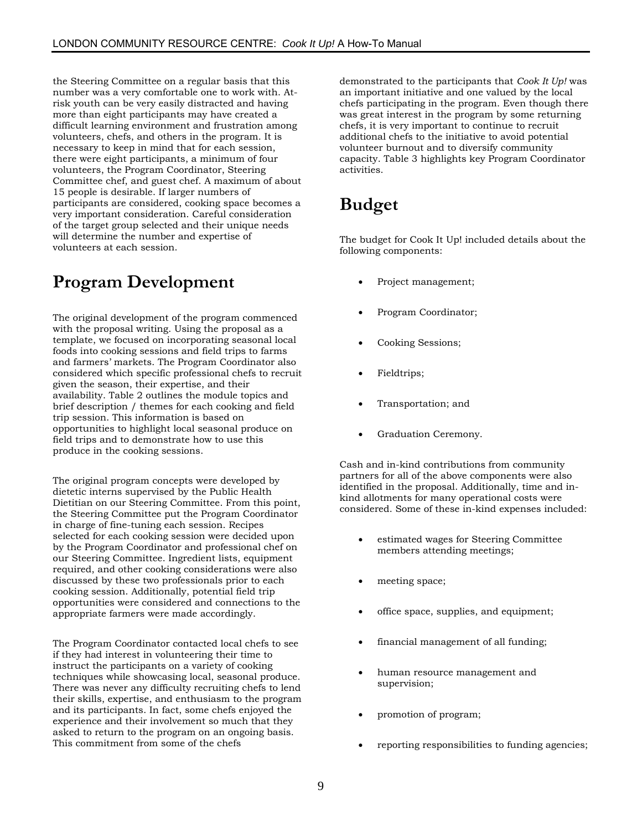the Steering Committee on a regular basis that this number was a very comfortable one to work with. Atrisk youth can be very easily distracted and having more than eight participants may have created a difficult learning environment and frustration among volunteers, chefs, and others in the program. It is necessary to keep in mind that for each session, there were eight participants, a minimum of four volunteers, the Program Coordinator, Steering Committee chef, and guest chef. A maximum of about 15 people is desirable. If larger numbers of participants are considered, cooking space becomes a very important consideration. Careful consideration of the target group selected and their unique needs will determine the number and expertise of volunteers at each session.

# **Program Development**

The original development of the program commenced with the proposal writing. Using the proposal as a template, we focused on incorporating seasonal local foods into cooking sessions and field trips to farms and farmers' markets. The Program Coordinator also considered which specific professional chefs to recruit given the season, their expertise, and their availability. Table 2 outlines the module topics and brief description / themes for each cooking and field trip session. This information is based on opportunities to highlight local seasonal produce on field trips and to demonstrate how to use this produce in the cooking sessions.

The original program concepts were developed by dietetic interns supervised by the Public Health Dietitian on our Steering Committee. From this point, the Steering Committee put the Program Coordinator in charge of fine-tuning each session. Recipes selected for each cooking session were decided upon by the Program Coordinator and professional chef on our Steering Committee. Ingredient lists, equipment required, and other cooking considerations were also discussed by these two professionals prior to each cooking session. Additionally, potential field trip opportunities were considered and connections to the appropriate farmers were made accordingly.

The Program Coordinator contacted local chefs to see if they had interest in volunteering their time to instruct the participants on a variety of cooking techniques while showcasing local, seasonal produce. There was never any difficulty recruiting chefs to lend their skills, expertise, and enthusiasm to the program and its participants. In fact, some chefs enjoyed the experience and their involvement so much that they asked to return to the program on an ongoing basis. This commitment from some of the chefs

demonstrated to the participants that *Cook It Up!* was an important initiative and one valued by the local chefs participating in the program. Even though there was great interest in the program by some returning chefs, it is very important to continue to recruit additional chefs to the initiative to avoid potential volunteer burnout and to diversify community capacity. Table 3 highlights key Program Coordinator activities.

# **Budget**

The budget for Cook It Up! included details about the following components:

- Project management;
- Program Coordinator;
- Cooking Sessions;
- Fieldtrips;
- Transportation; and
- Graduation Ceremony.

Cash and in-kind contributions from community partners for all of the above components were also identified in the proposal. Additionally, time and inkind allotments for many operational costs were considered. Some of these in-kind expenses included:

- estimated wages for Steering Committee members attending meetings;
- meeting space;
- office space, supplies, and equipment;
- financial management of all funding;
- human resource management and supervision;
- promotion of program;
- reporting responsibilities to funding agencies;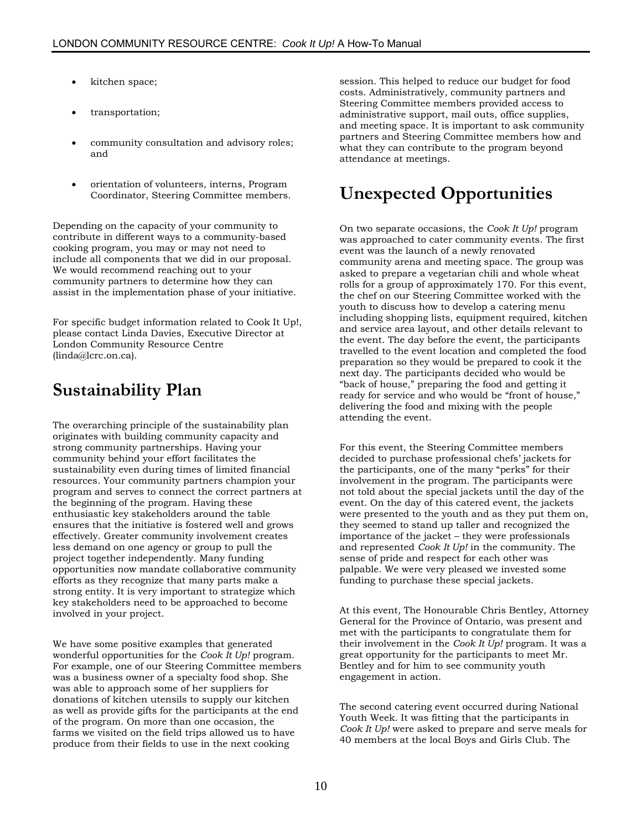- kitchen space;
- transportation;
- community consultation and advisory roles; and
- orientation of volunteers, interns, Program Coordinator, Steering Committee members.

Depending on the capacity of your community to contribute in different ways to a community-based cooking program, you may or may not need to include all components that we did in our proposal. We would recommend reaching out to your community partners to determine how they can assist in the implementation phase of your initiative.

For specific budget information related to Cook It Up!, please contact Linda Davies, Executive Director at London Community Resource Centre (linda@lcrc.on.ca).

# **Sustainability Plan**

The overarching principle of the sustainability plan originates with building community capacity and strong community partnerships. Having your community behind your effort facilitates the sustainability even during times of limited financial resources. Your community partners champion your program and serves to connect the correct partners at the beginning of the program. Having these enthusiastic key stakeholders around the table ensures that the initiative is fostered well and grows effectively. Greater community involvement creates less demand on one agency or group to pull the project together independently. Many funding opportunities now mandate collaborative community efforts as they recognize that many parts make a strong entity. It is very important to strategize which key stakeholders need to be approached to become involved in your project.

We have some positive examples that generated wonderful opportunities for the *Cook It Up!* program. For example, one of our Steering Committee members was a business owner of a specialty food shop. She was able to approach some of her suppliers for donations of kitchen utensils to supply our kitchen as well as provide gifts for the participants at the end of the program. On more than one occasion, the farms we visited on the field trips allowed us to have produce from their fields to use in the next cooking

session. This helped to reduce our budget for food costs. Administratively, community partners and Steering Committee members provided access to administrative support, mail outs, office supplies, and meeting space. It is important to ask community partners and Steering Committee members how and what they can contribute to the program beyond attendance at meetings.

# **Unexpected Opportunities**

On two separate occasions, the *Cook It Up!* program was approached to cater community events. The first event was the launch of a newly renovated community arena and meeting space. The group was asked to prepare a vegetarian chili and whole wheat rolls for a group of approximately 170. For this event, the chef on our Steering Committee worked with the youth to discuss how to develop a catering menu including shopping lists, equipment required, kitchen and service area layout, and other details relevant to the event. The day before the event, the participants travelled to the event location and completed the food preparation so they would be prepared to cook it the next day. The participants decided who would be "back of house," preparing the food and getting it ready for service and who would be "front of house," delivering the food and mixing with the people attending the event.

For this event, the Steering Committee members decided to purchase professional chefs' jackets for the participants, one of the many "perks" for their involvement in the program. The participants were not told about the special jackets until the day of the event. On the day of this catered event, the jackets were presented to the youth and as they put them on, they seemed to stand up taller and recognized the importance of the jacket – they were professionals and represented *Cook It Up!* in the community. The sense of pride and respect for each other was palpable. We were very pleased we invested some funding to purchase these special jackets.

At this event, The Honourable Chris Bentley, Attorney General for the Province of Ontario, was present and met with the participants to congratulate them for their involvement in the *Cook It Up!* program. It was a great opportunity for the participants to meet Mr. Bentley and for him to see community youth engagement in action.

The second catering event occurred during National Youth Week. It was fitting that the participants in *Cook It Up!* were asked to prepare and serve meals for 40 members at the local Boys and Girls Club. The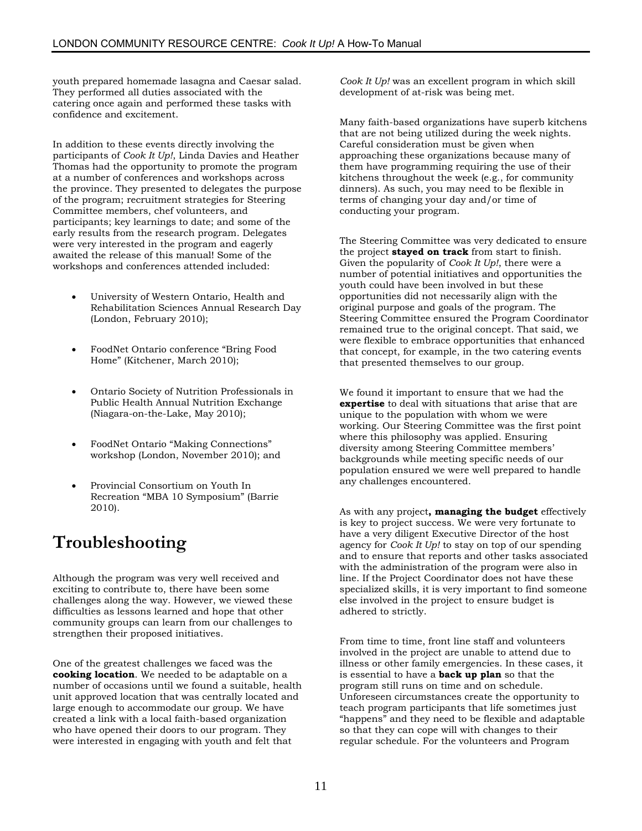youth prepared homemade lasagna and Caesar salad. They performed all duties associated with the catering once again and performed these tasks with confidence and excitement.

In addition to these events directly involving the participants of *Cook It Up!*, Linda Davies and Heather Thomas had the opportunity to promote the program at a number of conferences and workshops across the province. They presented to delegates the purpose of the program; recruitment strategies for Steering Committee members, chef volunteers, and participants; key learnings to date; and some of the early results from the research program. Delegates were very interested in the program and eagerly awaited the release of this manual! Some of the workshops and conferences attended included:

- University of Western Ontario, Health and Rehabilitation Sciences Annual Research Day (London, February 2010);
- FoodNet Ontario conference "Bring Food Home" (Kitchener, March 2010);
- Ontario Society of Nutrition Professionals in Public Health Annual Nutrition Exchange (Niagara-on-the-Lake, May 2010);
- FoodNet Ontario "Making Connections" workshop (London, November 2010); and
- Provincial Consortium on Youth In Recreation "MBA 10 Symposium" (Barrie 2010).

# **Troubleshooting**

Although the program was very well received and exciting to contribute to, there have been some challenges along the way. However, we viewed these difficulties as lessons learned and hope that other community groups can learn from our challenges to strengthen their proposed initiatives.

One of the greatest challenges we faced was the **cooking location**. We needed to be adaptable on a number of occasions until we found a suitable, health unit approved location that was centrally located and large enough to accommodate our group. We have created a link with a local faith-based organization who have opened their doors to our program. They were interested in engaging with youth and felt that

*Cook It Up!* was an excellent program in which skill development of at-risk was being met.

Many faith-based organizations have superb kitchens that are not being utilized during the week nights. Careful consideration must be given when approaching these organizations because many of them have programming requiring the use of their kitchens throughout the week (e.g., for community dinners). As such, you may need to be flexible in terms of changing your day and/or time of conducting your program.

The Steering Committee was very dedicated to ensure the project **stayed on track** from start to finish. Given the popularity of *Cook It Up!*, there were a number of potential initiatives and opportunities the youth could have been involved in but these opportunities did not necessarily align with the original purpose and goals of the program. The Steering Committee ensured the Program Coordinator remained true to the original concept. That said, we were flexible to embrace opportunities that enhanced that concept, for example, in the two catering events that presented themselves to our group.

We found it important to ensure that we had the **expertise** to deal with situations that arise that are unique to the population with whom we were working. Our Steering Committee was the first point where this philosophy was applied. Ensuring diversity among Steering Committee members' backgrounds while meeting specific needs of our population ensured we were well prepared to handle any challenges encountered.

As with any project**, managing the budget** effectively is key to project success. We were very fortunate to have a very diligent Executive Director of the host agency for *Cook It Up!* to stay on top of our spending and to ensure that reports and other tasks associated with the administration of the program were also in line. If the Project Coordinator does not have these specialized skills, it is very important to find someone else involved in the project to ensure budget is adhered to strictly.

From time to time, front line staff and volunteers involved in the project are unable to attend due to illness or other family emergencies. In these cases, it is essential to have a **back up plan** so that the program still runs on time and on schedule. Unforeseen circumstances create the opportunity to teach program participants that life sometimes just "happens" and they need to be flexible and adaptable so that they can cope will with changes to their regular schedule. For the volunteers and Program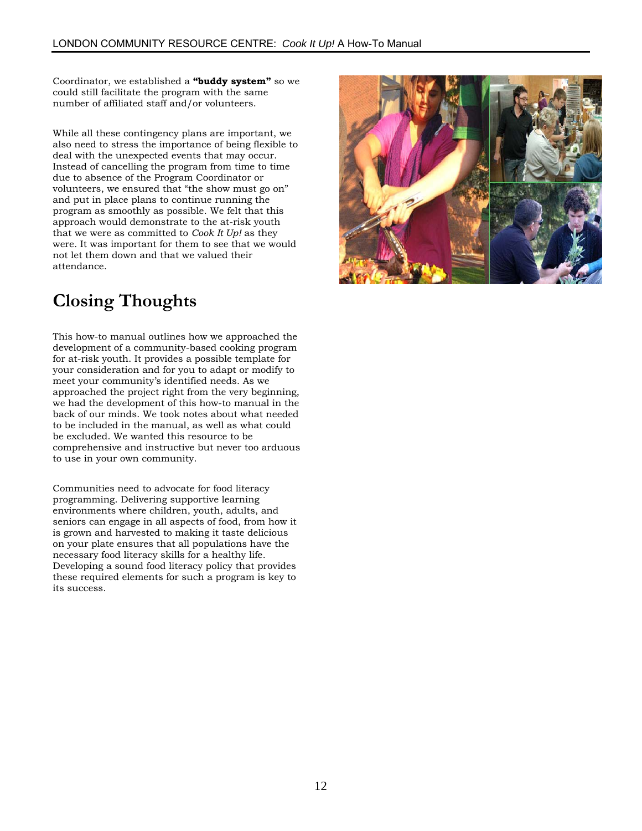Coordinator, we established a **"buddy system"** so we could still facilitate the program with the same number of affiliated staff and/or volunteers.

While all these contingency plans are important, we also need to stress the importance of being flexible to deal with the unexpected events that may occur. Instead of cancelling the program from time to time due to absence of the Program Coordinator or volunteers, we ensured that "the show must go on" and put in place plans to continue running the program as smoothly as possible. We felt that this approach would demonstrate to the at-risk youth that we were as committed to *Cook It Up!* as they were. It was important for them to see that we would not let them down and that we valued their attendance.

# **Closing Thoughts**

This how-to manual outlines how we approached the development of a community-based cooking program for at-risk youth. It provides a possible template for your consideration and for you to adapt or modify to meet your community's identified needs. As we approached the project right from the very beginning, we had the development of this how-to manual in the back of our minds. We took notes about what needed to be included in the manual, as well as what could be excluded. We wanted this resource to be comprehensive and instructive but never too arduous to use in your own community.

Communities need to advocate for food literacy programming. Delivering supportive learning environments where children, youth, adults, and seniors can engage in all aspects of food, from how it is grown and harvested to making it taste delicious on your plate ensures that all populations have the necessary food literacy skills for a healthy life. Developing a sound food literacy policy that provides these required elements for such a program is key to its success.

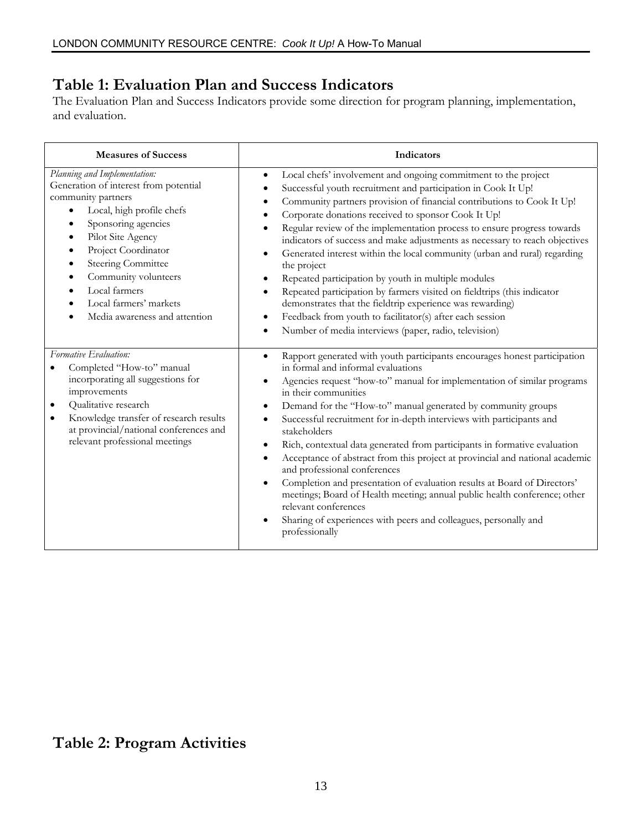### **Table 1: Evaluation Plan and Success Indicators**

The Evaluation Plan and Success Indicators provide some direction for program planning, implementation, and evaluation.

| <b>Measures of Success</b>                                                                                                                                                                                                                                                                                                                             | Indicators                                                                                                                                                                                                                                                                                                                                                                                                                                                                                                                                                                                                                                                                                                                                                                                                                                                       |
|--------------------------------------------------------------------------------------------------------------------------------------------------------------------------------------------------------------------------------------------------------------------------------------------------------------------------------------------------------|------------------------------------------------------------------------------------------------------------------------------------------------------------------------------------------------------------------------------------------------------------------------------------------------------------------------------------------------------------------------------------------------------------------------------------------------------------------------------------------------------------------------------------------------------------------------------------------------------------------------------------------------------------------------------------------------------------------------------------------------------------------------------------------------------------------------------------------------------------------|
| Planning and Implementation:<br>Generation of interest from potential<br>community partners<br>Local, high profile chefs<br>$\bullet$<br>Sponsoring agencies<br>Pilot Site Agency<br>Project Coordinator<br><b>Steering Committee</b><br>$\bullet$<br>Community volunteers<br>Local farmers<br>Local farmers' markets<br>Media awareness and attention | Local chefs' involvement and ongoing commitment to the project<br>Successful youth recruitment and participation in Cook It Up!<br>Community partners provision of financial contributions to Cook It Up!<br>Corporate donations received to sponsor Cook It Up!<br>Regular review of the implementation process to ensure progress towards<br>indicators of success and make adjustments as necessary to reach objectives<br>Generated interest within the local community (urban and rural) regarding<br>the project<br>Repeated participation by youth in multiple modules<br>Repeated participation by farmers visited on fieldtrips (this indicator<br>demonstrates that the fieldtrip experience was rewarding)<br>Feedback from youth to facilitator(s) after each session<br>Number of media interviews (paper, radio, television)                       |
| Formative Evaluation:<br>Completed "How-to" manual<br>incorporating all suggestions for<br>improvements<br>Qualitative research<br>$\bullet$<br>Knowledge transfer of research results<br>$\bullet$<br>at provincial/national conferences and<br>relevant professional meetings                                                                        | Rapport generated with youth participants encourages honest participation<br>$\bullet$<br>in formal and informal evaluations<br>Agencies request "how-to" manual for implementation of similar programs<br>in their communities<br>Demand for the "How-to" manual generated by community groups<br>Successful recruitment for in-depth interviews with participants and<br>stakeholders<br>Rich, contextual data generated from participants in formative evaluation<br>٠<br>Acceptance of abstract from this project at provincial and national academic<br>and professional conferences<br>Completion and presentation of evaluation results at Board of Directors'<br>meetings; Board of Health meeting; annual public health conference; other<br>relevant conferences<br>Sharing of experiences with peers and colleagues, personally and<br>professionally |

## **Table 2: Program Activities**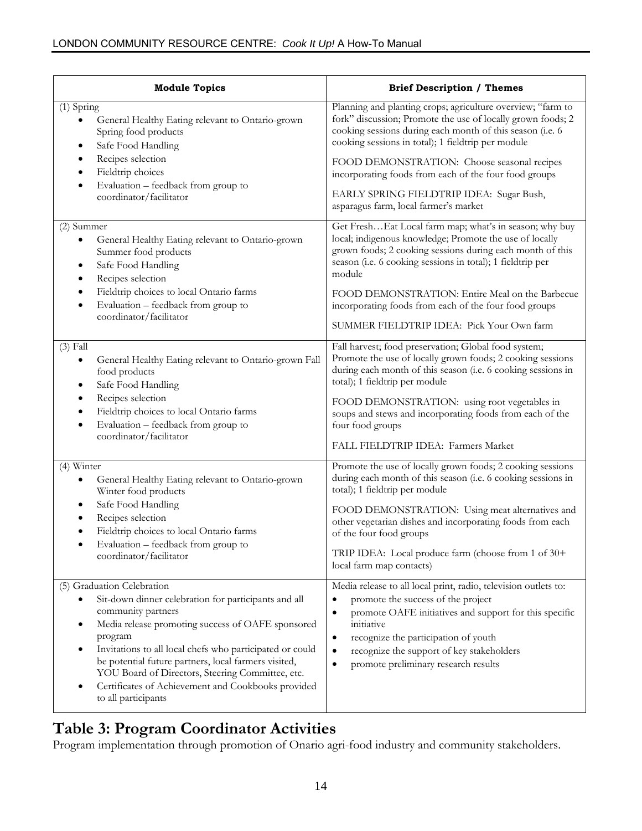| <b>Module Topics</b>                                                                                                                                                                                                                                                                                                                                                                                                          | <b>Brief Description / Themes</b>                                                                                                                                                                                                                                                                                                                                                                                                          |
|-------------------------------------------------------------------------------------------------------------------------------------------------------------------------------------------------------------------------------------------------------------------------------------------------------------------------------------------------------------------------------------------------------------------------------|--------------------------------------------------------------------------------------------------------------------------------------------------------------------------------------------------------------------------------------------------------------------------------------------------------------------------------------------------------------------------------------------------------------------------------------------|
| (1) Spring<br>General Healthy Eating relevant to Ontario-grown<br>Spring food products<br>Safe Food Handling<br>٠<br>Recipes selection<br>Fieldtrip choices<br>Evaluation - feedback from group to<br>coordinator/facilitator                                                                                                                                                                                                 | Planning and planting crops; agriculture overview; "farm to<br>fork" discussion; Promote the use of locally grown foods; 2<br>cooking sessions during each month of this season (i.e. 6<br>cooking sessions in total); 1 fieldtrip per module<br>FOOD DEMONSTRATION: Choose seasonal recipes<br>incorporating foods from each of the four food groups<br>EARLY SPRING FIELDTRIP IDEA: Sugar Bush,<br>asparagus farm, local farmer's market |
| (2) Summer<br>General Healthy Eating relevant to Ontario-grown<br>Summer food products<br>Safe Food Handling<br>٠<br>Recipes selection<br>Fieldtrip choices to local Ontario farms<br>Evaluation – feedback from group to<br>coordinator/facilitator                                                                                                                                                                          | Get FreshEat Local farm map; what's in season; why buy<br>local; indigenous knowledge; Promote the use of locally<br>grown foods; 2 cooking sessions during each month of this<br>season (i.e. 6 cooking sessions in total); 1 fieldtrip per<br>module<br>FOOD DEMONSTRATION: Entire Meal on the Barbecue<br>incorporating foods from each of the four food groups<br>SUMMER FIELDTRIP IDEA: Pick Your Own farm                            |
| $(3)$ Fall<br>General Healthy Eating relevant to Ontario-grown Fall<br>food products<br>Safe Food Handling<br>٠<br>Recipes selection<br>Fieldtrip choices to local Ontario farms<br>Evaluation - feedback from group to<br>coordinator/facilitator                                                                                                                                                                            | Fall harvest; food preservation; Global food system;<br>Promote the use of locally grown foods; 2 cooking sessions<br>during each month of this season (i.e. 6 cooking sessions in<br>total); 1 fieldtrip per module<br>FOOD DEMONSTRATION: using root vegetables in<br>soups and stews and incorporating foods from each of the<br>four food groups<br>FALL FIELDTRIP IDEA: Farmers Market                                                |
| (4) Winter<br>General Healthy Eating relevant to Ontario-grown<br>Winter food products<br>Safe Food Handling<br>Recipes selection<br>Fieldtrip choices to local Ontario farms<br>Evaluation - feedback from group to<br>coordinator/facilitator                                                                                                                                                                               | Promote the use of locally grown foods; 2 cooking sessions<br>during each month of this season (i.e. 6 cooking sessions in<br>total); 1 fieldtrip per module<br>FOOD DEMONSTRATION: Using meat alternatives and<br>other vegetarian dishes and incorporating foods from each<br>of the four food groups<br>TRIP IDEA: Local produce farm (choose from 1 of 30+<br>local farm map contacts)                                                 |
| (5) Graduation Celebration<br>Sit-down dinner celebration for participants and all<br>community partners<br>Media release promoting success of OAFE sponsored<br>program<br>Invitations to all local chefs who participated or could<br>be potential future partners, local farmers visited,<br>YOU Board of Directors, Steering Committee, etc.<br>Certificates of Achievement and Cookbooks provided<br>to all participants | Media release to all local print, radio, television outlets to:<br>promote the success of the project<br>$\bullet$<br>promote OAFE initiatives and support for this specific<br>$\bullet$<br>initiative<br>recognize the participation of youth<br>$\bullet$<br>recognize the support of key stakeholders<br>$\bullet$<br>promote preliminary research results<br>$\bullet$                                                                |

## **Table 3: Program Coordinator Activities**

Program implementation through promotion of Onario agri-food industry and community stakeholders.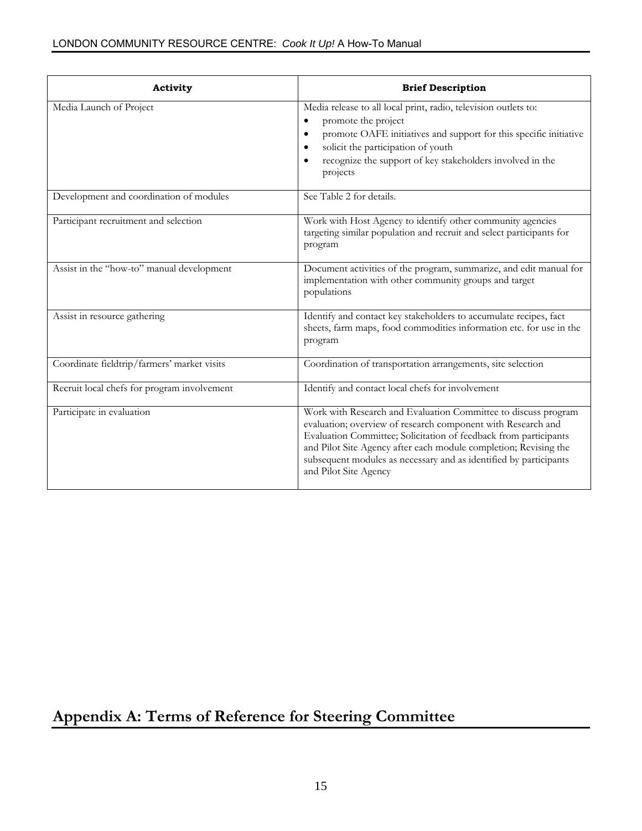| Activity                                    | <b>Brief Description</b>                                                                                                                                                                                                                                                                                                                                             |
|---------------------------------------------|----------------------------------------------------------------------------------------------------------------------------------------------------------------------------------------------------------------------------------------------------------------------------------------------------------------------------------------------------------------------|
| Media Launch of Project                     | Media release to all local print, radio, television outlets to:<br>promote the project<br>$\bullet$<br>promote OAFE initiatives and support for this specific initiative<br>$\bullet$<br>solicit the participation of youth<br>recognize the support of key stakeholders involved in the<br>projects                                                                 |
| Development and coordination of modules     | See Table 2 for details.                                                                                                                                                                                                                                                                                                                                             |
| Participant recruitment and selection       | Work with Host Agency to identify other community agencies<br>targeting similar population and recruit and select participants for<br>program                                                                                                                                                                                                                        |
| Assist in the "how-to" manual development   | Document activities of the program, summarize, and edit manual for<br>implementation with other community groups and target<br>populations                                                                                                                                                                                                                           |
| Assist in resource gathering                | Identify and contact key stakeholders to accumulate recipes, fact<br>sheets, farm maps, food commodities information etc. for use in the<br>program                                                                                                                                                                                                                  |
| Coordinate fieldtrip/farmers' market visits | Coordination of transportation arrangements, site selection                                                                                                                                                                                                                                                                                                          |
| Recruit local chefs for program involvement | Identify and contact local chefs for involvement                                                                                                                                                                                                                                                                                                                     |
| Participate in evaluation                   | Work with Research and Evaluation Committee to discuss program<br>evaluation; overview of research component with Research and<br>Evaluation Committee; Solicitation of feedback from participants<br>and Pilot Site Agency after each module completion; Revising the<br>subsequent modules as necessary and as identified by participants<br>and Pilot Site Agency |

## **Appendix A: Terms of Reference for Steering Committee**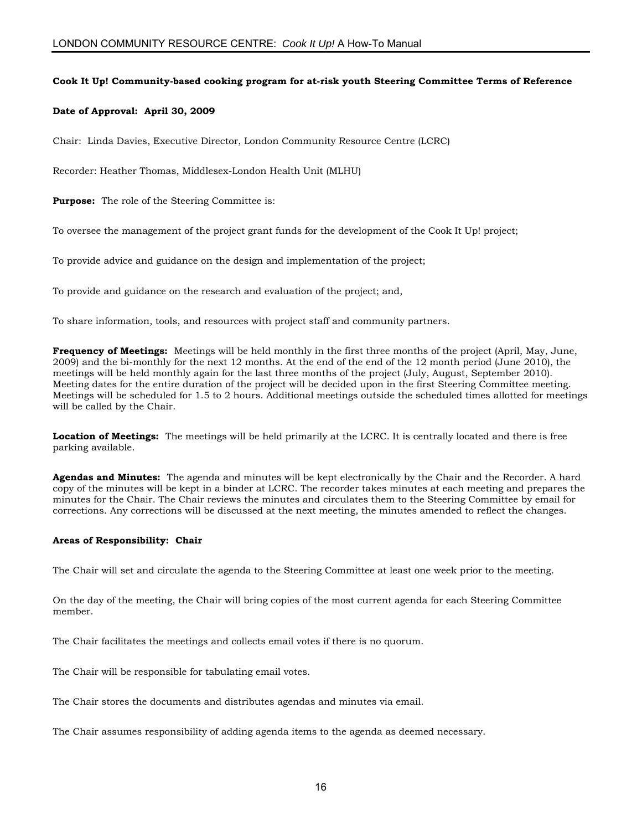#### **Cook It Up! Community-based cooking program for at-risk youth Steering Committee Terms of Reference**

#### **Date of Approval: April 30, 2009**

Chair: Linda Davies, Executive Director, London Community Resource Centre (LCRC)

Recorder: Heather Thomas, Middlesex-London Health Unit (MLHU)

**Purpose:** The role of the Steering Committee is:

To oversee the management of the project grant funds for the development of the Cook It Up! project;

To provide advice and guidance on the design and implementation of the project;

To provide and guidance on the research and evaluation of the project; and,

To share information, tools, and resources with project staff and community partners.

**Frequency of Meetings:** Meetings will be held monthly in the first three months of the project (April, May, June, 2009) and the bi-monthly for the next 12 months. At the end of the end of the 12 month period (June 2010), the meetings will be held monthly again for the last three months of the project (July, August, September 2010). Meeting dates for the entire duration of the project will be decided upon in the first Steering Committee meeting. Meetings will be scheduled for 1.5 to 2 hours. Additional meetings outside the scheduled times allotted for meetings will be called by the Chair.

**Location of Meetings:** The meetings will be held primarily at the LCRC. It is centrally located and there is free parking available.

**Agendas and Minutes:** The agenda and minutes will be kept electronically by the Chair and the Recorder. A hard copy of the minutes will be kept in a binder at LCRC. The recorder takes minutes at each meeting and prepares the minutes for the Chair. The Chair reviews the minutes and circulates them to the Steering Committee by email for corrections. Any corrections will be discussed at the next meeting, the minutes amended to reflect the changes.

#### **Areas of Responsibility: Chair**

The Chair will set and circulate the agenda to the Steering Committee at least one week prior to the meeting.

On the day of the meeting, the Chair will bring copies of the most current agenda for each Steering Committee member.

The Chair facilitates the meetings and collects email votes if there is no quorum.

The Chair will be responsible for tabulating email votes.

The Chair stores the documents and distributes agendas and minutes via email.

The Chair assumes responsibility of adding agenda items to the agenda as deemed necessary.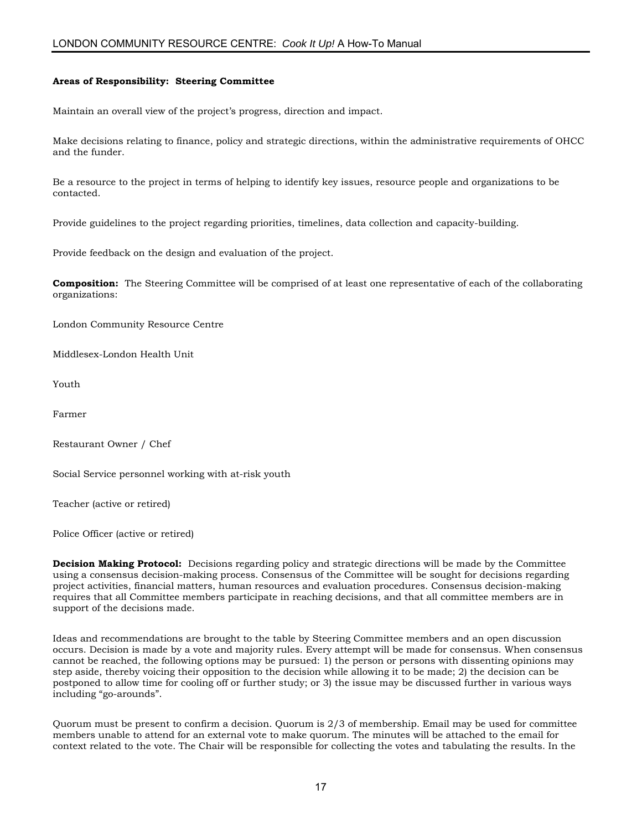#### **Areas of Responsibility: Steering Committee**

Maintain an overall view of the project's progress, direction and impact.

Make decisions relating to finance, policy and strategic directions, within the administrative requirements of OHCC and the funder.

Be a resource to the project in terms of helping to identify key issues, resource people and organizations to be contacted.

Provide guidelines to the project regarding priorities, timelines, data collection and capacity-building.

Provide feedback on the design and evaluation of the project.

**Composition:** The Steering Committee will be comprised of at least one representative of each of the collaborating organizations:

London Community Resource Centre

Middlesex-London Health Unit

Youth

Farmer

Restaurant Owner / Chef

Social Service personnel working with at-risk youth

Teacher (active or retired)

Police Officer (active or retired)

**Decision Making Protocol:** Decisions regarding policy and strategic directions will be made by the Committee using a consensus decision-making process. Consensus of the Committee will be sought for decisions regarding project activities, financial matters, human resources and evaluation procedures. Consensus decision-making requires that all Committee members participate in reaching decisions, and that all committee members are in support of the decisions made.

Ideas and recommendations are brought to the table by Steering Committee members and an open discussion occurs. Decision is made by a vote and majority rules. Every attempt will be made for consensus. When consensus cannot be reached, the following options may be pursued: 1) the person or persons with dissenting opinions may step aside, thereby voicing their opposition to the decision while allowing it to be made; 2) the decision can be postponed to allow time for cooling off or further study; or 3) the issue may be discussed further in various ways including "go-arounds".

Quorum must be present to confirm a decision. Quorum is 2/3 of membership. Email may be used for committee members unable to attend for an external vote to make quorum. The minutes will be attached to the email for context related to the vote. The Chair will be responsible for collecting the votes and tabulating the results. In the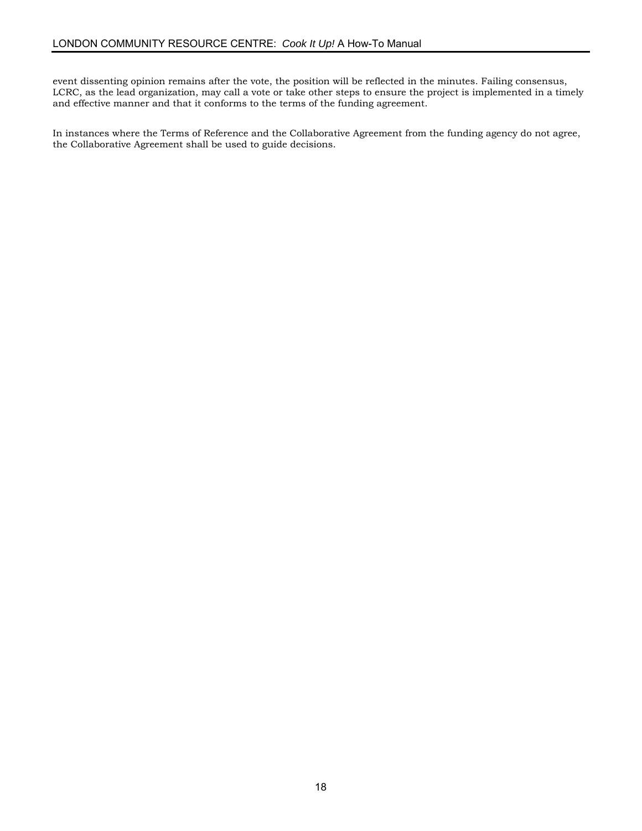event dissenting opinion remains after the vote, the position will be reflected in the minutes. Failing consensus, LCRC, as the lead organization, may call a vote or take other steps to ensure the project is implemented in a timely and effective manner and that it conforms to the terms of the funding agreement.

In instances where the Terms of Reference and the Collaborative Agreement from the funding agency do not agree, the Collaborative Agreement shall be used to guide decisions.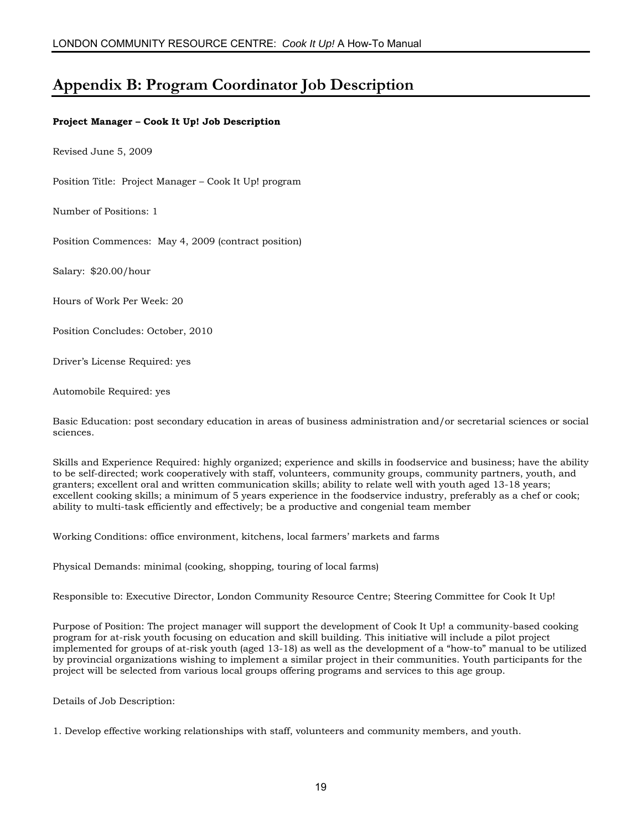### **Appendix B: Program Coordinator Job Description**

#### **Project Manager – Cook It Up! Job Description**

Revised June 5, 2009

Position Title: Project Manager – Cook It Up! program

Number of Positions: 1

Position Commences: May 4, 2009 (contract position)

Salary: \$20.00/hour

Hours of Work Per Week: 20

Position Concludes: October, 2010

Driver's License Required: yes

Automobile Required: yes

Basic Education: post secondary education in areas of business administration and/or secretarial sciences or social sciences.

Skills and Experience Required: highly organized; experience and skills in foodservice and business; have the ability to be self-directed; work cooperatively with staff, volunteers, community groups, community partners, youth, and granters; excellent oral and written communication skills; ability to relate well with youth aged 13-18 years; excellent cooking skills; a minimum of 5 years experience in the foodservice industry, preferably as a chef or cook; ability to multi-task efficiently and effectively; be a productive and congenial team member

Working Conditions: office environment, kitchens, local farmers' markets and farms

Physical Demands: minimal (cooking, shopping, touring of local farms)

Responsible to: Executive Director, London Community Resource Centre; Steering Committee for Cook It Up!

Purpose of Position: The project manager will support the development of Cook It Up! a community-based cooking program for at-risk youth focusing on education and skill building. This initiative will include a pilot project implemented for groups of at-risk youth (aged 13-18) as well as the development of a "how-to" manual to be utilized by provincial organizations wishing to implement a similar project in their communities. Youth participants for the project will be selected from various local groups offering programs and services to this age group.

Details of Job Description:

1. Develop effective working relationships with staff, volunteers and community members, and youth.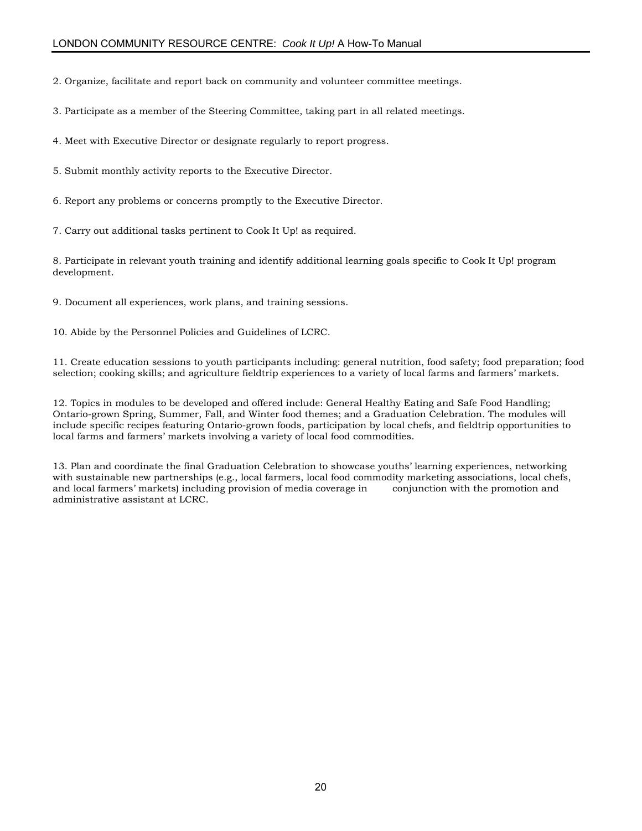2. Organize, facilitate and report back on community and volunteer committee meetings.

3. Participate as a member of the Steering Committee, taking part in all related meetings.

4. Meet with Executive Director or designate regularly to report progress.

5. Submit monthly activity reports to the Executive Director.

6. Report any problems or concerns promptly to the Executive Director.

7. Carry out additional tasks pertinent to Cook It Up! as required.

8. Participate in relevant youth training and identify additional learning goals specific to Cook It Up! program development.

9. Document all experiences, work plans, and training sessions.

10. Abide by the Personnel Policies and Guidelines of LCRC.

11. Create education sessions to youth participants including: general nutrition, food safety; food preparation; food selection; cooking skills; and agriculture fieldtrip experiences to a variety of local farms and farmers' markets.

12. Topics in modules to be developed and offered include: General Healthy Eating and Safe Food Handling; Ontario-grown Spring, Summer, Fall, and Winter food themes; and a Graduation Celebration. The modules will include specific recipes featuring Ontario-grown foods, participation by local chefs, and fieldtrip opportunities to local farms and farmers' markets involving a variety of local food commodities.

13. Plan and coordinate the final Graduation Celebration to showcase youths' learning experiences, networking with sustainable new partnerships (e.g., local farmers, local food commodity marketing associations, local chefs, and local farmers' markets) including provision of media coverage in conjunction with the promotion and administrative assistant at LCRC.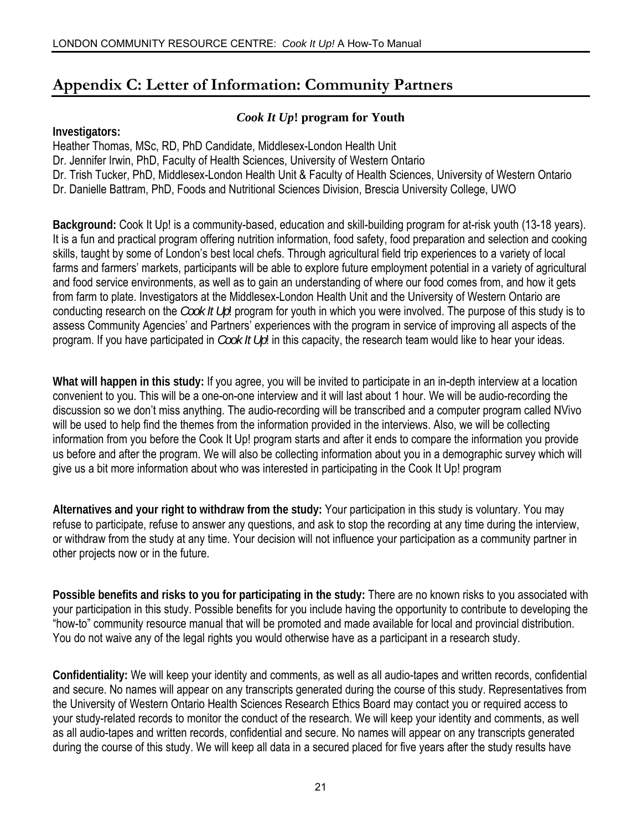## **Appendix C: Letter of Information: Community Partners**

### *Cook It Up***! program for Youth**

**Investigators:**  Heather Thomas, MSc, RD, PhD Candidate, Middlesex-London Health Unit Dr. Jennifer Irwin, PhD, Faculty of Health Sciences, University of Western Ontario Dr. Trish Tucker, PhD, Middlesex-London Health Unit & Faculty of Health Sciences, University of Western Ontario Dr. Danielle Battram, PhD, Foods and Nutritional Sciences Division, Brescia University College, UWO

**Background:** Cook It Up! is a community-based, education and skill-building program for at-risk youth (13-18 years). It is a fun and practical program offering nutrition information, food safety, food preparation and selection and cooking skills, taught by some of London's best local chefs. Through agricultural field trip experiences to a variety of local farms and farmers' markets, participants will be able to explore future employment potential in a variety of agricultural and food service environments, as well as to gain an understanding of where our food comes from, and how it gets from farm to plate. Investigators at the Middlesex-London Health Unit and the University of Western Ontario are conducting research on the *Cook It Up*! program for youth in which you were involved. The purpose of this study is to assess Community Agencies' and Partners' experiences with the program in service of improving all aspects of the program. If you have participated in *Cook It Up*! in this capacity, the research team would like to hear your ideas.

**What will happen in this study:** If you agree, you will be invited to participate in an in-depth interview at a location convenient to you. This will be a one-on-one interview and it will last about 1 hour. We will be audio-recording the discussion so we don't miss anything. The audio-recording will be transcribed and a computer program called NVivo will be used to help find the themes from the information provided in the interviews. Also, we will be collecting information from you before the Cook It Up! program starts and after it ends to compare the information you provide us before and after the program. We will also be collecting information about you in a demographic survey which will give us a bit more information about who was interested in participating in the Cook It Up! program

**Alternatives and your right to withdraw from the study:** Your participation in this study is voluntary. You may refuse to participate, refuse to answer any questions, and ask to stop the recording at any time during the interview, or withdraw from the study at any time. Your decision will not influence your participation as a community partner in other projects now or in the future.

**Possible benefits and risks to you for participating in the study:** There are no known risks to you associated with your participation in this study. Possible benefits for you include having the opportunity to contribute to developing the "how-to" community resource manual that will be promoted and made available for local and provincial distribution. You do not waive any of the legal rights you would otherwise have as a participant in a research study.

**Confidentiality:** We will keep your identity and comments, as well as all audio-tapes and written records, confidential and secure. No names will appear on any transcripts generated during the course of this study. Representatives from the University of Western Ontario Health Sciences Research Ethics Board may contact you or required access to your study-related records to monitor the conduct of the research. We will keep your identity and comments, as well as all audio-tapes and written records, confidential and secure. No names will appear on any transcripts generated during the course of this study. We will keep all data in a secured placed for five years after the study results have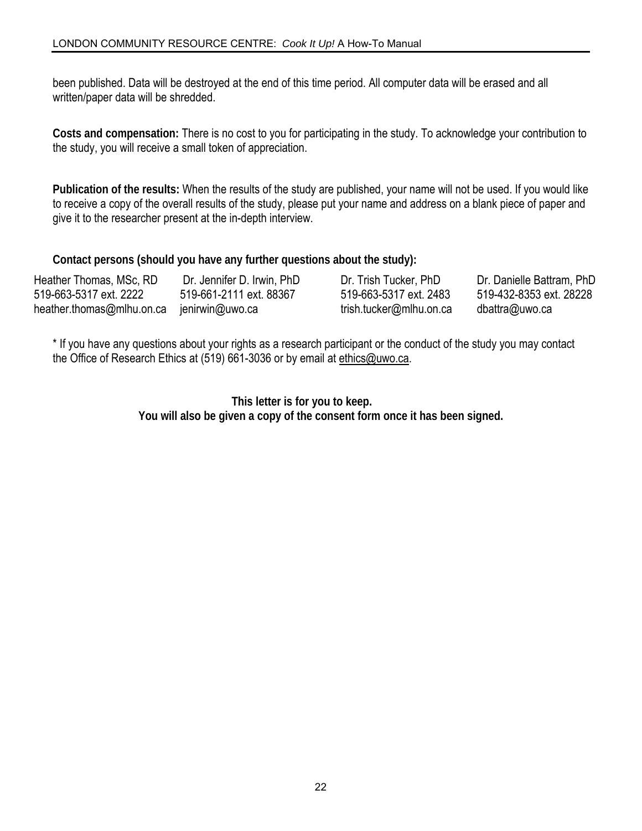been published. Data will be destroyed at the end of this time period. All computer data will be erased and all written/paper data will be shredded.

**Costs and compensation:** There is no cost to you for participating in the study. To acknowledge your contribution to the study, you will receive a small token of appreciation.

**Publication of the results:** When the results of the study are published, your name will not be used. If you would like to receive a copy of the overall results of the study, please put your name and address on a blank piece of paper and give it to the researcher present at the in-depth interview.

**Contact persons (should you have any further questions about the study):** 

| Heather Thomas, MSc, RD                   | Dr. Jennifer D. Irwin, PhD | Dr. Trish Tucker, PhD   | Dr. Danielle Battram, PhD |
|-------------------------------------------|----------------------------|-------------------------|---------------------------|
| 519-663-5317 ext. 2222                    | 519-661-2111 ext. 88367    | 519-663-5317 ext. 2483  | 519-432-8353 ext. 28228   |
| heather.thomas@mlhu.on.ca jenirwin@uwo.ca |                            | trish.tucker@mlhu.on.ca | dbattra@uwo.ca            |

\* If you have any questions about your rights as a research participant or the conduct of the study you may contact the Office of Research Ethics at (519) 661-3036 or by email at [ethics@uwo.ca](mailto:ethics@uwo.ca).

> **This letter is for you to keep. You will also be given a copy of the consent form once it has been signed.**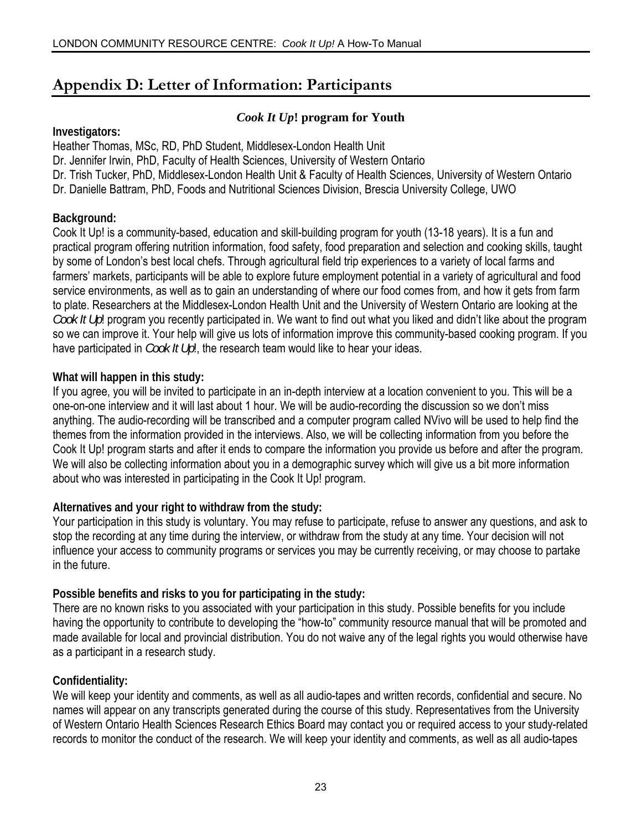## **Appendix D: Letter of Information: Participants**

### *Cook It Up***! program for Youth**

#### **Investigators:**

Heather Thomas, MSc, RD, PhD Student, Middlesex-London Health Unit Dr. Jennifer Irwin, PhD, Faculty of Health Sciences, University of Western Ontario Dr. Trish Tucker, PhD, Middlesex-London Health Unit & Faculty of Health Sciences, University of Western Ontario Dr. Danielle Battram, PhD, Foods and Nutritional Sciences Division, Brescia University College, UWO

### **Background:**

Cook It Up! is a community-based, education and skill-building program for youth (13-18 years). It is a fun and practical program offering nutrition information, food safety, food preparation and selection and cooking skills, taught by some of London's best local chefs. Through agricultural field trip experiences to a variety of local farms and farmers' markets, participants will be able to explore future employment potential in a variety of agricultural and food service environments, as well as to gain an understanding of where our food comes from, and how it gets from farm to plate. Researchers at the Middlesex-London Health Unit and the University of Western Ontario are looking at the *Cook It Up*! program you recently participated in. We want to find out what you liked and didn't like about the program so we can improve it. Your help will give us lots of information improve this community-based cooking program. If you have participated in *Cook It Up*!, the research team would like to hear your ideas.

### **What will happen in this study:**

If you agree, you will be invited to participate in an in-depth interview at a location convenient to you. This will be a one-on-one interview and it will last about 1 hour. We will be audio-recording the discussion so we don't miss anything. The audio-recording will be transcribed and a computer program called NVivo will be used to help find the themes from the information provided in the interviews. Also, we will be collecting information from you before the Cook It Up! program starts and after it ends to compare the information you provide us before and after the program. We will also be collecting information about you in a demographic survey which will give us a bit more information about who was interested in participating in the Cook It Up! program.

### **Alternatives and your right to withdraw from the study:**

Your participation in this study is voluntary. You may refuse to participate, refuse to answer any questions, and ask to stop the recording at any time during the interview, or withdraw from the study at any time. Your decision will not influence your access to community programs or services you may be currently receiving, or may choose to partake in the future.

### **Possible benefits and risks to you for participating in the study:**

There are no known risks to you associated with your participation in this study. Possible benefits for you include having the opportunity to contribute to developing the "how-to" community resource manual that will be promoted and made available for local and provincial distribution. You do not waive any of the legal rights you would otherwise have as a participant in a research study.

### **Confidentiality:**

We will keep your identity and comments, as well as all audio-tapes and written records, confidential and secure. No names will appear on any transcripts generated during the course of this study. Representatives from the University of Western Ontario Health Sciences Research Ethics Board may contact you or required access to your study-related records to monitor the conduct of the research. We will keep your identity and comments, as well as all audio-tapes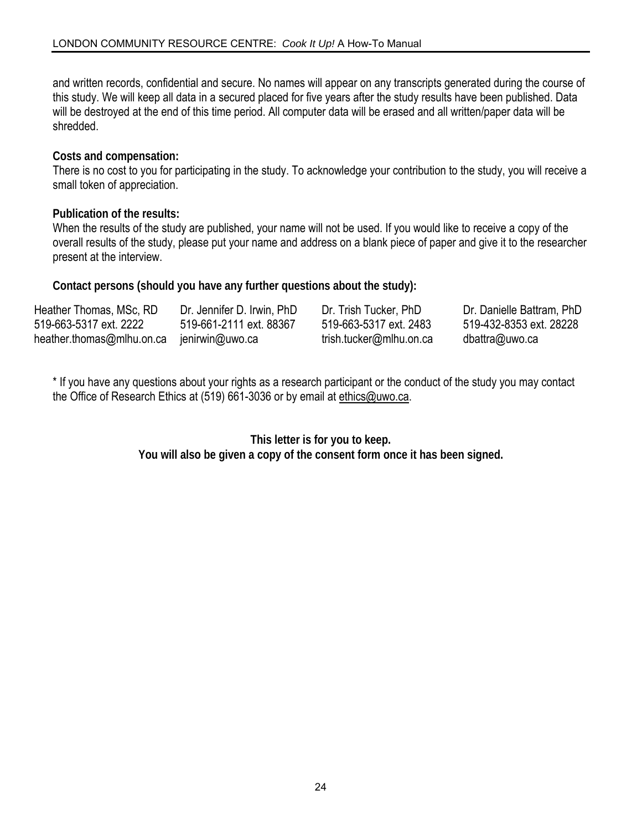and written records, confidential and secure. No names will appear on any transcripts generated during the course of this study. We will keep all data in a secured placed for five years after the study results have been published. Data will be destroyed at the end of this time period. All computer data will be erased and all written/paper data will be shredded.

#### **Costs and compensation:**

There is no cost to you for participating in the study. To acknowledge your contribution to the study, you will receive a small token of appreciation.

#### **Publication of the results:**

When the results of the study are published, your name will not be used. If you would like to receive a copy of the overall results of the study, please put your name and address on a blank piece of paper and give it to the researcher present at the interview.

**Contact persons (should you have any further questions about the study):** 

| Heather Thomas, MSc, RD   | Dr. Jennifer D. Irwin, PhD | Dr. Trish Tucker, PhD   | Dr. Danielle Battram, PhD |
|---------------------------|----------------------------|-------------------------|---------------------------|
| 519-663-5317 ext. 2222    | 519-661-2111 ext. 88367    | 519-663-5317 ext. 2483  | 519-432-8353 ext. 28228   |
| heather.thomas@mlhu.on.ca | jenirwin@uwo.ca            | trish.tucker@mlhu.on.ca | dbattra@uwo.ca            |

\* If you have any questions about your rights as a research participant or the conduct of the study you may contact the Office of Research Ethics at (519) 661-3036 or by email at [ethics@uwo.ca](mailto:ethics@uwo.ca).

> **This letter is for you to keep. You will also be given a copy of the consent form once it has been signed.**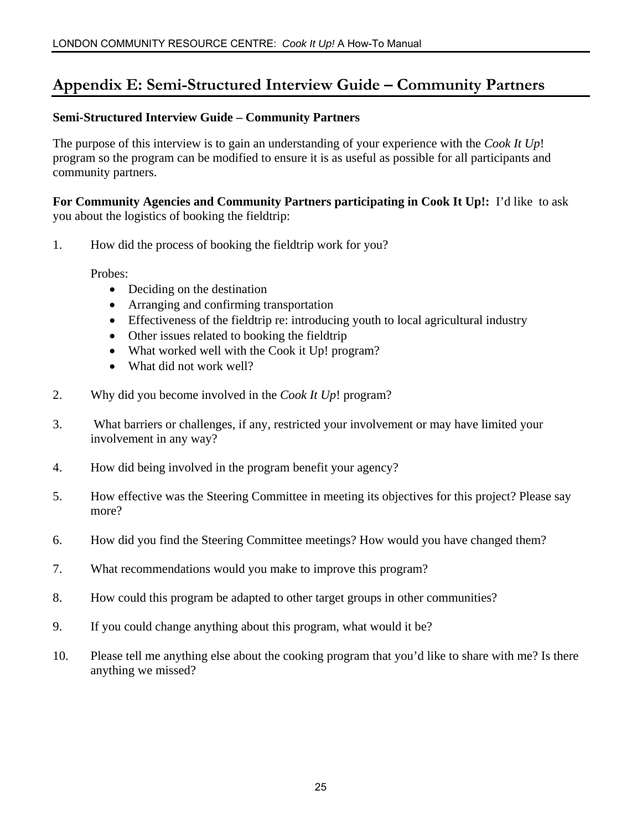## **Appendix E: Semi-Structured Interview Guide – Community Partners**

#### **Semi-Structured Interview Guide – Community Partners**

The purpose of this interview is to gain an understanding of your experience with the *Cook It Up*! program so the program can be modified to ensure it is as useful as possible for all participants and community partners.

**For Community Agencies and Community Partners participating in Cook It Up!:** I'd like to ask you about the logistics of booking the fieldtrip:

1. How did the process of booking the fieldtrip work for you?

Probes:

- Deciding on the destination
- Arranging and confirming transportation
- Effectiveness of the fieldtrip re: introducing youth to local agricultural industry
- Other issues related to booking the fieldtrip
- What worked well with the Cook it Up! program?
- What did not work well?
- 2. Why did you become involved in the *Cook It Up*! program?
- 3. What barriers or challenges, if any, restricted your involvement or may have limited your involvement in any way?
- 4. How did being involved in the program benefit your agency?
- 5. How effective was the Steering Committee in meeting its objectives for this project? Please say more?
- 6. How did you find the Steering Committee meetings? How would you have changed them?
- 7. What recommendations would you make to improve this program?
- 8. How could this program be adapted to other target groups in other communities?
- 9. If you could change anything about this program, what would it be?
- 10. Please tell me anything else about the cooking program that you'd like to share with me? Is there anything we missed?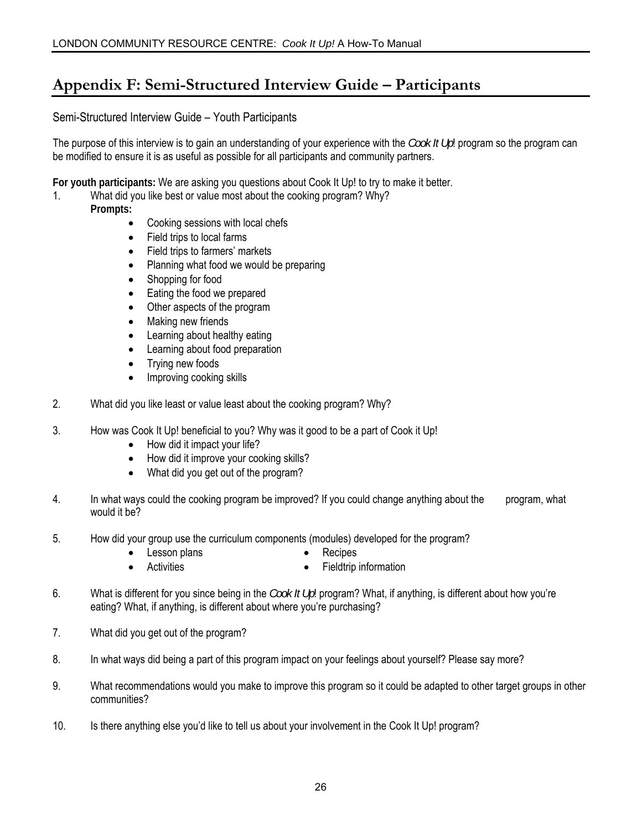### **Appendix F: Semi-Structured Interview Guide – Participants**

#### Semi-Structured Interview Guide – Youth Participants

The purpose of this interview is to gain an understanding of your experience with the *Cook It Up*! program so the program can be modified to ensure it is as useful as possible for all participants and community partners.

**For youth participants:** We are asking you questions about Cook It Up! to try to make it better.

- 1. What did you like best or value most about the cooking program? Why?
	- **Prompts:** 
		- Cooking sessions with local chefs
		- Field trips to local farms
		- Field trips to farmers' markets
		- Planning what food we would be preparing
		- Shopping for food
		- Eating the food we prepared
		- Other aspects of the program
		- Making new friends
		- Learning about healthy eating
		- Learning about food preparation
		- Trying new foods
		- Improving cooking skills
- 2. What did you like least or value least about the cooking program? Why?
- 3. How was Cook It Up! beneficial to you? Why was it good to be a part of Cook it Up!
	- How did it impact your life?
	- How did it improve your cooking skills?
	- What did you get out of the program?
- 4. In what ways could the cooking program be improved? If you could change anything about the program, what would it be?
- 5. How did your group use the curriculum components (modules) developed for the program?
	- Lesson plans Recipes
	- Activities Fieldtrip information
- 6. What is different for you since being in the *Cook It Up*! program? What, if anything, is different about how you're eating? What, if anything, is different about where you're purchasing?
- 7. What did you get out of the program?
- 8. In what ways did being a part of this program impact on your feelings about yourself? Please say more?
- 9. What recommendations would you make to improve this program so it could be adapted to other target groups in other communities?
- 10. Is there anything else you'd like to tell us about your involvement in the Cook It Up! program?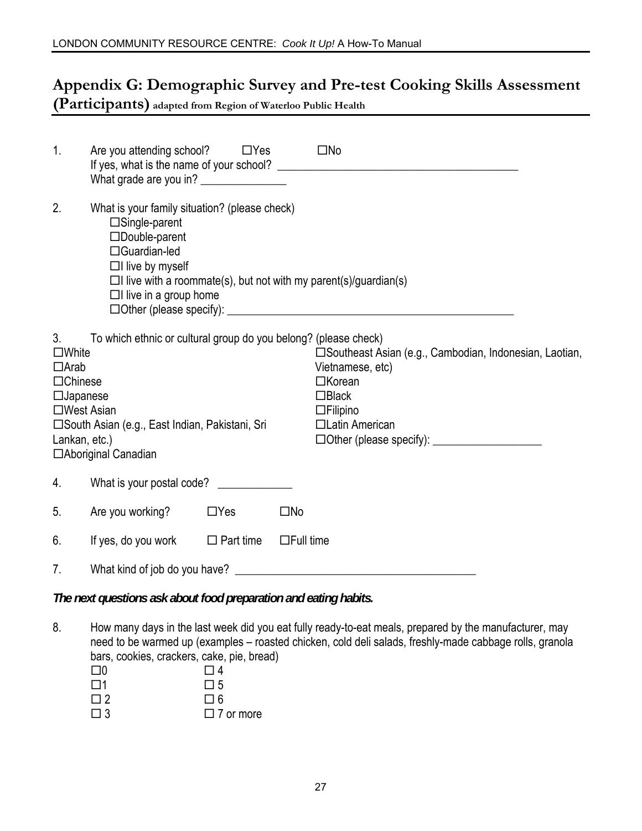### **Appendix G: Demographic Survey and Pre-test Cooking Skills Assessment**

**(Participants) adapted from Region of Waterloo Public Health**

| 1.                                                                                                                             | Are you attending school? $\Box$ Yes<br>What grade are you in? ________________                                                                                                                                                              |                  | $\square$ No                                                                                                                                                                                        |  |  |
|--------------------------------------------------------------------------------------------------------------------------------|----------------------------------------------------------------------------------------------------------------------------------------------------------------------------------------------------------------------------------------------|------------------|-----------------------------------------------------------------------------------------------------------------------------------------------------------------------------------------------------|--|--|
| 2.                                                                                                                             | What is your family situation? (please check)<br>$\square$ Single-parent<br>□Double-parent<br>□Guardian-led<br>$\Box$ live by myself<br>$\Box$ live with a roommate(s), but not with my parent(s)/guardian(s)<br>$\Box$ live in a group home |                  |                                                                                                                                                                                                     |  |  |
| 3 <sub>1</sub><br>$\square$ White<br>$\Box$ Arab<br>$\Box$ Chinese<br>$\Box$ Japanese<br>$\square$ West Asian<br>Lankan, etc.) | To which ethnic or cultural group do you belong? (please check)<br>□South Asian (e.g., East Indian, Pakistani, Sri<br>□ Aboriginal Canadian                                                                                                  |                  | □ Southeast Asian (e.g., Cambodian, Indonesian, Laotian,<br>Vietnamese, etc)<br>$\Box$ Korean<br>$\Box$ Black<br>$\Box$ Filipino<br>□Latin American<br>□Other (please specify): ___________________ |  |  |
| 4.                                                                                                                             | What is your postal code? _____________                                                                                                                                                                                                      |                  |                                                                                                                                                                                                     |  |  |
| 5.                                                                                                                             | Are you working?                                                                                                                                                                                                                             | $\Box$ Yes       | $\square$ No                                                                                                                                                                                        |  |  |
| 6.                                                                                                                             | If yes, do you work                                                                                                                                                                                                                          | $\Box$ Part time | $\Box$ Full time                                                                                                                                                                                    |  |  |
| 7.                                                                                                                             |                                                                                                                                                                                                                                              |                  |                                                                                                                                                                                                     |  |  |

*The next questions ask about food preparation and eating habits.* 

- 8. How many days in the last week did you eat fully ready-to-eat meals, prepared by the manufacturer, may need to be warmed up (examples – roasted chicken, cold deli salads, freshly-made cabbage rolls, granola bars, cookies, crackers, cake, pie, bread)
	- $\square$ 0  $\square$ 4  $\square$ 1  $\square$  5  $\Box 2$   $\Box 6$  $\Box$  3  $\Box$  7 or more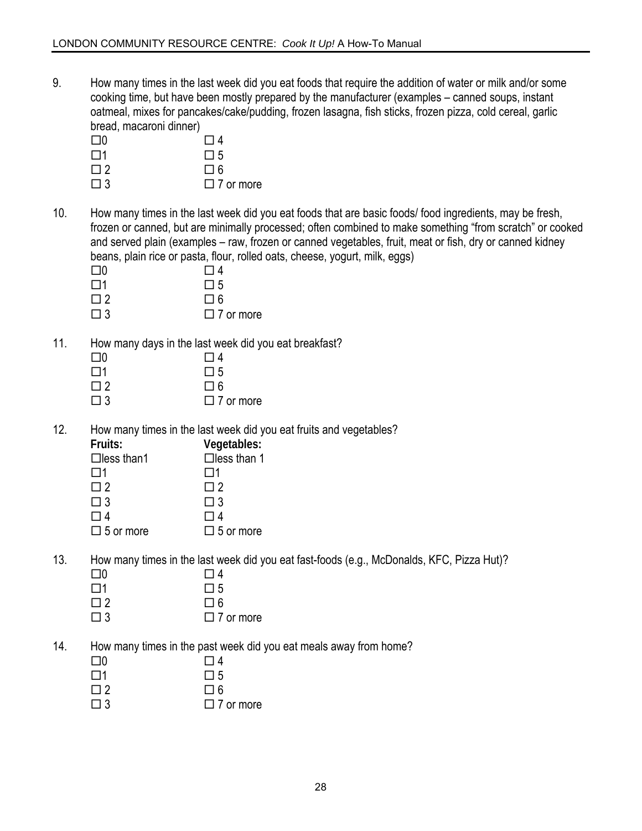- 9. How many times in the last week did you eat foods that require the addition of water or milk and/or some cooking time, but have been mostly prepared by the manufacturer (examples – canned soups, instant oatmeal, mixes for pancakes/cake/pudding, frozen lasagna, fish sticks, frozen pizza, cold cereal, garlic bread, macaroni dinner)
	- $\square$ 0  $\square$ 4  $\square$ 1  $\square$  5
	- $\square$  2  $\square$  6
	- $\Box$  3  $\Box$  7 or more
- 10. How many times in the last week did you eat foods that are basic foods/ food ingredients, may be fresh, frozen or canned, but are minimally processed; often combined to make something "from scratch" or cooked and served plain (examples – raw, frozen or canned vegetables, fruit, meat or fish, dry or canned kidney beans, plain rice or pasta, flour, rolled oats, cheese, yogurt, milk, eggs)
	- $\square$ 0  $\square$ 4
	- $\square$ 1  $\square$  5  $\square$  2  $\square$  6
	- $\Box$  3  $\Box$  7 or more
- 11. How many days in the last week did you eat breakfast?

|             | From many adjoint the last moon ald you |
|-------------|-----------------------------------------|
| $\square$ 0 | $\Box$ 4                                |
| $\Box$ 1    | $\square$ 5                             |
| $\Box$ 2    | $\Box$ 6                                |
| $\Box$ 3    | $\Box$ 7 or more                        |

12. How many times in the last week did you eat fruits and vegetables?

| Fruits:            | Vegetables:        |
|--------------------|--------------------|
| $\Box$ less than 1 | $\Box$ less than 1 |
| $\Box$ 1           | $\Box$ 1           |
| $\Box$ 2           | П2                 |
| $\Box$ 3           | $\Box$ 3           |
| $\Box$ 4           | $\Box$ 4           |
| $\Box$ 5 or more   | $\Box$ 5 or more   |

13. How many times in the last week did you eat fast-foods (e.g., McDonalds, KFC, Pizza Hut)?

| $\square$   | $\Box$ 4         |
|-------------|------------------|
| $\square$ 1 | $\Box$ 5         |
| $\Box$ 2    | $\square$ 6      |
| $\Box$ 3    | $\Box$ 7 or more |

14. How many times in the past week did you eat meals away from home?

- $\square$ 0  $\square$ 4
- $\square$ 1  $\square$ 5
- $\square$  2  $\square$  6
- $\Box$  3  $\Box$  7 or more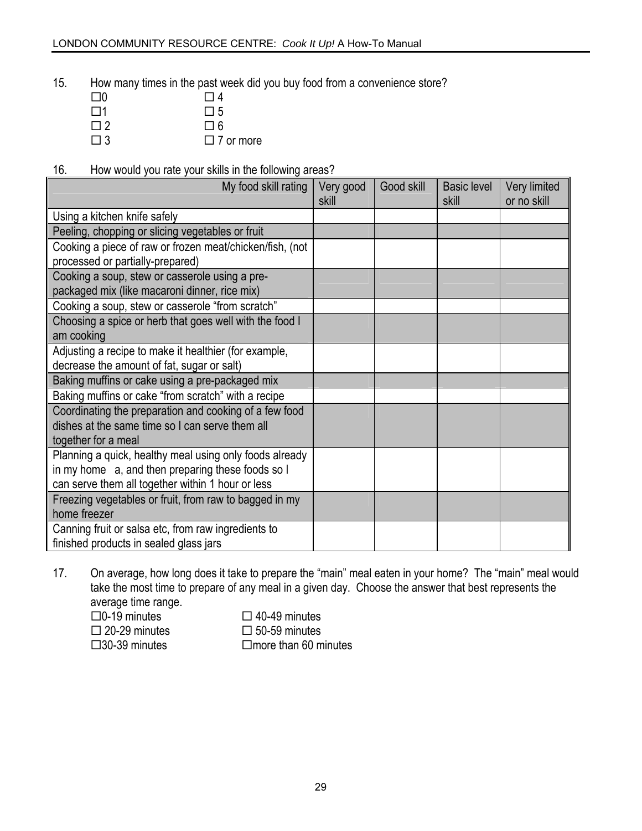15. How many times in the past week did you buy food from a convenience store?

| $\square$ 0 | $\Box$ 4         |
|-------------|------------------|
| $\square$ 1 | $\Box$ 5         |
| $\Box$ 2    | $\square$ 6      |
| $\Box$ 3    | $\Box$ 7 or more |

16. How would you rate your skills in the following areas?

| My food skill rating                                                                                                                                              | Very good<br>skill | Good skill | <b>Basic level</b><br>skill | Very limited<br>or no skill |
|-------------------------------------------------------------------------------------------------------------------------------------------------------------------|--------------------|------------|-----------------------------|-----------------------------|
| Using a kitchen knife safely                                                                                                                                      |                    |            |                             |                             |
| Peeling, chopping or slicing vegetables or fruit                                                                                                                  |                    |            |                             |                             |
| Cooking a piece of raw or frozen meat/chicken/fish, (not<br>processed or partially-prepared)                                                                      |                    |            |                             |                             |
| Cooking a soup, stew or casserole using a pre-<br>packaged mix (like macaroni dinner, rice mix)                                                                   |                    |            |                             |                             |
| Cooking a soup, stew or casserole "from scratch"                                                                                                                  |                    |            |                             |                             |
| Choosing a spice or herb that goes well with the food I<br>am cooking                                                                                             |                    |            |                             |                             |
| Adjusting a recipe to make it healthier (for example,<br>decrease the amount of fat, sugar or salt)                                                               |                    |            |                             |                             |
| Baking muffins or cake using a pre-packaged mix                                                                                                                   |                    |            |                             |                             |
| Baking muffins or cake "from scratch" with a recipe                                                                                                               |                    |            |                             |                             |
| Coordinating the preparation and cooking of a few food<br>dishes at the same time so I can serve them all<br>together for a meal                                  |                    |            |                             |                             |
| Planning a quick, healthy meal using only foods already<br>in my home a, and then preparing these foods so I<br>can serve them all together within 1 hour or less |                    |            |                             |                             |
| Freezing vegetables or fruit, from raw to bagged in my<br>home freezer                                                                                            |                    |            |                             |                             |
| Canning fruit or salsa etc, from raw ingredients to<br>finished products in sealed glass jars                                                                     |                    |            |                             |                             |

17. On average, how long does it take to prepare the "main" meal eaten in your home? The "main" meal would take the most time to prepare of any meal in a given day. Choose the answer that best represents the average time range.

 $\Box$ 0-19 minutes  $\Box$  40-49 minutes  $\Box$  20-29 minutes  $\Box$  50-59 minutes  $\Box$ 30-39 minutes  $\Box$  more than 60 minutes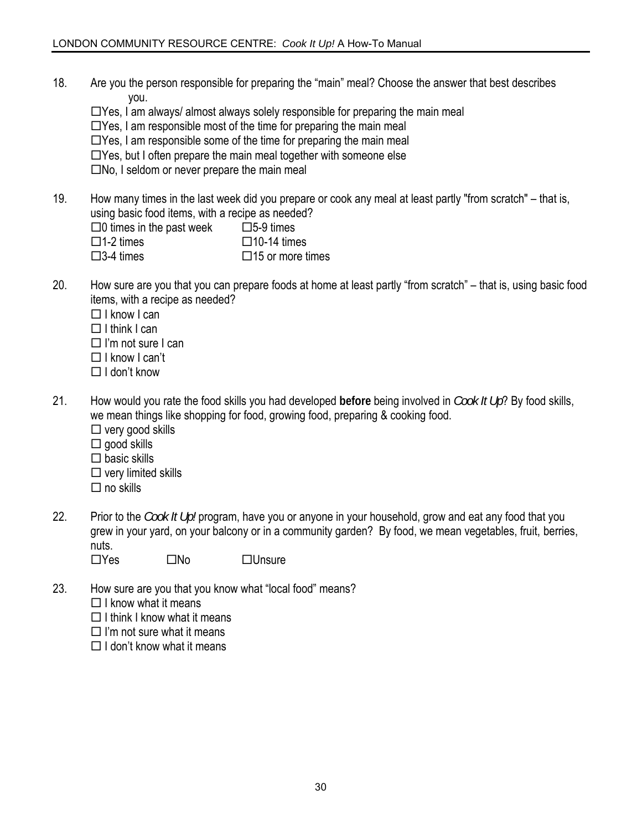- 18. Are you the person responsible for preparing the "main" meal? Choose the answer that best describes you.
	- $\Box$  Yes, I am always/ almost always solely responsible for preparing the main meal
	- $\Box$  Yes, I am responsible most of the time for preparing the main meal
	- $\Box$  Yes, I am responsible some of the time for preparing the main meal
	- $\Box$  Yes, but I often prepare the main meal together with someone else
	- $\square$ No, I seldom or never prepare the main meal
- 19. How many times in the last week did you prepare or cook any meal at least partly "from scratch" that is, using basic food items, with a recipe as needed?
	- $\Box$ 0 times in the past week  $\Box$  5-9 times
	- $\Box$ 1-2 times  $\Box$ 10-14 times
	- $\Box$ 3-4 times  $\Box$ 15 or more times
- 20. How sure are you that you can prepare foods at home at least partly "from scratch" that is, using basic food items, with a recipe as needed?
	- $\Box$  I know I can
	- $\Box$  I think I can
	- $\Box$  I'm not sure I can
	- $\Box$  I know I can't
	- $\Box$  I don't know
- 21. How would you rate the food skills you had developed **before** being involved in *Cook It Up*? By food skills, we mean things like shopping for food, growing food, preparing & cooking food.
	- $\square$  very good skills
	- $\square$  good skills
	- $\square$  basic skills
	- $\square$  very limited skills
	- $\Box$  no skills
- 22. Prior to the *Cook It Up!* program, have you or anyone in your household, grow and eat any food that you grew in your yard, on your balcony or in a community garden? By food, we mean vegetables, fruit, berries, nuts.
	- $\Box$ Yes  $\Box$ No  $\Box$ Unsure
- 23. How sure are you that you know what "local food" means?
	- $\Box$  I know what it means
	- $\Box$  I think I know what it means
	- $\Box$  I'm not sure what it means
	- $\Box$  I don't know what it means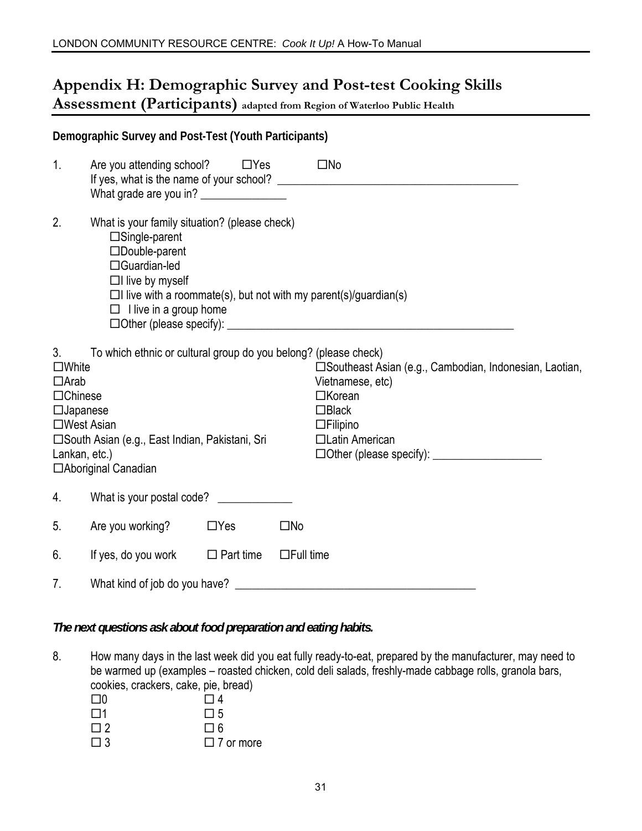### **Appendix H: Demographic Survey and Post-test Cooking Skills Assessment (Participants) adapted from Region of Waterloo Public Health**

|                                                                                                           | Demographic Survey and Post-Test (Youth Participants)                                                                                                                       |            |                                                                                                                                                     |
|-----------------------------------------------------------------------------------------------------------|-----------------------------------------------------------------------------------------------------------------------------------------------------------------------------|------------|-----------------------------------------------------------------------------------------------------------------------------------------------------|
| 1.                                                                                                        | Are you attending school? $\Box$ Yes<br>What grade are you in? ________________                                                                                             |            | $\square$ No                                                                                                                                        |
| 2.                                                                                                        | What is your family situation? (please check)<br>$\square$ Single-parent<br>□Double-parent<br>$\Box$ Guardian-led<br>$\Box$ live by myself<br>$\Box$ I live in a group home |            | $\Box$ I live with a roommate(s), but not with my parent(s)/guardian(s)                                                                             |
| 3.<br>$\square$ White<br>$\Box$ Arab<br>$\Box$ Chinese<br>$\Box$ Japanese<br>□West Asian<br>Lankan, etc.) | To which ethnic or cultural group do you belong? (please check)<br>□South Asian (e.g., East Indian, Pakistani, Sri<br>□ Aboriginal Canadian                                 |            | □ Southeast Asian (e.g., Cambodian, Indonesian, Laotian,<br>Vietnamese, etc)<br>$\Box$ Korean<br>$\Box$ Black<br>$\Box$ Filipino<br>□Latin American |
| 4.                                                                                                        | What is your postal code? ___________                                                                                                                                       |            |                                                                                                                                                     |
| 5.                                                                                                        | Are you working?                                                                                                                                                            | $\Box$ Yes | $\square$ No                                                                                                                                        |
| 6.                                                                                                        | If yes, do you work $\Box$ Part time                                                                                                                                        |            | $\Box$ Full time                                                                                                                                    |
| 7.                                                                                                        |                                                                                                                                                                             |            |                                                                                                                                                     |

#### *The next questions ask about food preparation and eating habits.*

8. How many days in the last week did you eat fully ready-to-eat, prepared by the manufacturer, may need to be warmed up (examples – roasted chicken, cold deli salads, freshly-made cabbage rolls, granola bars, cookies, crackers, cake, pie, bread)

| $\square 0$ | $\Box$ 4         |
|-------------|------------------|
| $\Box$ 1    | $\Box$ 5         |
| $\Box$ 2    | $\Box$ 6         |
| $\Box$ 3    | $\Box$ 7 or more |
|             |                  |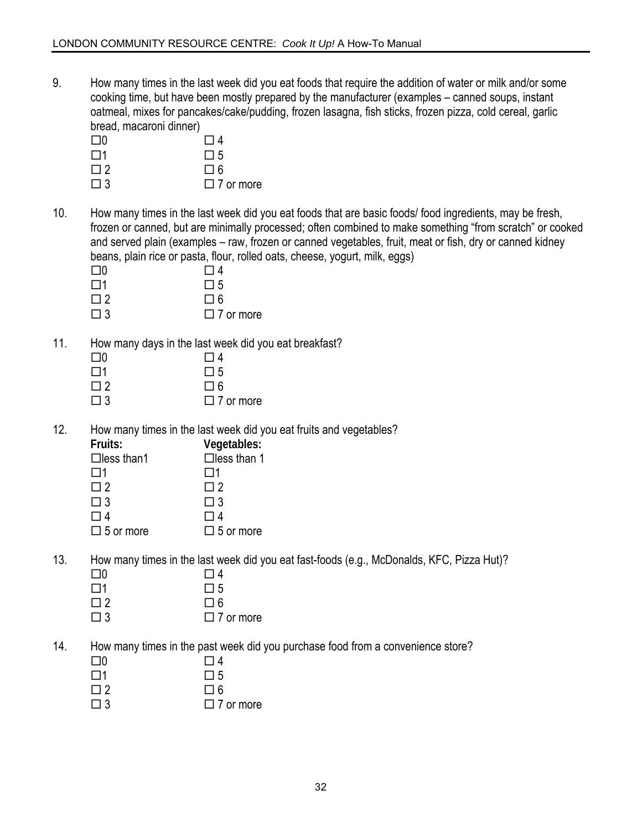- 9. How many times in the last week did you eat foods that require the addition of water or milk and/or some cooking time, but have been mostly prepared by the manufacturer (examples – canned soups, instant oatmeal, mixes for pancakes/cake/pudding, frozen lasagna, fish sticks, frozen pizza, cold cereal, garlic bread, macaroni dinner)
	- $\square$ 0  $\square$ 4  $\square$ 1  $\square$  5
	- $\square$  2  $\square$  6
	- $\Box$  3  $\Box$  7 or more
- 10. How many times in the last week did you eat foods that are basic foods/ food ingredients, may be fresh, frozen or canned, but are minimally processed; often combined to make something "from scratch" or cooked and served plain (examples – raw, frozen or canned vegetables, fruit, meat or fish, dry or canned kidney beans, plain rice or pasta, flour, rolled oats, cheese, yogurt, milk, eggs)
	- $\square$ 0  $\square$ 4  $\square$ 1  $\square$  5
	- $\Box 2$   $\Box 6$
	- $\Box$  3  $\Box$  7 or more
- 11. How many days in the last week did you eat breakfast?

| $\square$ | $\Box$ 4         |
|-----------|------------------|
| $\Box$ 1  | $\square$ 5      |
| $\Box$ 2  | $\square$ 6      |
| $\Box$ 3  | $\Box$ 7 or more |

12. How many times in the last week did you eat fruits and vegetables?

| Fruits:            | Vegetables:        |
|--------------------|--------------------|
| $\Box$ less than 1 | $\Box$ less than 1 |
| $\Box$ 1           | $\Box$ 1           |
| $\Box$ 2           | П2                 |
| $\Box$ 3           | $\square$ 3        |
| $\Box$ 4           | $\Box$ 4           |
| $\Box$ 5 or more   | $\Box$ 5 or more   |
|                    |                    |

13. How many times in the last week did you eat fast-foods (e.g., McDonalds, KFC, Pizza Hut)?

| $\square$ 0 | $\Box$ 4         |
|-------------|------------------|
| $\square$ 1 | $\square$ 5      |
| $\Box$ 2    | $\Box$ 6         |
| $\Box$ 3    | $\Box$ 7 or more |

14. How many times in the past week did you purchase food from a convenience store?

- $\square$ 0  $\square$ 4
- $\square$ 1  $\square$ 5  $\square$  2  $\square$  6
- $\Box$  3  $\Box$  7 or more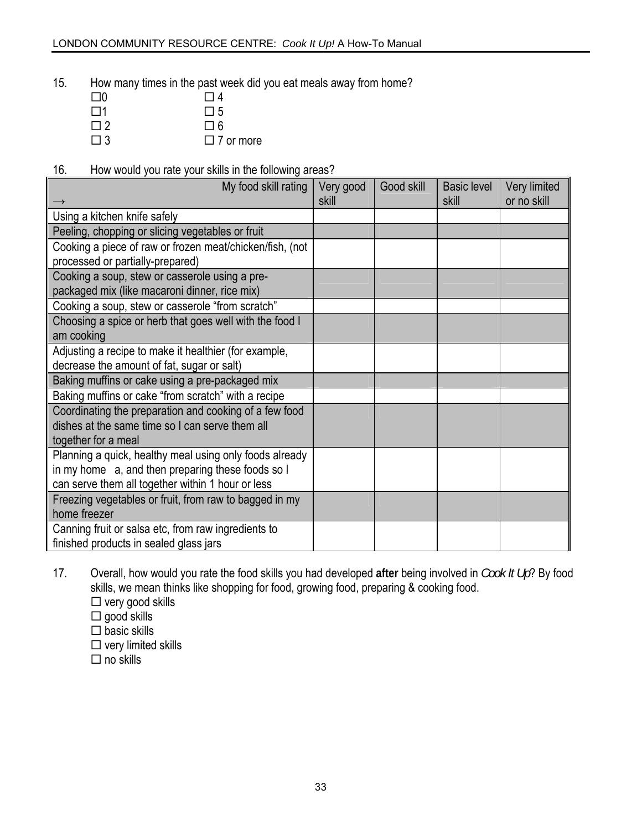15. How many times in the past week did you eat meals away from home?

| $\square$ 0 | $\Box$ 4         |
|-------------|------------------|
| $\square$ 1 | $\Box$ 5         |
| $\Box$ 2    | $\square$ 6      |
| $\Box$ 3    | $\Box$ 7 or more |

16. How would you rate your skills in the following areas?

| My food skill rating                                                                                                                                              | Very good | Good skill | <b>Basic level</b> | Very limited |
|-------------------------------------------------------------------------------------------------------------------------------------------------------------------|-----------|------------|--------------------|--------------|
|                                                                                                                                                                   | skill     |            | skill              | or no skill  |
| Using a kitchen knife safely                                                                                                                                      |           |            |                    |              |
| Peeling, chopping or slicing vegetables or fruit                                                                                                                  |           |            |                    |              |
| Cooking a piece of raw or frozen meat/chicken/fish, (not<br>processed or partially-prepared)                                                                      |           |            |                    |              |
| Cooking a soup, stew or casserole using a pre-<br>packaged mix (like macaroni dinner, rice mix)                                                                   |           |            |                    |              |
| Cooking a soup, stew or casserole "from scratch"                                                                                                                  |           |            |                    |              |
| Choosing a spice or herb that goes well with the food I<br>am cooking                                                                                             |           |            |                    |              |
| Adjusting a recipe to make it healthier (for example,<br>decrease the amount of fat, sugar or salt)                                                               |           |            |                    |              |
| Baking muffins or cake using a pre-packaged mix                                                                                                                   |           |            |                    |              |
| Baking muffins or cake "from scratch" with a recipe                                                                                                               |           |            |                    |              |
| Coordinating the preparation and cooking of a few food<br>dishes at the same time so I can serve them all<br>together for a meal                                  |           |            |                    |              |
| Planning a quick, healthy meal using only foods already<br>in my home a, and then preparing these foods so I<br>can serve them all together within 1 hour or less |           |            |                    |              |
| Freezing vegetables or fruit, from raw to bagged in my<br>home freezer                                                                                            |           |            |                    |              |
| Canning fruit or salsa etc, from raw ingredients to<br>finished products in sealed glass jars                                                                     |           |            |                    |              |

- 17. Overall, how would you rate the food skills you had developed **after** being involved in *Cook It Up*? By food skills, we mean thinks like shopping for food, growing food, preparing & cooking food.
	- $\square$  very good skills
	- $\square$  good skills
	- $\square$  basic skills
	- $\square$  very limited skills
	- $\Box$  no skills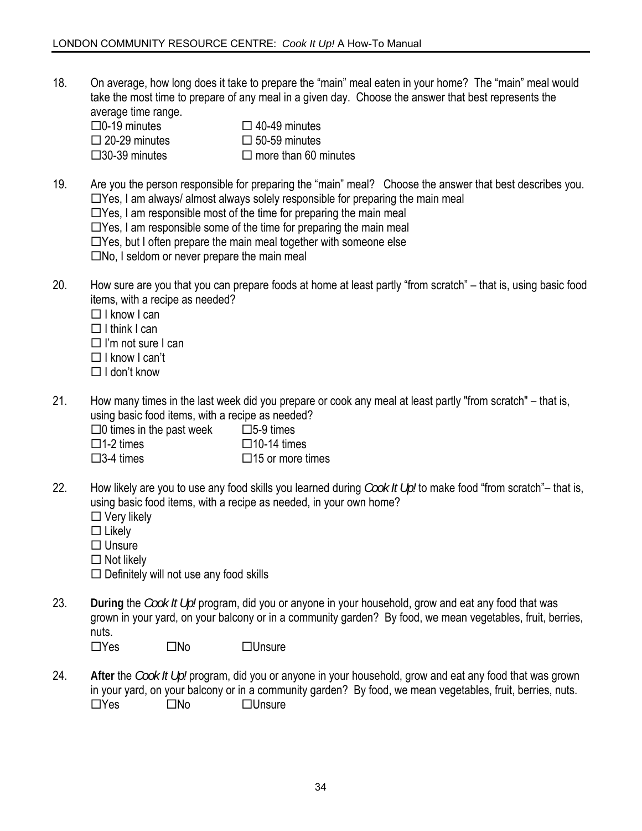18. On average, how long does it take to prepare the "main" meal eaten in your home? The "main" meal would take the most time to prepare of any meal in a given day. Choose the answer that best represents the average time range.

| $\Box$ 0-19 minutes     |  |
|-------------------------|--|
| $\Box$ 20-29 minutes    |  |
| $\square$ 30-39 minutes |  |

 $\Box$  40-49 minutes  $\Box$  50-59 minutes

 $\Box$  more than 60 minutes

- 19. Are you the person responsible for preparing the "main" meal? Choose the answer that best describes you.  $\Box$  Yes, I am always/ almost always solely responsible for preparing the main meal
	- $\Box$  Yes, I am responsible most of the time for preparing the main meal
	- $\Box$  Yes, I am responsible some of the time for preparing the main meal
	- $\Box$  Yes, but I often prepare the main meal together with someone else
	- $\square$ No, I seldom or never prepare the main meal
- 20. How sure are you that you can prepare foods at home at least partly "from scratch" that is, using basic food items, with a recipe as needed?
	- $\Box$  I know I can
	- $\Box$  I think I can
	- $\Box$  I'm not sure I can
	- $\Box$  I know I can't
	- $\Box$  I don't know
- 21. How many times in the last week did you prepare or cook any meal at least partly "from scratch" that is, using basic food items, with a recipe as needed?
	- $\Box$ 0 times in the past week  $\Box$  5-9 times

 $\Box$ 1-2 times  $\Box$ 10-14 times

 $\Box$ 3-4 times  $\Box$ 15 or more times

- 22. How likely are you to use any food skills you learned during *Cook It Up!* to make food "from scratch"– that is, using basic food items, with a recipe as needed, in your own home?
	- $\Box$  Very likely
	- $\Box$  Likely
	- $\Box$  Unsure
	- $\Box$  Not likely

 $\square$  Definitely will not use any food skills

23. **During** the *Cook It Up!* program, did you or anyone in your household, grow and eat any food that was grown in your yard, on your balcony or in a community garden? By food, we mean vegetables, fruit, berries, nuts.

 $\Box$ Yes  $\Box$ No  $\Box$ Unsure

24. **After** the *Cook It Up!* program, did you or anyone in your household, grow and eat any food that was grown in your yard, on your balcony or in a community garden? By food, we mean vegetables, fruit, berries, nuts.  $\Box$ Yes  $\Box$ No  $\Box$ Unsure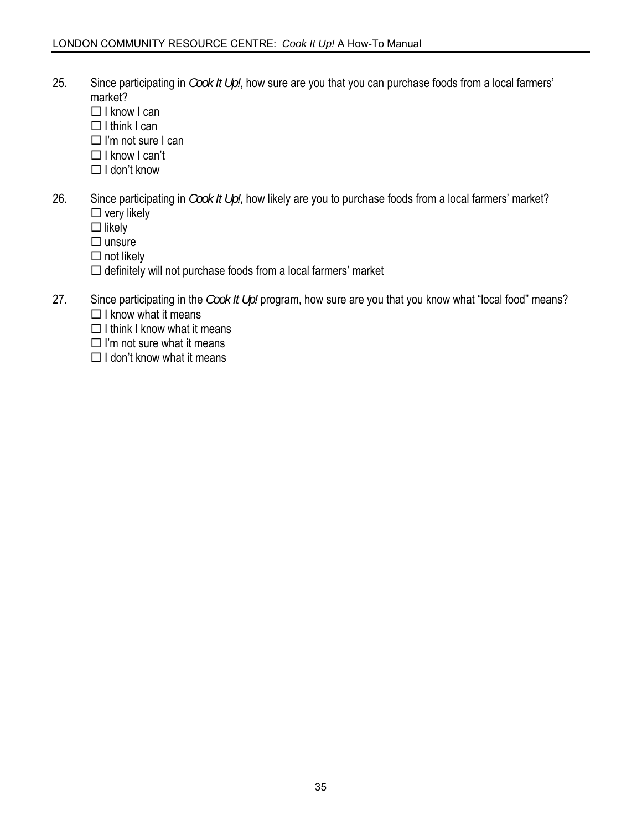- 25. Since participating in *Cook It Up!*, how sure are you that you can purchase foods from a local farmers' market?
	- $\Box$  I know I can
	- $\Box$  I think I can
	- $\Box$  I'm not sure I can
	- $\Box$  I know I can't
	- $\Box$  I don't know
- 26. Since participating in *Cook It Up!,* how likely are you to purchase foods from a local farmers' market?  $\square$  very likely
	- $\Box$  likely
	- $\square$  unsure
	- $\Box$  not likely
	- $\Box$  definitely will not purchase foods from a local farmers' market
- 27. Since participating in the *Cook It Up!* program, how sure are you that you know what "local food" means?  $\Box$  I know what it means
	- $\Box$  I think I know what it means
	-
	- $\Box$  I'm not sure what it means
	- $\Box$  I don't know what it means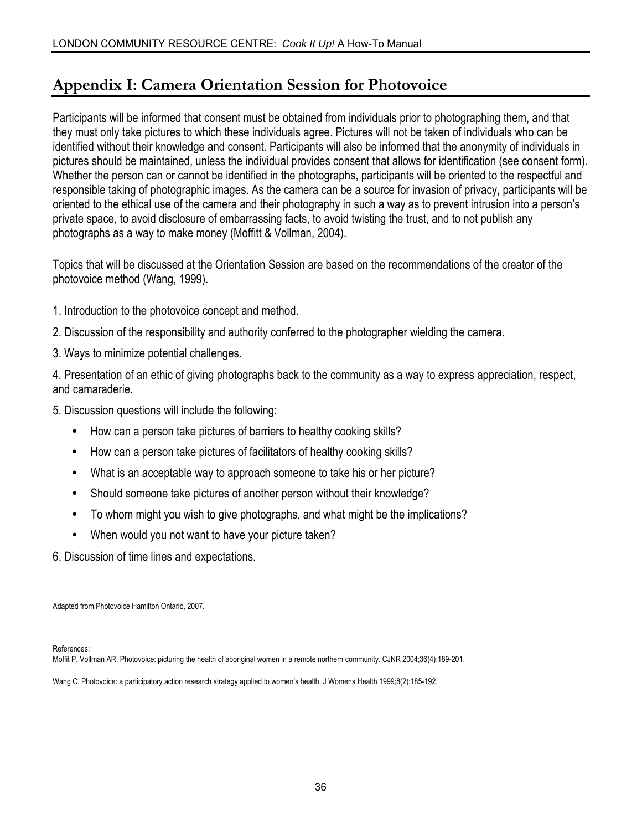## **Appendix I: Camera Orientation Session for Photovoice**

Participants will be informed that consent must be obtained from individuals prior to photographing them, and that they must only take pictures to which these individuals agree. Pictures will not be taken of individuals who can be identified without their knowledge and consent. Participants will also be informed that the anonymity of individuals in pictures should be maintained, unless the individual provides consent that allows for identification (see consent form). Whether the person can or cannot be identified in the photographs, participants will be oriented to the respectful and responsible taking of photographic images. As the camera can be a source for invasion of privacy, participants will be oriented to the ethical use of the camera and their photography in such a way as to prevent intrusion into a person's private space, to avoid disclosure of embarrassing facts, to avoid twisting the trust, and to not publish any photographs as a way to make money (Moffitt & Vollman, 2004).

Topics that will be discussed at the Orientation Session are based on the recommendations of the creator of the photovoice method (Wang, 1999).

- 1. Introduction to the photovoice concept and method.
- 2. Discussion of the responsibility and authority conferred to the photographer wielding the camera.
- 3. Ways to minimize potential challenges.

4. Presentation of an ethic of giving photographs back to the community as a way to express appreciation, respect, and camaraderie.

5. Discussion questions will include the following:

- How can a person take pictures of barriers to healthy cooking skills?
- How can a person take pictures of facilitators of healthy cooking skills?
- What is an acceptable way to approach someone to take his or her picture?
- Should someone take pictures of another person without their knowledge?
- To whom might you wish to give photographs, and what might be the implications?
- When would you not want to have your picture taken?

6. Discussion of time lines and expectations.

Adapted from Photovoice Hamilton Ontario, 2007.

References:

Moffit P, Vollman AR. Photovoice: picturing the health of aboriginal women in a remote northern community. CJNR 2004;36(4):189-201.

Wang C. Photovoice: a participatory action research strategy applied to women's health. J Womens Health 1999;8(2):185-192.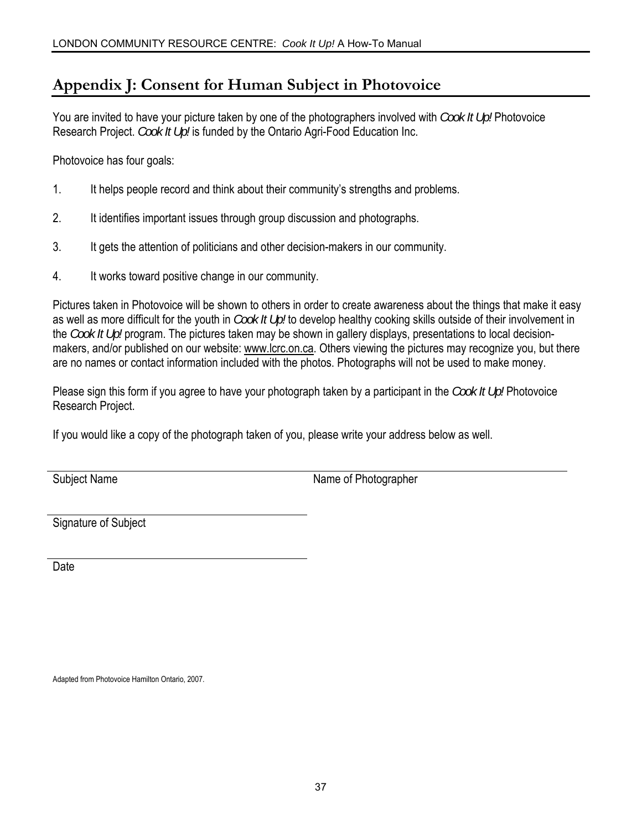### **Appendix J: Consent for Human Subject in Photovoice**

You are invited to have your picture taken by one of the photographers involved with *Cook It Up!* Photovoice Research Project. *Cook It Up!* is funded by the Ontario Agri-Food Education Inc.

Photovoice has four goals:

- 1. It helps people record and think about their community's strengths and problems.
- 2. It identifies important issues through group discussion and photographs.
- 3. It gets the attention of politicians and other decision-makers in our community.
- 4. It works toward positive change in our community.

Pictures taken in Photovoice will be shown to others in order to create awareness about the things that make it easy as well as more difficult for the youth in *Cook It Up!* to develop healthy cooking skills outside of their involvement in the *Cook It Up!* program. The pictures taken may be shown in gallery displays, presentations to local decisionmakers, and/or published on our website: [www.lcrc.on.ca](http://www.lcrc.on.ca/). Others viewing the pictures may recognize you, but there are no names or contact information included with the photos. Photographs will not be used to make money.

Please sign this form if you agree to have your photograph taken by a participant in the *Cook It Up!* Photovoice Research Project.

If you would like a copy of the photograph taken of you, please write your address below as well.

Subject Name **Name** of Photographer

Signature of Subject

Date

Adapted from Photovoice Hamilton Ontario, 2007.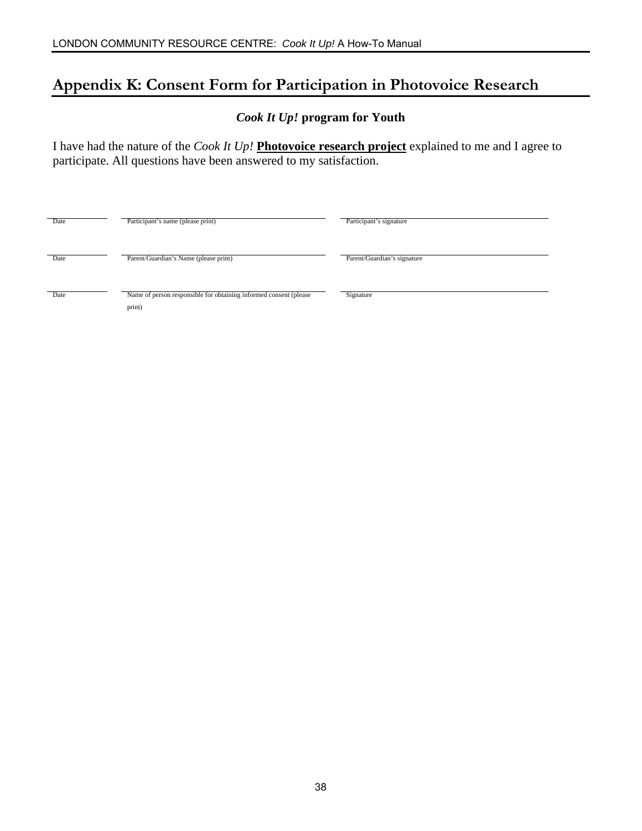### **Appendix K: Consent Form for Participation in Photovoice Research**

### *Cook It Up!* **program for Youth**

I have had the nature of the *Cook It Up!* **Photovoice research project** explained to me and I agree to participate. All questions have been answered to my satisfaction.

| Date | Participant's name (please print)                                 | Participant's signature     |
|------|-------------------------------------------------------------------|-----------------------------|
|      |                                                                   |                             |
|      |                                                                   |                             |
| Date | Parent/Guardian's Name (please print)                             | Parent/Guardian's signature |
|      |                                                                   |                             |
| Date | Name of person responsible for obtaining informed consent (please | Signature                   |
|      | print)                                                            |                             |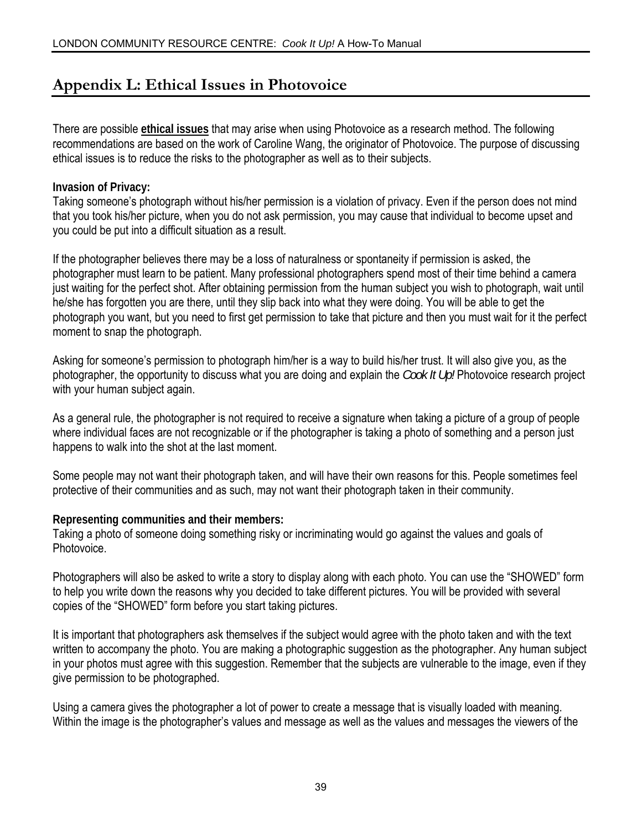## **Appendix L: Ethical Issues in Photovoice**

There are possible **ethical issues** that may arise when using Photovoice as a research method. The following recommendations are based on the work of Caroline Wang, the originator of Photovoice. The purpose of discussing ethical issues is to reduce the risks to the photographer as well as to their subjects.

### **Invasion of Privacy:**

Taking someone's photograph without his/her permission is a violation of privacy. Even if the person does not mind that you took his/her picture, when you do not ask permission, you may cause that individual to become upset and you could be put into a difficult situation as a result.

If the photographer believes there may be a loss of naturalness or spontaneity if permission is asked, the photographer must learn to be patient. Many professional photographers spend most of their time behind a camera just waiting for the perfect shot. After obtaining permission from the human subject you wish to photograph, wait until he/she has forgotten you are there, until they slip back into what they were doing. You will be able to get the photograph you want, but you need to first get permission to take that picture and then you must wait for it the perfect moment to snap the photograph.

Asking for someone's permission to photograph him/her is a way to build his/her trust. It will also give you, as the photographer, the opportunity to discuss what you are doing and explain the *Cook It Up!* Photovoice research project with your human subject again.

As a general rule, the photographer is not required to receive a signature when taking a picture of a group of people where individual faces are not recognizable or if the photographer is taking a photo of something and a person just happens to walk into the shot at the last moment.

Some people may not want their photograph taken, and will have their own reasons for this. People sometimes feel protective of their communities and as such, may not want their photograph taken in their community.

### **Representing communities and their members:**

Taking a photo of someone doing something risky or incriminating would go against the values and goals of Photovoice.

Photographers will also be asked to write a story to display along with each photo. You can use the "SHOWED" form to help you write down the reasons why you decided to take different pictures. You will be provided with several copies of the "SHOWED" form before you start taking pictures.

It is important that photographers ask themselves if the subject would agree with the photo taken and with the text written to accompany the photo. You are making a photographic suggestion as the photographer. Any human subject in your photos must agree with this suggestion. Remember that the subjects are vulnerable to the image, even if they give permission to be photographed.

Using a camera gives the photographer a lot of power to create a message that is visually loaded with meaning. Within the image is the photographer's values and message as well as the values and messages the viewers of the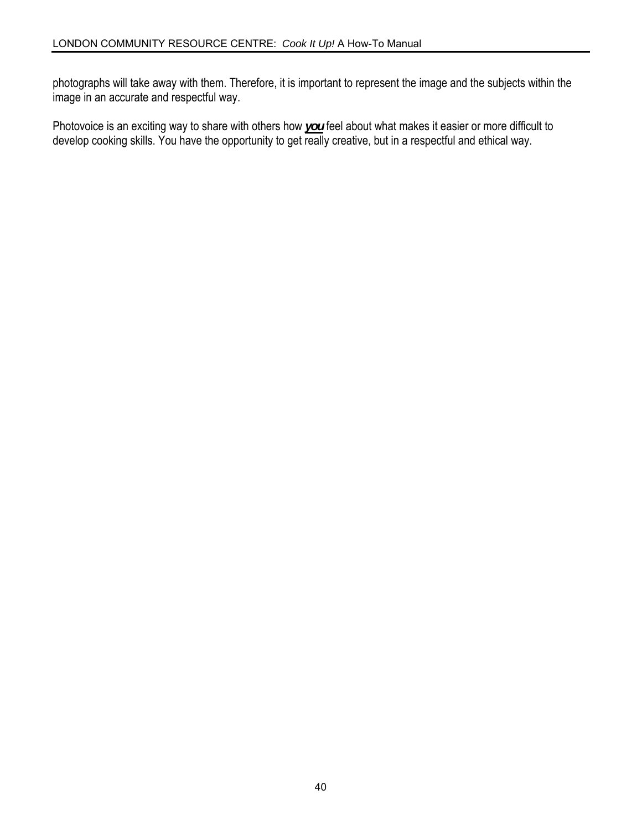photographs will take away with them. Therefore, it is important to represent the image and the subjects within the image in an accurate and respectful way.

Photovoice is an exciting way to share with others how *you* feel about what makes it easier or more difficult to develop cooking skills. You have the opportunity to get really creative, but in a respectful and ethical way.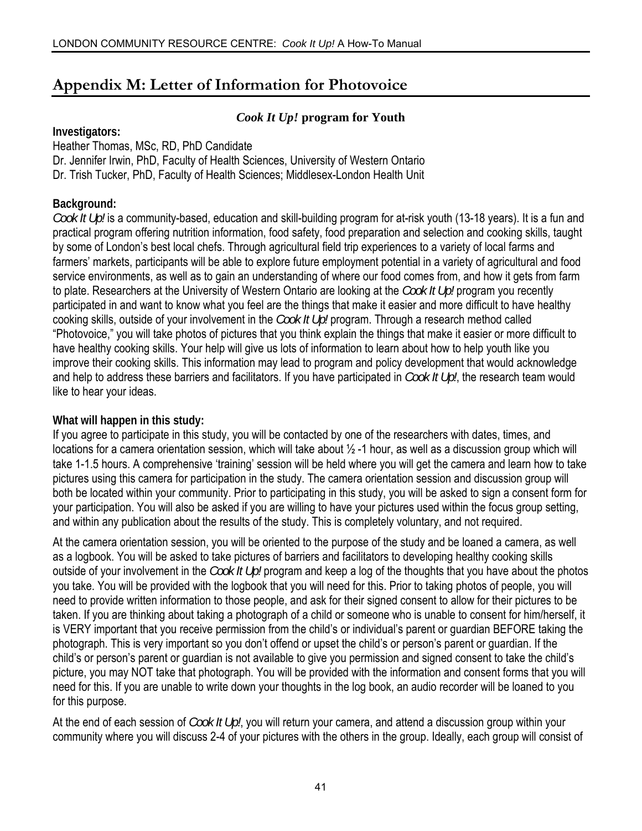### **Appendix M: Letter of Information for Photovoice**

### *Cook It Up!* **program for Youth**

#### **Investigators:**

Heather Thomas, MSc, RD, PhD Candidate Dr. Jennifer Irwin, PhD, Faculty of Health Sciences, University of Western Ontario Dr. Trish Tucker, PhD, Faculty of Health Sciences; Middlesex-London Health Unit

### **Background:**

*Cook It Up!* is a community-based, education and skill-building program for at-risk youth (13-18 years). It is a fun and practical program offering nutrition information, food safety, food preparation and selection and cooking skills, taught by some of London's best local chefs. Through agricultural field trip experiences to a variety of local farms and farmers' markets, participants will be able to explore future employment potential in a variety of agricultural and food service environments, as well as to gain an understanding of where our food comes from, and how it gets from farm to plate. Researchers at the University of Western Ontario are looking at the *Cook It Up!* program you recently participated in and want to know what you feel are the things that make it easier and more difficult to have healthy cooking skills, outside of your involvement in the *Cook It Up!* program. Through a research method called "Photovoice," you will take photos of pictures that you think explain the things that make it easier or more difficult to have healthy cooking skills. Your help will give us lots of information to learn about how to help youth like you improve their cooking skills. This information may lead to program and policy development that would acknowledge and help to address these barriers and facilitators. If you have participated in *Cook It Up!*, the research team would like to hear your ideas.

### **What will happen in this study:**

If you agree to participate in this study, you will be contacted by one of the researchers with dates, times, and locations for a camera orientation session, which will take about ½ -1 hour, as well as a discussion group which will take 1-1.5 hours. A comprehensive 'training' session will be held where you will get the camera and learn how to take pictures using this camera for participation in the study. The camera orientation session and discussion group will both be located within your community. Prior to participating in this study, you will be asked to sign a consent form for your participation. You will also be asked if you are willing to have your pictures used within the focus group setting, and within any publication about the results of the study. This is completely voluntary, and not required.

At the camera orientation session, you will be oriented to the purpose of the study and be loaned a camera, as well as a logbook. You will be asked to take pictures of barriers and facilitators to developing healthy cooking skills outside of your involvement in the *Cook It Up!* program and keep a log of the thoughts that you have about the photos you take. You will be provided with the logbook that you will need for this. Prior to taking photos of people, you will need to provide written information to those people, and ask for their signed consent to allow for their pictures to be taken. If you are thinking about taking a photograph of a child or someone who is unable to consent for him/herself, it is VERY important that you receive permission from the child's or individual's parent or guardian BEFORE taking the photograph. This is very important so you don't offend or upset the child's or person's parent or guardian. If the child's or person's parent or guardian is not available to give you permission and signed consent to take the child's picture, you may NOT take that photograph. You will be provided with the information and consent forms that you will need for this. If you are unable to write down your thoughts in the log book, an audio recorder will be loaned to you for this purpose.

At the end of each session of *Cook It Up!*, you will return your camera, and attend a discussion group within your community where you will discuss 2-4 of your pictures with the others in the group. Ideally, each group will consist of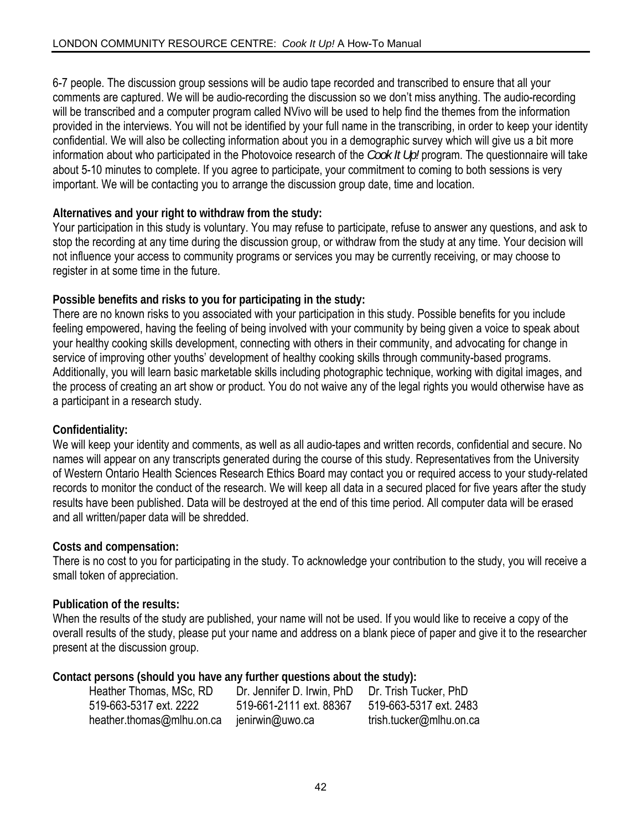6-7 people. The discussion group sessions will be audio tape recorded and transcribed to ensure that all your comments are captured. We will be audio-recording the discussion so we don't miss anything. The audio-recording will be transcribed and a computer program called NVivo will be used to help find the themes from the information provided in the interviews. You will not be identified by your full name in the transcribing, in order to keep your identity confidential. We will also be collecting information about you in a demographic survey which will give us a bit more information about who participated in the Photovoice research of the *Cook It Up!* program. The questionnaire will take about 5-10 minutes to complete. If you agree to participate, your commitment to coming to both sessions is very important. We will be contacting you to arrange the discussion group date, time and location.

### **Alternatives and your right to withdraw from the study:**

Your participation in this study is voluntary. You may refuse to participate, refuse to answer any questions, and ask to stop the recording at any time during the discussion group, or withdraw from the study at any time. Your decision will not influence your access to community programs or services you may be currently receiving, or may choose to register in at some time in the future.

### **Possible benefits and risks to you for participating in the study:**

There are no known risks to you associated with your participation in this study. Possible benefits for you include feeling empowered, having the feeling of being involved with your community by being given a voice to speak about your healthy cooking skills development, connecting with others in their community, and advocating for change in service of improving other youths' development of healthy cooking skills through community-based programs. Additionally, you will learn basic marketable skills including photographic technique, working with digital images, and the process of creating an art show or product. You do not waive any of the legal rights you would otherwise have as a participant in a research study.

### **Confidentiality:**

We will keep your identity and comments, as well as all audio-tapes and written records, confidential and secure. No names will appear on any transcripts generated during the course of this study. Representatives from the University of Western Ontario Health Sciences Research Ethics Board may contact you or required access to your study-related records to monitor the conduct of the research. We will keep all data in a secured placed for five years after the study results have been published. Data will be destroyed at the end of this time period. All computer data will be erased and all written/paper data will be shredded.

#### **Costs and compensation:**

There is no cost to you for participating in the study. To acknowledge your contribution to the study, you will receive a small token of appreciation.

#### **Publication of the results:**

When the results of the study are published, your name will not be used. If you would like to receive a copy of the overall results of the study, please put your name and address on a blank piece of paper and give it to the researcher present at the discussion group.

**Contact persons (should you have any further questions about the study):** 

| Heather Thomas, MSc, RD   | Dr. Jennifer D. Irwin, PhD | Dr. Trish Tucker, PhD   |
|---------------------------|----------------------------|-------------------------|
| 519-663-5317 ext. 2222    | 519-661-2111 ext. 88367    | 519-663-5317 ext. 2483  |
| heather.thomas@mlhu.on.ca | jenirwin@uwo.ca            | trish.tucker@mlhu.on.ca |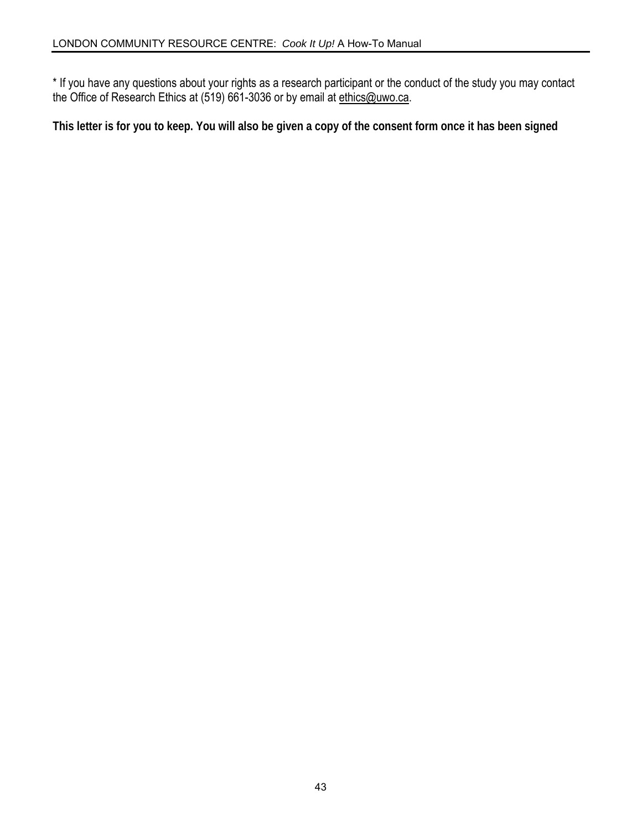\* If you have any questions about your rights as a research participant or the conduct of the study you may contact the Office of Research Ethics at (519) 661-3036 or by email at [ethics@uwo.ca](mailto:ethics@uwo.ca).

**This letter is for you to keep. You will also be given a copy of the consent form once it has been signed**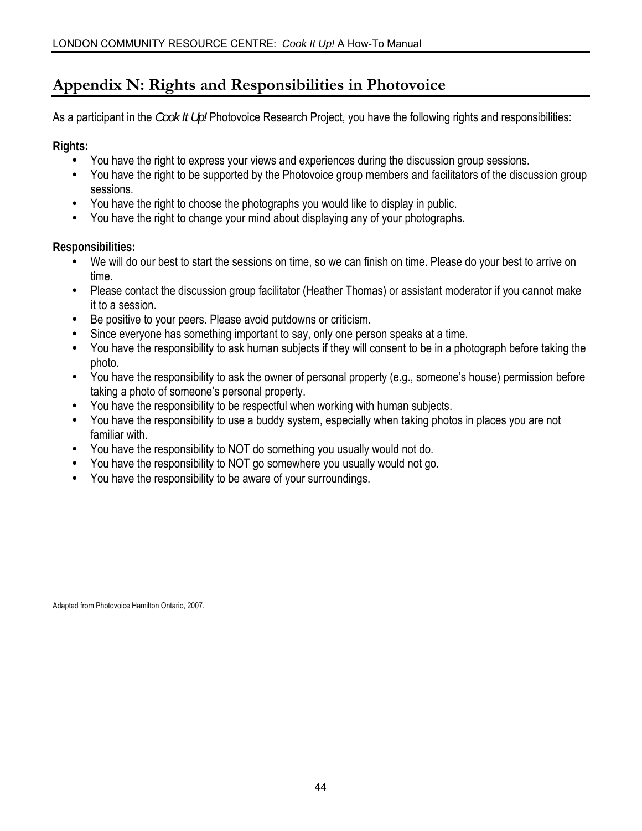## **Appendix N: Rights and Responsibilities in Photovoice**

As a participant in the *Cook It Up!* Photovoice Research Project, you have the following rights and responsibilities:

**Rights:** 

- y You have the right to express your views and experiences during the discussion group sessions.
- y You have the right to be supported by the Photovoice group members and facilitators of the discussion group sessions.
- You have the right to choose the photographs you would like to display in public.
- You have the right to change your mind about displaying any of your photographs.

**Responsibilities:** 

- We will do our best to start the sessions on time, so we can finish on time. Please do your best to arrive on time.
- Please contact the discussion group facilitator (Heather Thomas) or assistant moderator if you cannot make it to a session.
- Be positive to your peers. Please avoid putdowns or criticism.
- Since everyone has something important to say, only one person speaks at a time.
- You have the responsibility to ask human subjects if they will consent to be in a photograph before taking the photo.
- You have the responsibility to ask the owner of personal property (e.g., someone's house) permission before taking a photo of someone's personal property.
- You have the responsibility to be respectful when working with human subjects.
- You have the responsibility to use a buddy system, especially when taking photos in places you are not familiar with.
- You have the responsibility to NOT do something you usually would not do.
- y You have the responsibility to NOT go somewhere you usually would not go.
- You have the responsibility to be aware of your surroundings.

Adapted from Photovoice Hamilton Ontario, 2007.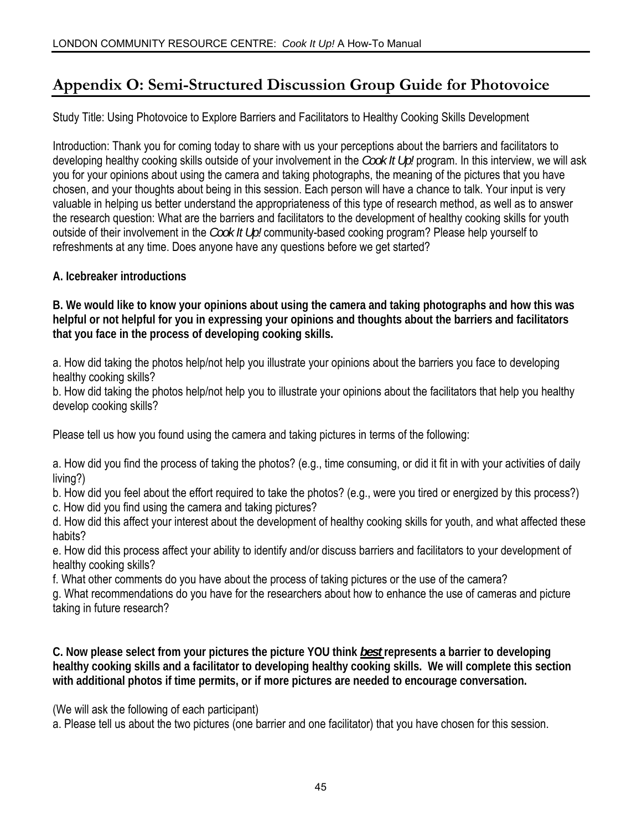## **Appendix O: Semi-Structured Discussion Group Guide for Photovoice**

Study Title: Using Photovoice to Explore Barriers and Facilitators to Healthy Cooking Skills Development

Introduction: Thank you for coming today to share with us your perceptions about the barriers and facilitators to developing healthy cooking skills outside of your involvement in the *Cook It Up!* program. In this interview, we will ask you for your opinions about using the camera and taking photographs, the meaning of the pictures that you have chosen, and your thoughts about being in this session. Each person will have a chance to talk. Your input is very valuable in helping us better understand the appropriateness of this type of research method, as well as to answer the research question: What are the barriers and facilitators to the development of healthy cooking skills for youth outside of their involvement in the *Cook It Up!* community-based cooking program? Please help yourself to refreshments at any time. Does anyone have any questions before we get started?

### **A. Icebreaker introductions**

**B. We would like to know your opinions about using the camera and taking photographs and how this was helpful or not helpful for you in expressing your opinions and thoughts about the barriers and facilitators that you face in the process of developing cooking skills.** 

a. How did taking the photos help/not help you illustrate your opinions about the barriers you face to developing healthy cooking skills?

b. How did taking the photos help/not help you to illustrate your opinions about the facilitators that help you healthy develop cooking skills?

Please tell us how you found using the camera and taking pictures in terms of the following:

a. How did you find the process of taking the photos? (e.g., time consuming, or did it fit in with your activities of daily living?)

b. How did you feel about the effort required to take the photos? (e.g., were you tired or energized by this process?) c. How did you find using the camera and taking pictures?

d. How did this affect your interest about the development of healthy cooking skills for youth, and what affected these habits?

e. How did this process affect your ability to identify and/or discuss barriers and facilitators to your development of healthy cooking skills?

f. What other comments do you have about the process of taking pictures or the use of the camera?

g. What recommendations do you have for the researchers about how to enhance the use of cameras and picture taking in future research?

**C. Now please select from your pictures the picture YOU think** *best* **represents a barrier to developing healthy cooking skills and a facilitator to developing healthy cooking skills. We will complete this section with additional photos if time permits, or if more pictures are needed to encourage conversation.** 

(We will ask the following of each participant)

a. Please tell us about the two pictures (one barrier and one facilitator) that you have chosen for this session.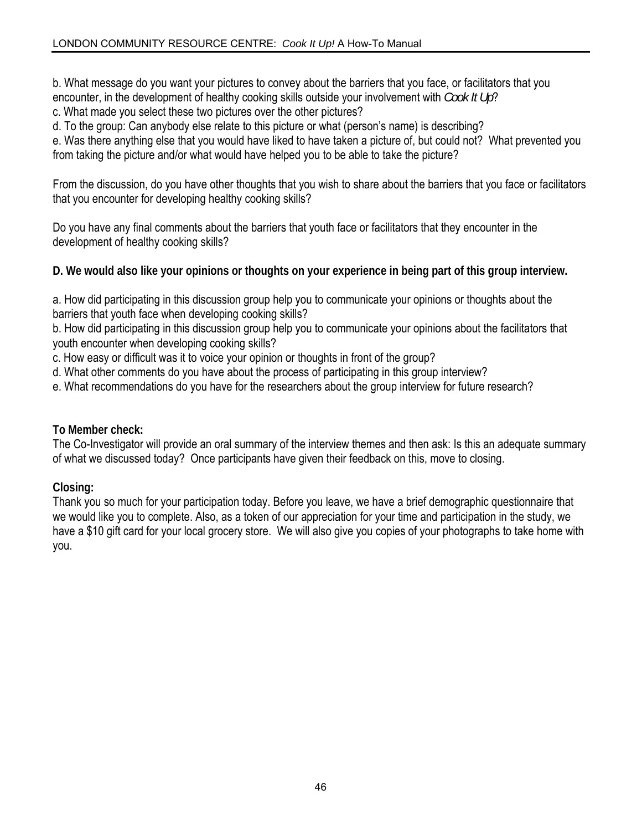b. What message do you want your pictures to convey about the barriers that you face, or facilitators that you encounter, in the development of healthy cooking skills outside your involvement with *Cook It Up*?

c. What made you select these two pictures over the other pictures?

d. To the group: Can anybody else relate to this picture or what (person's name) is describing?

e. Was there anything else that you would have liked to have taken a picture of, but could not? What prevented you from taking the picture and/or what would have helped you to be able to take the picture?

From the discussion, do you have other thoughts that you wish to share about the barriers that you face or facilitators that you encounter for developing healthy cooking skills?

Do you have any final comments about the barriers that youth face or facilitators that they encounter in the development of healthy cooking skills?

**D. We would also like your opinions or thoughts on your experience in being part of this group interview.** 

a. How did participating in this discussion group help you to communicate your opinions or thoughts about the barriers that youth face when developing cooking skills?

b. How did participating in this discussion group help you to communicate your opinions about the facilitators that youth encounter when developing cooking skills?

c. How easy or difficult was it to voice your opinion or thoughts in front of the group?

d. What other comments do you have about the process of participating in this group interview?

e. What recommendations do you have for the researchers about the group interview for future research?

### **To Member check:**

The Co-Investigator will provide an oral summary of the interview themes and then ask: Is this an adequate summary of what we discussed today? Once participants have given their feedback on this, move to closing.

### **Closing:**

Thank you so much for your participation today. Before you leave, we have a brief demographic questionnaire that we would like you to complete. Also, as a token of our appreciation for your time and participation in the study, we have a \$10 gift card for your local grocery store. We will also give you copies of your photographs to take home with you.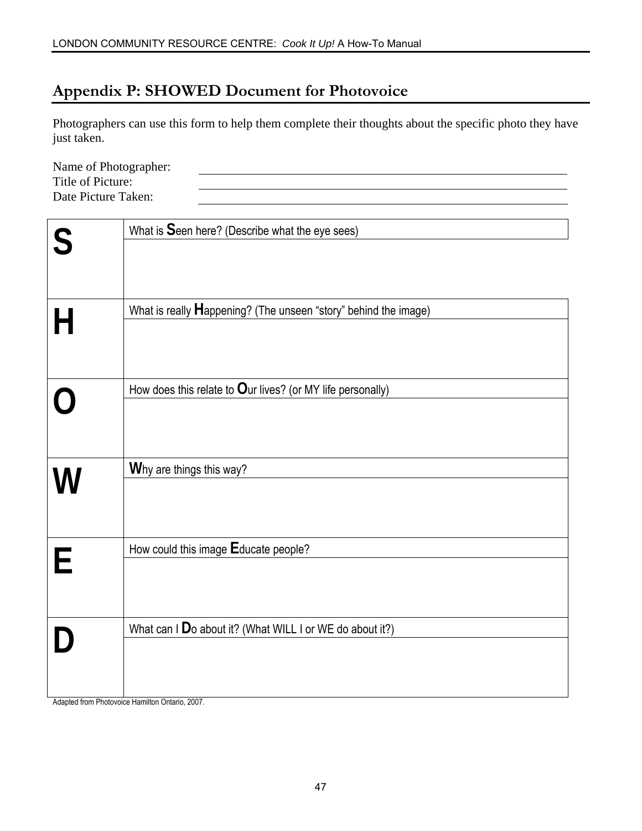### **Appendix P: SHOWED Document for Photovoice**

Photographers can use this form to help them complete their thoughts about the specific photo they have just taken.

Name of Photographer: Title of Picture: Date Picture Taken:

|          | What is Seen here? (Describe what the eye sees)                 |
|----------|-----------------------------------------------------------------|
|          |                                                                 |
|          |                                                                 |
|          | What is really Happening? (The unseen "story" behind the image) |
| $\vdash$ |                                                                 |
|          | How does this relate to Our lives? (or MY life personally)      |
|          |                                                                 |
|          | Why are things this way?                                        |
|          |                                                                 |
|          | How could this image Educate people?                            |
| E        |                                                                 |
|          | What can I Do about it? (What WILL I or WE do about it?)        |
|          |                                                                 |

Adapted from Photovoice Hamilton Ontario, 2007.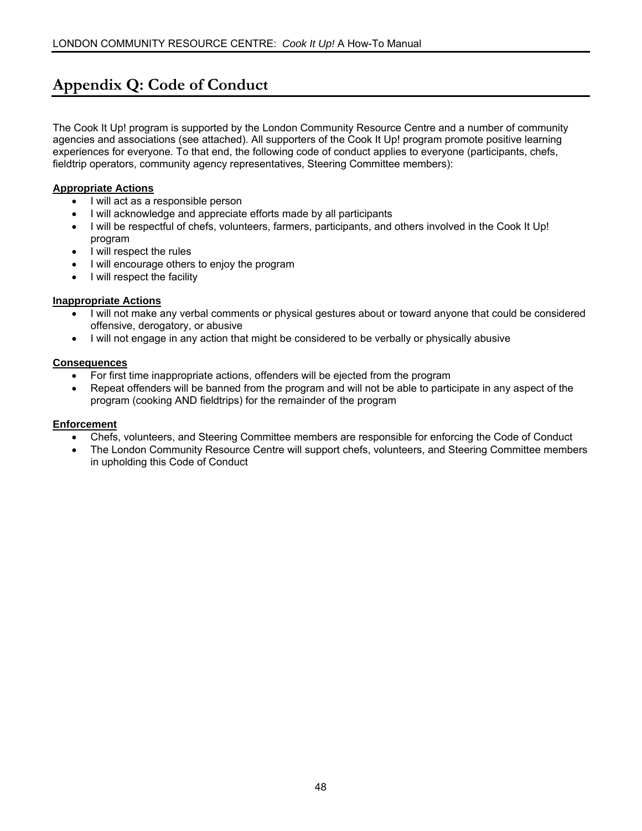## **Appendix Q: Code of Conduct**

The Cook It Up! program is supported by the London Community Resource Centre and a number of community agencies and associations (see attached). All supporters of the Cook It Up! program promote positive learning experiences for everyone. To that end, the following code of conduct applies to everyone (participants, chefs, fieldtrip operators, community agency representatives, Steering Committee members):

#### **Appropriate Actions**

- I will act as a responsible person
- I will acknowledge and appreciate efforts made by all participants
- I will be respectful of chefs, volunteers, farmers, participants, and others involved in the Cook It Up! program
- I will respect the rules
- I will encourage others to enjoy the program
- I will respect the facility

#### **Inappropriate Actions**

- I will not make any verbal comments or physical gestures about or toward anyone that could be considered offensive, derogatory, or abusive
- I will not engage in any action that might be considered to be verbally or physically abusive

#### **Consequences**

- For first time inappropriate actions, offenders will be ejected from the program
- Repeat offenders will be banned from the program and will not be able to participate in any aspect of the program (cooking AND fieldtrips) for the remainder of the program

#### **Enforcement**

- Chefs, volunteers, and Steering Committee members are responsible for enforcing the Code of Conduct
- The London Community Resource Centre will support chefs, volunteers, and Steering Committee members in upholding this Code of Conduct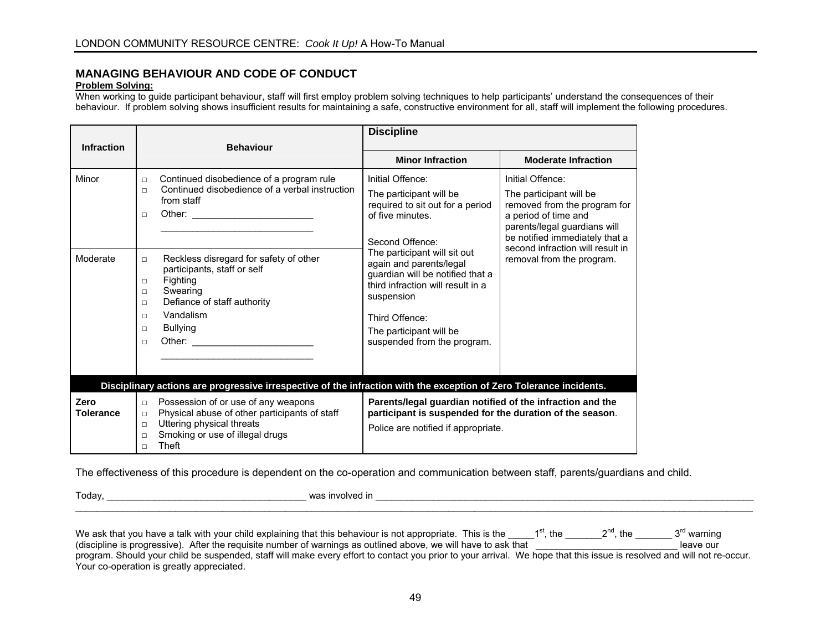#### **MANAGING BEHAVIOUR AND CODE OF CONDUCT**

#### **Problem Solving:**

When working to guide participant behaviour, staff will first employ problem solving techniques to help participants' understand the consequences of their behaviour. If problem solving shows insufficient results for maintaining a safe, constructive environment for all, staff will implement the following procedures.

|                                                                                                                     |                                                                                                                                                                                                                                                                                                                                                                              | <b>Discipline</b>                                                                                                                                                                                                                                                                                                                                    |                                                                                                                                                                                                                                        |  |  |
|---------------------------------------------------------------------------------------------------------------------|------------------------------------------------------------------------------------------------------------------------------------------------------------------------------------------------------------------------------------------------------------------------------------------------------------------------------------------------------------------------------|------------------------------------------------------------------------------------------------------------------------------------------------------------------------------------------------------------------------------------------------------------------------------------------------------------------------------------------------------|----------------------------------------------------------------------------------------------------------------------------------------------------------------------------------------------------------------------------------------|--|--|
| <b>Infraction</b>                                                                                                   | <b>Behaviour</b>                                                                                                                                                                                                                                                                                                                                                             | <b>Minor Infraction</b>                                                                                                                                                                                                                                                                                                                              | <b>Moderate Infraction</b>                                                                                                                                                                                                             |  |  |
| Minor<br>Moderate                                                                                                   | Continued disobedience of a program rule<br>$\Box$<br>Continued disobedience of a verbal instruction<br>$\Box$<br>from staff<br>$\Box$<br>Reckless disregard for safety of other<br>$\Box$<br>participants, staff or self<br>Fighting<br>$\Box$<br>Swearing<br>$\Box$<br>Defiance of staff authority<br>$\Box$<br>Vandalism<br>$\Box$<br><b>Bullying</b><br>$\Box$<br>$\Box$ | Initial Offence:<br>The participant will be<br>required to sit out for a period<br>of five minutes.<br>Second Offence:<br>The participant will sit out<br>again and parents/legal<br>guardian will be notified that a<br>third infraction will result in a<br>suspension<br>Third Offence:<br>The participant will be<br>suspended from the program. | Initial Offence:<br>The participant will be<br>removed from the program for<br>a period of time and<br>parents/legal guardians will<br>be notified immediately that a<br>second infraction will result in<br>removal from the program. |  |  |
| Disciplinary actions are progressive irrespective of the infraction with the exception of Zero Tolerance incidents. |                                                                                                                                                                                                                                                                                                                                                                              |                                                                                                                                                                                                                                                                                                                                                      |                                                                                                                                                                                                                                        |  |  |
| Zero<br><b>Tolerance</b>                                                                                            | Possession of or use of any weapons<br>$\Box$<br>Physical abuse of other participants of staff<br>$\Box$<br>Uttering physical threats<br>$\Box$<br>Smoking or use of illegal drugs<br>$\Box$<br>Theft<br>П.                                                                                                                                                                  | Parents/legal guardian notified of the infraction and the<br>participant is suspended for the duration of the season.<br>Police are notified if appropriate.                                                                                                                                                                                         |                                                                                                                                                                                                                                        |  |  |

The effectiveness of this procedure is dependent on the co-operation and communication between staff, parents/guardians and child.

| Today,                                                                                                                                                                                                                                                                                    | was involved in |                  |                |                         |
|-------------------------------------------------------------------------------------------------------------------------------------------------------------------------------------------------------------------------------------------------------------------------------------------|-----------------|------------------|----------------|-------------------------|
|                                                                                                                                                                                                                                                                                           |                 |                  |                |                         |
| We ask that you have a talk with your child explaining that this behaviour is not appropriate. This is the                                                                                                                                                                                |                 | $1^{\rm st}$ the | $2^{nq}$ , the | $3^{\text{ra}}$ warning |
| (discipline is progressive). After the requisite number of warnings as outlined above, we will have to ask that<br>program. Should your child be suspended, staff will make every effort to contact you prior to your arrival. We hope that this issue is resolved and will not re-occur. |                 |                  |                | leave our               |

Your co-operation is greatly appreciated.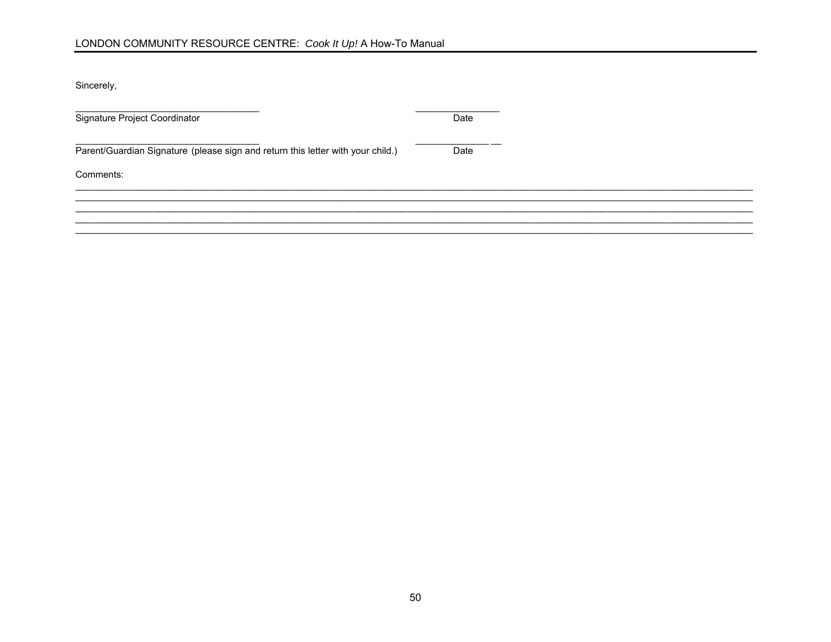#### LONDON COMMUNITY RESOURCE CENTRE: Cook It Up! A How-To Manual

Sincerely,

| Signature Project Coordinator                                                   | Date |  |
|---------------------------------------------------------------------------------|------|--|
| Parent/Guardian Signature (please sign and return this letter with your child.) | Date |  |
| Comments:                                                                       |      |  |
|                                                                                 |      |  |
|                                                                                 |      |  |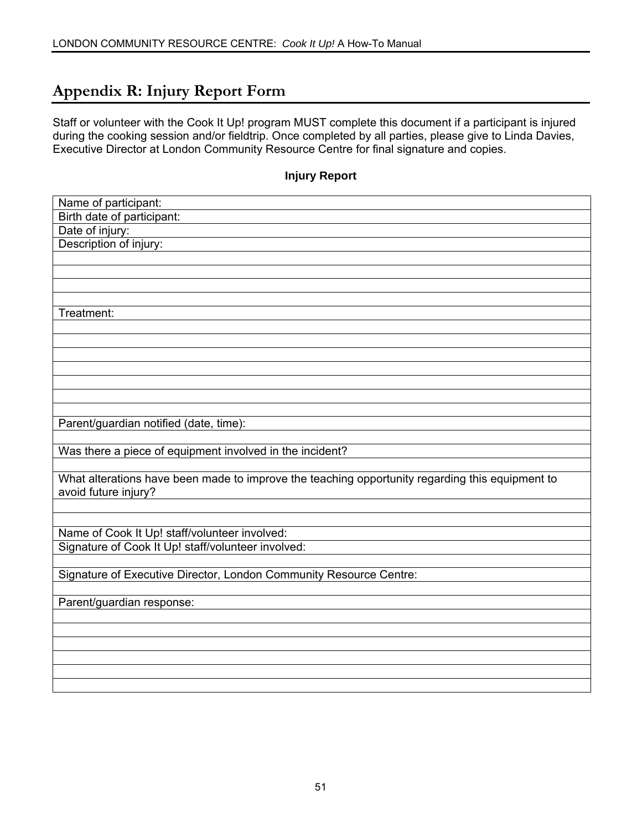### **Appendix R: Injury Report Form**

Staff or volunteer with the Cook It Up! program MUST complete this document if a participant is injured during the cooking session and/or fieldtrip. Once completed by all parties, please give to Linda Davies, Executive Director at London Community Resource Centre for final signature and copies.

|  | <b>Injury Report</b> |
|--|----------------------|
|  |                      |

| Name of participant:                                                                            |
|-------------------------------------------------------------------------------------------------|
| Birth date of participant:                                                                      |
| Date of injury:                                                                                 |
| Description of injury:                                                                          |
|                                                                                                 |
|                                                                                                 |
|                                                                                                 |
|                                                                                                 |
| Treatment:                                                                                      |
|                                                                                                 |
|                                                                                                 |
|                                                                                                 |
|                                                                                                 |
|                                                                                                 |
|                                                                                                 |
|                                                                                                 |
| Parent/guardian notified (date, time):                                                          |
|                                                                                                 |
| Was there a piece of equipment involved in the incident?                                        |
|                                                                                                 |
| What alterations have been made to improve the teaching opportunity regarding this equipment to |
| avoid future injury?                                                                            |
|                                                                                                 |
|                                                                                                 |
| Name of Cook It Up! staff/volunteer involved:                                                   |
| Signature of Cook It Up! staff/volunteer involved:                                              |
|                                                                                                 |
| Signature of Executive Director, London Community Resource Centre:                              |
|                                                                                                 |
| Parent/guardian response:                                                                       |
|                                                                                                 |
|                                                                                                 |
|                                                                                                 |
|                                                                                                 |
|                                                                                                 |
|                                                                                                 |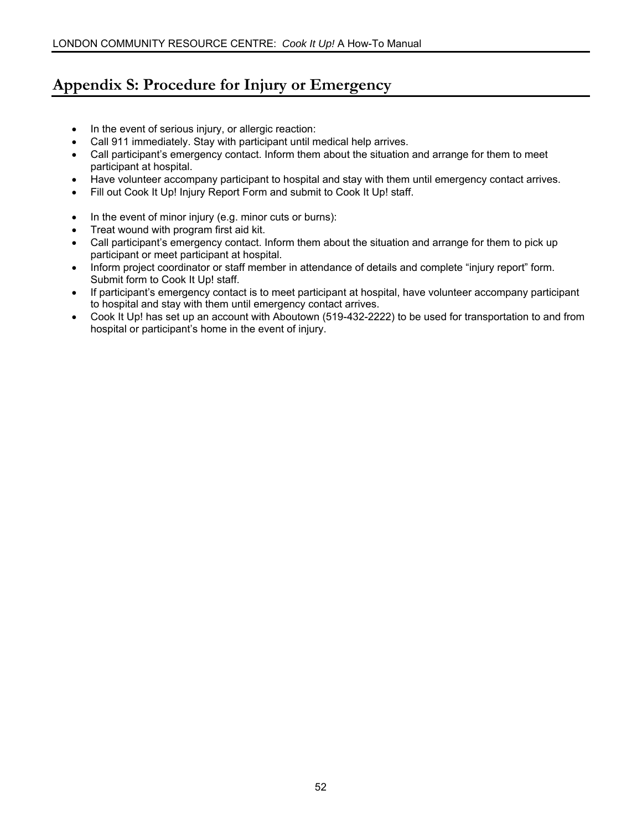### **Appendix S: Procedure for Injury or Emergency**

- In the event of serious injury, or allergic reaction:
- Call 911 immediately. Stay with participant until medical help arrives.
- Call participant's emergency contact. Inform them about the situation and arrange for them to meet participant at hospital.
- Have volunteer accompany participant to hospital and stay with them until emergency contact arrives.
- Fill out Cook It Up! Injury Report Form and submit to Cook It Up! staff.
- In the event of minor injury (e.g. minor cuts or burns):
- Treat wound with program first aid kit.
- Call participant's emergency contact. Inform them about the situation and arrange for them to pick up participant or meet participant at hospital.
- Inform project coordinator or staff member in attendance of details and complete "injury report" form. Submit form to Cook It Up! staff.
- If participant's emergency contact is to meet participant at hospital, have volunteer accompany participant to hospital and stay with them until emergency contact arrives.
- Cook It Up! has set up an account with Aboutown (519-432-2222) to be used for transportation to and from hospital or participant's home in the event of injury.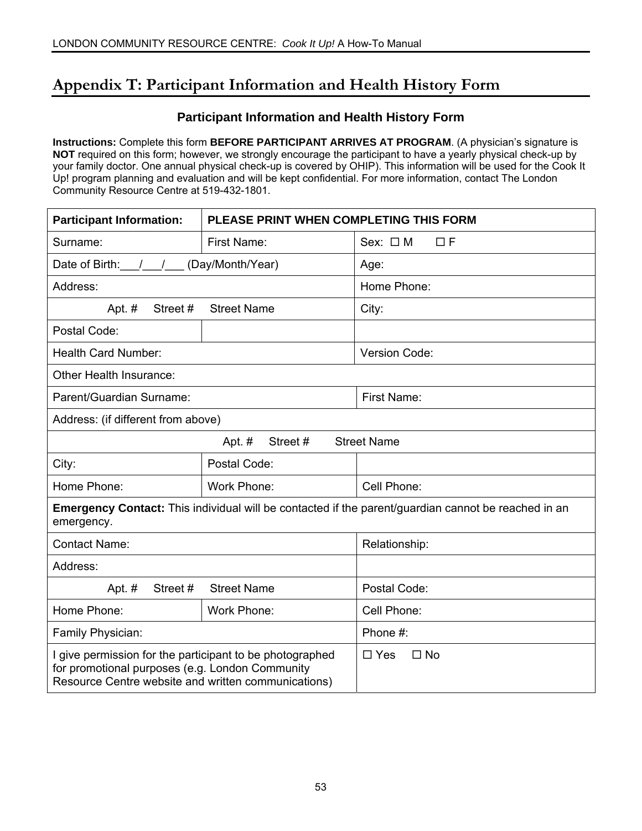### **Appendix T: Participant Information and Health History Form**

### **Participant Information and Health History Form**

**Instructions:** Complete this form **BEFORE PARTICIPANT ARRIVES AT PROGRAM**. (A physician's signature is **NOT** required on this form; however, we strongly encourage the participant to have a yearly physical check-up by your family doctor. One annual physical check-up is covered by OHIP). This information will be used for the Cook It Up! program planning and evaluation and will be kept confidential. For more information, contact The London Community Resource Centre at 519-432-1801.

| <b>Participant Information:</b>                                                                                                                                    | PLEASE PRINT WHEN COMPLETING THIS FORM |                                                                                                            |  |
|--------------------------------------------------------------------------------------------------------------------------------------------------------------------|----------------------------------------|------------------------------------------------------------------------------------------------------------|--|
| Surname:                                                                                                                                                           | First Name:                            | Sex: $\Box$ M<br>$\Box F$                                                                                  |  |
| Date of Birth: / /                                                                                                                                                 | (Day/Month/Year)                       | Age:                                                                                                       |  |
| Address:                                                                                                                                                           |                                        | Home Phone:                                                                                                |  |
| Apt. #<br>Street #                                                                                                                                                 | <b>Street Name</b>                     | City:                                                                                                      |  |
| Postal Code:                                                                                                                                                       |                                        |                                                                                                            |  |
| <b>Health Card Number:</b>                                                                                                                                         |                                        | <b>Version Code:</b>                                                                                       |  |
| <b>Other Health Insurance:</b>                                                                                                                                     |                                        |                                                                                                            |  |
| Parent/Guardian Surname:                                                                                                                                           |                                        | <b>First Name:</b>                                                                                         |  |
| Address: (if different from above)                                                                                                                                 |                                        |                                                                                                            |  |
|                                                                                                                                                                    | Apt. $#$<br>Street#                    | <b>Street Name</b>                                                                                         |  |
| Postal Code:<br>City:                                                                                                                                              |                                        |                                                                                                            |  |
| Home Phone:                                                                                                                                                        | Work Phone:                            | Cell Phone:                                                                                                |  |
| emergency.                                                                                                                                                         |                                        | <b>Emergency Contact:</b> This individual will be contacted if the parent/guardian cannot be reached in an |  |
| <b>Contact Name:</b>                                                                                                                                               |                                        | Relationship:                                                                                              |  |
| Address:                                                                                                                                                           |                                        |                                                                                                            |  |
| <b>Street Name</b><br>Apt. $#$<br>Street#                                                                                                                          |                                        | Postal Code:                                                                                               |  |
| Home Phone:                                                                                                                                                        | <b>Work Phone:</b>                     | Cell Phone:                                                                                                |  |
| Family Physician:                                                                                                                                                  |                                        | Phone #:                                                                                                   |  |
| I give permission for the participant to be photographed<br>for promotional purposes (e.g. London Community<br>Resource Centre website and written communications) |                                        | $\Box$ Yes<br>$\square$ No                                                                                 |  |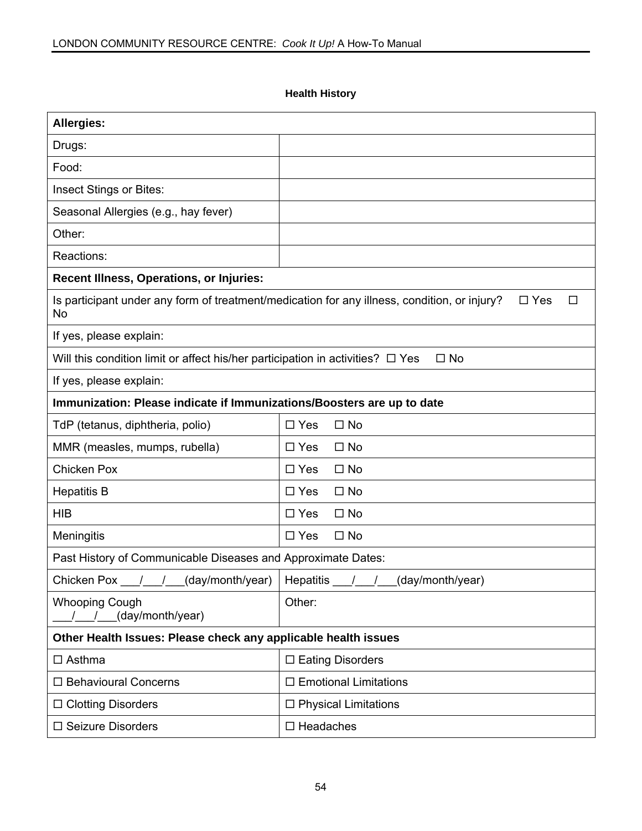#### **Health History**

| Allergies:                                                                          |                                                                                                                      |  |  |
|-------------------------------------------------------------------------------------|----------------------------------------------------------------------------------------------------------------------|--|--|
| Drugs:                                                                              |                                                                                                                      |  |  |
| Food:                                                                               |                                                                                                                      |  |  |
| Insect Stings or Bites:                                                             |                                                                                                                      |  |  |
| Seasonal Allergies (e.g., hay fever)                                                |                                                                                                                      |  |  |
| Other:                                                                              |                                                                                                                      |  |  |
| Reactions:                                                                          |                                                                                                                      |  |  |
| Recent Illness, Operations, or Injuries:                                            |                                                                                                                      |  |  |
| No                                                                                  | Is participant under any form of treatment/medication for any illness, condition, or injury?<br>$\Box$ Yes<br>$\Box$ |  |  |
| If yes, please explain:                                                             |                                                                                                                      |  |  |
| Will this condition limit or affect his/her participation in activities? $\Box$ Yes | $\square$ No                                                                                                         |  |  |
| If yes, please explain:                                                             |                                                                                                                      |  |  |
| Immunization: Please indicate if Immunizations/Boosters are up to date              |                                                                                                                      |  |  |
| TdP (tetanus, diphtheria, polio)                                                    | $\Box$ Yes<br>$\square$ No                                                                                           |  |  |
| MMR (measles, mumps, rubella)                                                       | $\square$ No<br>$\Box$ Yes                                                                                           |  |  |
| <b>Chicken Pox</b>                                                                  | $\square$ Yes<br>$\square$ No                                                                                        |  |  |
| <b>Hepatitis B</b>                                                                  | $\square$ Yes<br>$\square$ No                                                                                        |  |  |
| <b>HIB</b>                                                                          | $\Box$ Yes<br>$\square$ No                                                                                           |  |  |
| Meningitis                                                                          | $\square$ Yes<br>$\square$ No                                                                                        |  |  |
| Past History of Communicable Diseases and Approximate Dates:                        |                                                                                                                      |  |  |
| Chicken Pox __/ __/ __ (day/month/year)                                             | Hepatitis __/__/__(day/month/year)                                                                                   |  |  |
| <b>Whooping Cough</b><br>(day/month/year)                                           | Other:                                                                                                               |  |  |
| Other Health Issues: Please check any applicable health issues                      |                                                                                                                      |  |  |
| $\Box$ Asthma                                                                       | $\Box$ Eating Disorders                                                                                              |  |  |
| □ Behavioural Concerns                                                              | $\Box$ Emotional Limitations                                                                                         |  |  |
| $\Box$ Clotting Disorders                                                           | $\Box$ Physical Limitations                                                                                          |  |  |
| $\square$ Seizure Disorders                                                         | $\square$ Headaches                                                                                                  |  |  |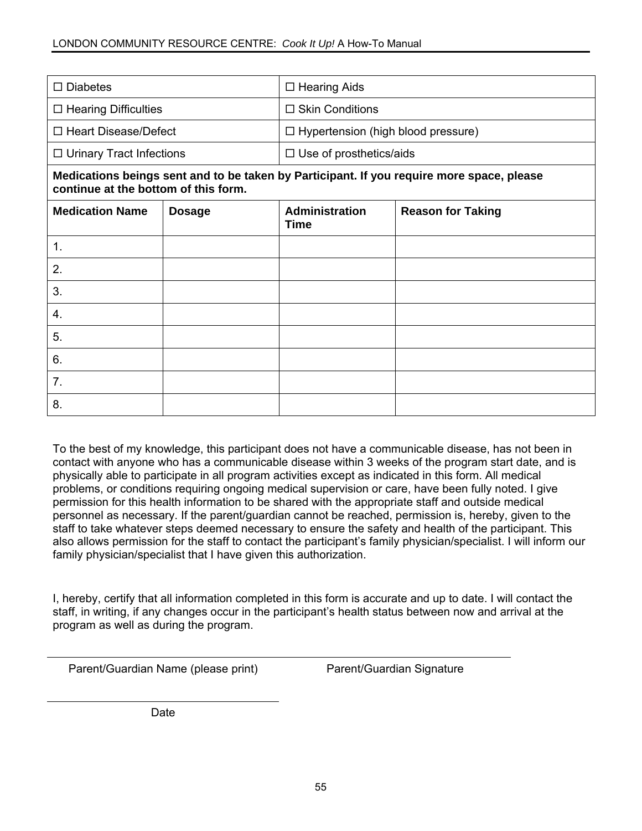| $\Box$ Diabetes                      |               | $\Box$ Hearing Aids                                       |                                                                                           |  |
|--------------------------------------|---------------|-----------------------------------------------------------|-------------------------------------------------------------------------------------------|--|
| $\Box$ Hearing Difficulties          |               | $\Box$ Skin Conditions                                    |                                                                                           |  |
| $\Box$ Heart Disease/Defect          |               | $\Box$ Hypertension (high blood pressure)                 |                                                                                           |  |
| $\Box$ Urinary Tract Infections      |               | $\Box$ Use of prosthetics/aids                            |                                                                                           |  |
| continue at the bottom of this form. |               |                                                           | Medications beings sent and to be taken by Participant. If you require more space, please |  |
| <b>Medication Name</b>               | <b>Dosage</b> | Administration<br><b>Reason for Taking</b><br><b>Time</b> |                                                                                           |  |
| 1.                                   |               |                                                           |                                                                                           |  |
| 2.                                   |               |                                                           |                                                                                           |  |
| 3.                                   |               |                                                           |                                                                                           |  |
| 4.                                   |               |                                                           |                                                                                           |  |
| 5.                                   |               |                                                           |                                                                                           |  |
| 6.                                   |               |                                                           |                                                                                           |  |
| 7.                                   |               |                                                           |                                                                                           |  |
| 8.                                   |               |                                                           |                                                                                           |  |

To the best of my knowledge, this participant does not have a communicable disease, has not been in contact with anyone who has a communicable disease within 3 weeks of the program start date, and is physically able to participate in all program activities except as indicated in this form. All medical problems, or conditions requiring ongoing medical supervision or care, have been fully noted. I give permission for this health information to be shared with the appropriate staff and outside medical personnel as necessary. If the parent/guardian cannot be reached, permission is, hereby, given to the staff to take whatever steps deemed necessary to ensure the safety and health of the participant. This also allows permission for the staff to contact the participant's family physician/specialist. I will inform our family physician/specialist that I have given this authorization.

I, hereby, certify that all information completed in this form is accurate and up to date. I will contact the staff, in writing, if any changes occur in the participant's health status between now and arrival at the program as well as during the program.

Parent/Guardian Name (please print) Parent/Guardian Signature

Date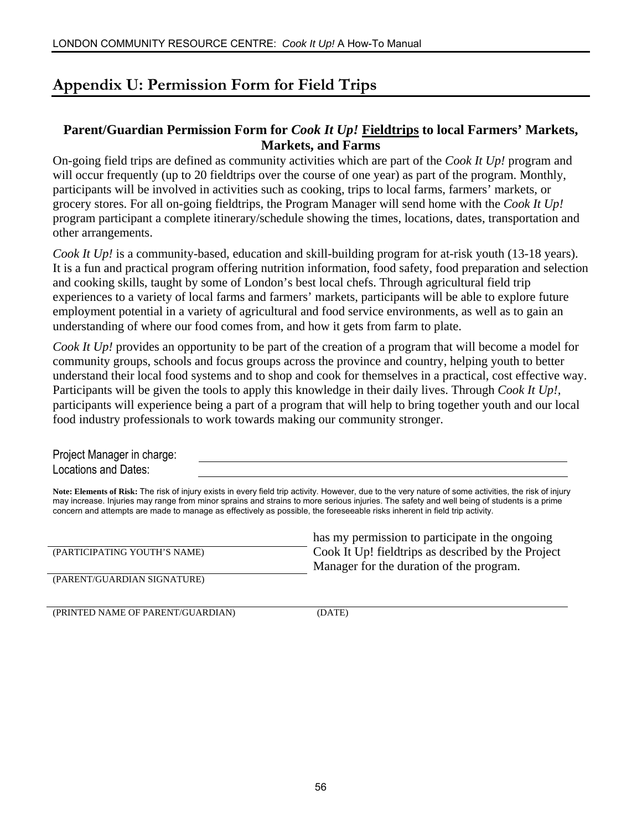## **Appendix U: Permission Form for Field Trips**

### **Parent/Guardian Permission Form for** *Cook It Up!* **Fieldtrips to local Farmers' Markets, Markets, and Farms**

On-going field trips are defined as community activities which are part of the *Cook It Up!* program and will occur frequently (up to 20 fieldtrips over the course of one year) as part of the program. Monthly, participants will be involved in activities such as cooking, trips to local farms, farmers' markets, or grocery stores. For all on-going fieldtrips, the Program Manager will send home with the *Cook It Up!* program participant a complete itinerary/schedule showing the times, locations, dates, transportation and other arrangements.

*Cook It Up!* is a community-based, education and skill-building program for at-risk youth (13-18 years). It is a fun and practical program offering nutrition information, food safety, food preparation and selection and cooking skills, taught by some of London's best local chefs. Through agricultural field trip experiences to a variety of local farms and farmers' markets, participants will be able to explore future employment potential in a variety of agricultural and food service environments, as well as to gain an understanding of where our food comes from, and how it gets from farm to plate.

*Cook It Up!* provides an opportunity to be part of the creation of a program that will become a model for community groups, schools and focus groups across the province and country, helping youth to better understand their local food systems and to shop and cook for themselves in a practical, cost effective way. Participants will be given the tools to apply this knowledge in their daily lives. Through *Cook It Up!,* participants will experience being a part of a program that will help to bring together youth and our local food industry professionals to work towards making our community stronger.

| Project Manager in charge: |  |
|----------------------------|--|
| Locations and Dates:       |  |
|                            |  |

**Note: Elements of Risk:** The risk of injury exists in every field trip activity. However, due to the very nature of some activities, the risk of injury may increase. Injuries may range from minor sprains and strains to more serious injuries. The safety and well being of students is a prime concern and attempts are made to manage as effectively as possible, the foreseeable risks inherent in field trip activity.

|                              | has my permission to participate in the ongoing     |
|------------------------------|-----------------------------------------------------|
| (PARTICIPATING YOUTH'S NAME) | Cook It Up! field trips as described by the Project |
|                              | Manager for the duration of the program.            |
| (PARENT/GUARDIAN SIGNATURE)  |                                                     |
|                              |                                                     |
|                              |                                                     |

(PRINTED NAME OF PARENT/GUARDIAN) (DATE)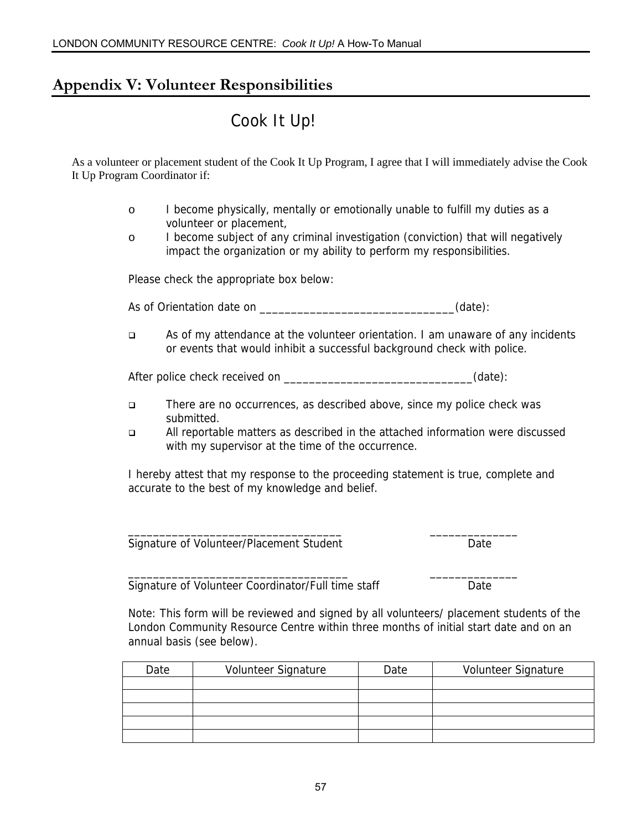### **Appendix V: Volunteer Responsibilities**

## Cook It Up!

As a volunteer or placement student of the Cook It Up Program, I agree that I will immediately advise the Cook It Up Program Coordinator if:

- o I become physically, mentally or emotionally unable to fulfill my duties as a volunteer or placement,
- o I become subject of any criminal investigation (conviction) that will negatively impact the organization or my ability to perform my responsibilities.

Please check the appropriate box below:

As of Orientation date on \_\_\_\_\_\_\_\_\_\_\_\_\_\_\_\_\_\_\_\_\_\_\_\_\_\_\_\_\_\_(date):

 As of my attendance at the volunteer orientation. I am unaware of any incidents or events that would inhibit a successful background check with police.

After police check received on \_\_\_\_\_\_\_\_\_\_\_\_\_\_\_\_\_\_\_\_\_\_\_\_\_\_\_\_\_\_\_\_\_\_(date):

- There are no occurrences, as described above, since my police check was submitted.
- All reportable matters as described in the attached information were discussed with my supervisor at the time of the occurrence.

I hereby attest that my response to the proceeding statement is true, complete and accurate to the best of my knowledge and belief.

Signature of Volunteer/Placement Student Date

\_\_\_\_\_\_\_\_\_\_\_\_\_\_\_\_\_\_\_\_\_\_\_\_\_\_\_\_\_\_\_\_\_\_\_ \_\_\_\_\_\_\_\_\_\_\_\_\_\_ Signature of Volunteer Coordinator/Full time staff Date

\_\_\_\_\_\_\_\_\_\_\_\_\_\_\_\_\_\_\_\_\_\_\_\_\_\_\_\_\_\_\_\_\_\_ \_\_\_\_\_\_\_\_\_\_\_\_\_\_

Note: This form will be reviewed and signed by all volunteers/ placement students of the London Community Resource Centre within three months of initial start date and on an annual basis (see below).

| Date | Volunteer Signature | Date | Volunteer Signature |
|------|---------------------|------|---------------------|
|      |                     |      |                     |
|      |                     |      |                     |
|      |                     |      |                     |
|      |                     |      |                     |
|      |                     |      |                     |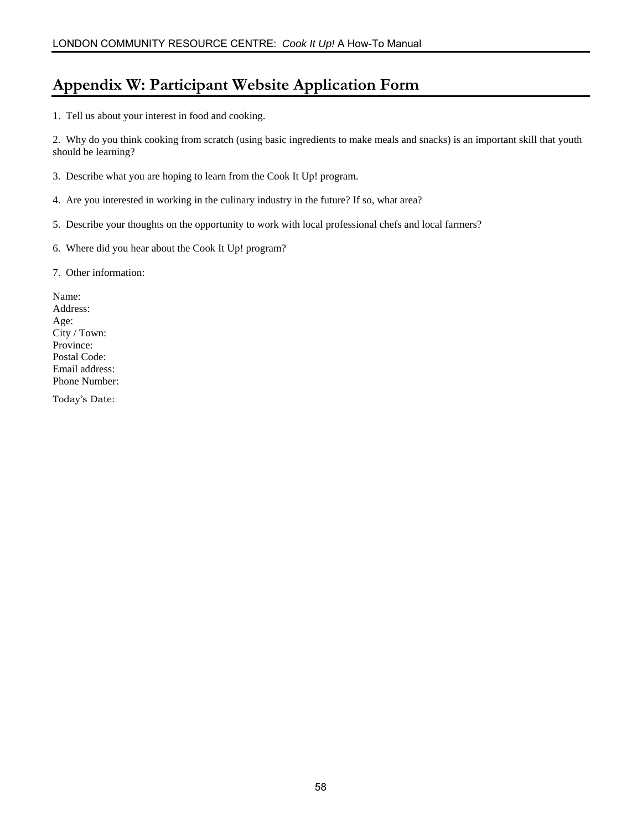## **Appendix W: Participant Website Application Form**

1. Tell us about your interest in food and cooking.

2. Why do you think cooking from scratch (using basic ingredients to make meals and snacks) is an important skill that youth should be learning?

- 3. Describe what you are hoping to learn from the Cook It Up! program.
- 4. Are you interested in working in the culinary industry in the future? If so, what area?
- 5. Describe your thoughts on the opportunity to work with local professional chefs and local farmers?
- 6. Where did you hear about the Cook It Up! program?
- 7. Other information:

Name: Address: Age: City / Town: Province: Postal Code: Email address: Phone Number:

Today's Date: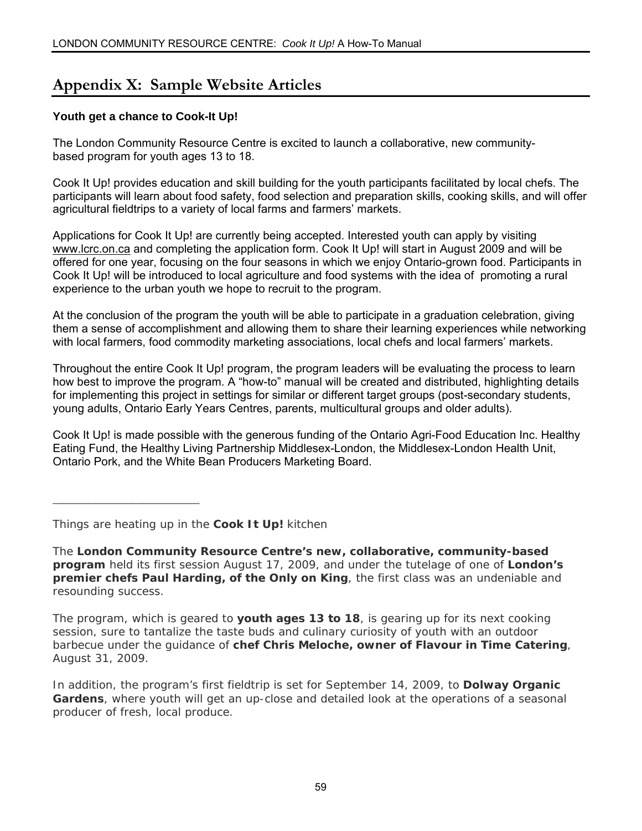### **Appendix X: Sample Website Articles**

#### **Youth get a chance to Cook-It Up!**

The London Community Resource Centre is excited to launch a collaborative, new communitybased program for youth ages 13 to 18.

Cook It Up! provides education and skill building for the youth participants facilitated by local chefs. The participants will learn about food safety, food selection and preparation skills, cooking skills, and will offer agricultural fieldtrips to a variety of local farms and farmers' markets.

Applications for Cook It Up! are currently being accepted. Interested youth can apply by visiting [www.lcrc.on.ca](http://www.lcrc.on.ca/) and completing the application form. Cook It Up! will start in August 2009 and will be offered for one year, focusing on the four seasons in which we enjoy Ontario-grown food. Participants in Cook It Up! will be introduced to local agriculture and food systems with the idea of promoting a rural experience to the urban youth we hope to recruit to the program.

At the conclusion of the program the youth will be able to participate in a graduation celebration, giving them a sense of accomplishment and allowing them to share their learning experiences while networking with local farmers, food commodity marketing associations, local chefs and local farmers' markets.

Throughout the entire Cook It Up! program, the program leaders will be evaluating the process to learn how best to improve the program. A "how-to" manual will be created and distributed, highlighting details for implementing this project in settings for similar or different target groups (post-secondary students, young adults, Ontario Early Years Centres, parents, multicultural groups and older adults).

Cook It Up! is made possible with the generous funding of the Ontario Agri-Food Education Inc. Healthy Eating Fund, the Healthy Living Partnership Middlesex-London, the Middlesex-London Health Unit, Ontario Pork, and the White Bean Producers Marketing Board.

Things are heating up in the **Cook It Up!** kitchen

\_\_\_\_\_\_\_\_\_\_\_\_\_\_\_\_\_\_\_\_\_\_\_\_\_\_\_\_

The **London Community Resource Centre's new, collaborative, community-based program** held its first session August 17, 2009, and under the tutelage of one of **London's premier chefs Paul Harding, of the Only on King**, the first class was an undeniable and resounding success.

The program, which is geared to **youth ages 13 to 18**, is gearing up for its next cooking session, sure to tantalize the taste buds and culinary curiosity of youth with an outdoor barbecue under the guidance of **chef Chris Meloche, owner of Flavour in Time Catering**, August 31, 2009.

In addition, the program's first fieldtrip is set for September 14, 2009, to **Dolway Organic Gardens**, where youth will get an up-close and detailed look at the operations of a seasonal producer of fresh, local produce.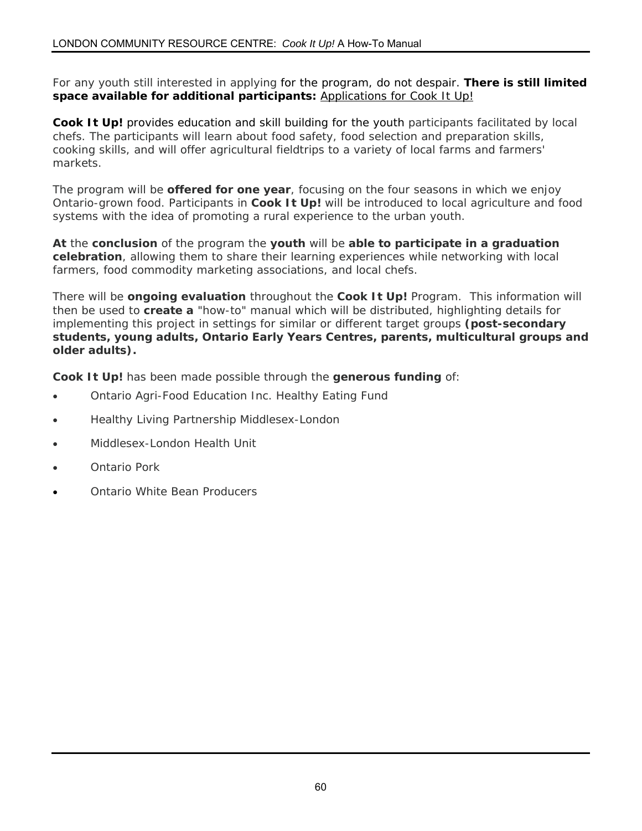For any youth still interested in applying for the program, do not despair. **There is still limited space available for additional participants:** [Applications for Cook It Up!](http://www.lcrc.on.ca/apply_cook_it_up.html) 

**Cook It Up!** provides education and skill building for the youth participants facilitated by local chefs. The participants will learn about food safety, food selection and preparation skills, cooking skills, and will offer agricultural fieldtrips to a variety of local farms and farmers' markets.

The program will be **offered for one year**, focusing on the four seasons in which we enjoy Ontario-grown food. Participants in **Cook It Up!** will be introduced to local agriculture and food systems with the idea of promoting a rural experience to the urban youth.

**At** the **conclusion** of the program the **youth** will be **able to participate in a graduation celebration**, allowing them to share their learning experiences while networking with local farmers, food commodity marketing associations, and local chefs.

There will be **ongoing evaluation** throughout the **Cook It Up!** Program. This information will then be used to **create a** "how-to" manual which will be distributed, highlighting details for implementing this project in settings for similar or different target groups **(post-secondary students, young adults, Ontario Early Years Centres, parents, multicultural groups and older adults).**

**Cook It Up!** has been made possible through the **generous funding** of:

- Ontario Agri-Food Education Inc. Healthy Eating Fund
- Healthy Living Partnership Middlesex-London
- Middlesex-London Health Unit
- Ontario Pork
- Ontario White Bean Producers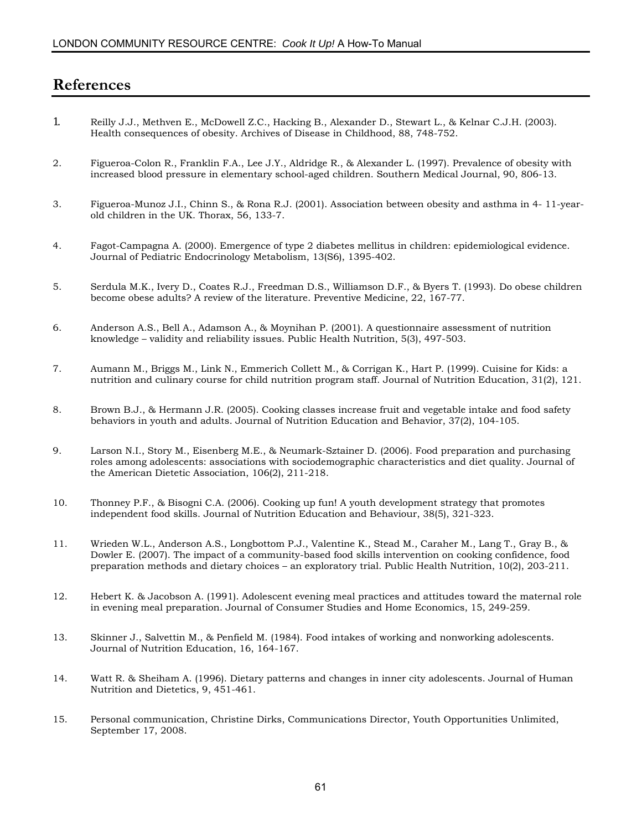### **References**

- 1. Reilly J.J., Methven E., McDowell Z.C., Hacking B., Alexander D., Stewart L., & Kelnar C.J.H. (2003). Health consequences of obesity. Archives of Disease in Childhood, 88, 748-752.
- 2. Figueroa-Colon R., Franklin F.A., Lee J.Y., Aldridge R., & Alexander L. (1997). Prevalence of obesity with increased blood pressure in elementary school-aged children. Southern Medical Journal, 90, 806-13.
- 3. Figueroa-Munoz J.I., Chinn S., & Rona R.J. (2001). Association between obesity and asthma in 4- 11-year old children in the UK. Thorax, 56, 133-7.
- 4. Fagot-Campagna A. (2000). Emergence of type 2 diabetes mellitus in children: epidemiological evidence. Journal of Pediatric Endocrinology Metabolism, 13(S6), 1395-402.
- 5. Serdula M.K., Ivery D., Coates R.J., Freedman D.S., Williamson D.F., & Byers T. (1993). Do obese children become obese adults? A review of the literature. Preventive Medicine, 22, 167-77.
- 6. Anderson A.S., Bell A., Adamson A., & Moynihan P. (2001). A questionnaire assessment of nutrition knowledge – validity and reliability issues. Public Health Nutrition, 5(3), 497-503.
- 7. Aumann M., Briggs M., Link N., Emmerich Collett M., & Corrigan K., Hart P. (1999). Cuisine for Kids: a nutrition and culinary course for child nutrition program staff. Journal of Nutrition Education, 31(2), 121.
- 8. Brown B.J., & Hermann J.R. (2005). Cooking classes increase fruit and vegetable intake and food safety behaviors in youth and adults. Journal of Nutrition Education and Behavior, 37(2), 104-105.
- 9. Larson N.I., Story M., Eisenberg M.E., & Neumark-Sztainer D. (2006). Food preparation and purchasing roles among adolescents: associations with sociodemographic characteristics and diet quality. Journal of the American Dietetic Association, 106(2), 211-218.
- 10. Thonney P.F., & Bisogni C.A. (2006). Cooking up fun! A youth development strategy that promotes independent food skills. Journal of Nutrition Education and Behaviour, 38(5), 321-323.
- 11. Wrieden W.L., Anderson A.S., Longbottom P.J., Valentine K., Stead M., Caraher M., Lang T., Gray B., & Dowler E. (2007). The impact of a community-based food skills intervention on cooking confidence, food preparation methods and dietary choices – an exploratory trial. Public Health Nutrition, 10(2), 203-211.
- 12. Hebert K. & Jacobson A. (1991). Adolescent evening meal practices and attitudes toward the maternal role in evening meal preparation. Journal of Consumer Studies and Home Economics, 15, 249-259.
- 13. Skinner J., Salvettin M., & Penfield M. (1984). Food intakes of working and nonworking adolescents. Journal of Nutrition Education, 16, 164-167.
- 14. Watt R. & Sheiham A. (1996). Dietary patterns and changes in inner city adolescents. Journal of Human Nutrition and Dietetics, 9, 451-461.
- 15. Personal communication, Christine Dirks, Communications Director, Youth Opportunities Unlimited, September 17, 2008.